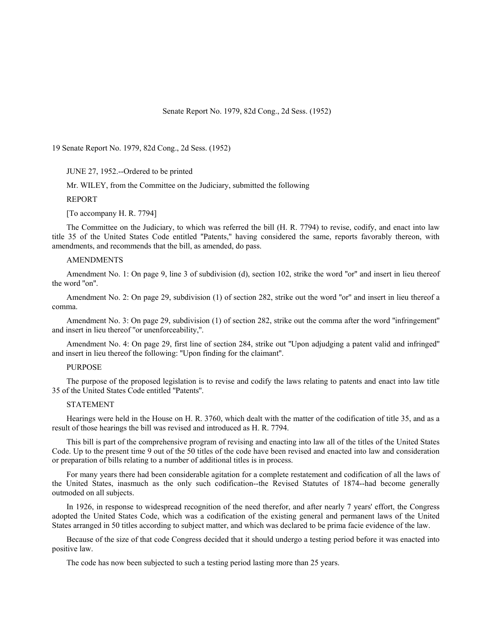### Senate Report No. 1979, 82d Cong., 2d Sess. (1952)

19 Senate Report No. 1979, 82d Cong., 2d Sess. (1952)

JUNE 27, 1952.--Ordered to be printed

Mr. WILEY, from the Committee on the Judiciary, submitted the following

REPORT

[To accompany H. R. 7794]

The Committee on the Judiciary, to which was referred the bill (H. R. 7794) to revise, codify, and enact into law title 35 of the United States Code entitled ''Patents,'' having considered the same, reports favorably thereon, with amendments, and recommends that the bill, as amended, do pass.

## AMENDMENTS

Amendment No. 1: On page 9, line 3 of subdivision (d), section 102, strike the word "or" and insert in lieu thereof the word ''on''.

Amendment No. 2: On page 29, subdivision (1) of section 282, strike out the word "or" and insert in lieu thereof a comma.

Amendment No. 3: On page 29, subdivision (1) of section 282, strike out the comma after the word ''infringement'' and insert in lieu thereof ''or unenforceability,''.

Amendment No. 4: On page 29, first line of section 284, strike out ''Upon adjudging a patent valid and infringed'' and insert in lieu thereof the following: ''Upon finding for the claimant''.

### PURPOSE

The purpose of the proposed legislation is to revise and codify the laws relating to patents and enact into law title 35 of the United States Code entitled ''Patents''.

### STATEMENT

Hearings were held in the House on H. R. 3760, which dealt with the matter of the codification of title 35, and as a result of those hearings the bill was revised and introduced as H. R. 7794.

This bill is part of the comprehensive program of revising and enacting into law all of the titles of the United States Code. Up to the present time 9 out of the 50 titles of the code have been revised and enacted into law and consideration or preparation of bills relating to a number of additional titles is in process.

For many years there had been considerable agitation for a complete restatement and codification of all the laws of the United States, inasmuch as the only such codification--the Revised Statutes of 1874--had become generally outmoded on all subjects.

In 1926, in response to widespread recognition of the need therefor, and after nearly 7 years' effort, the Congress adopted the United States Code, which was a codification of the existing general and permanent laws of the United States arranged in 50 titles according to subject matter, and which was declared to be prima facie evidence of the law.

Because of the size of that code Congress decided that it should undergo a testing period before it was enacted into positive law.

The code has now been subjected to such a testing period lasting more than 25 years.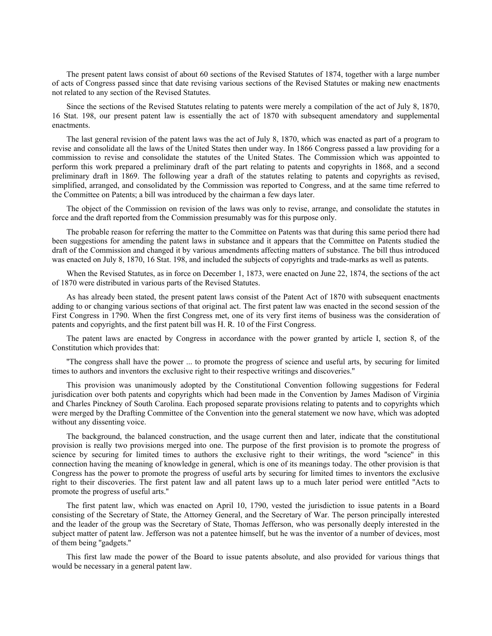The present patent laws consist of about 60 sections of the Revised Statutes of 1874, together with a large number of acts of Congress passed since that date revising various sections of the Revised Statutes or making new enactments not related to any section of the Revised Statutes.

Since the sections of the Revised Statutes relating to patents were merely a compilation of the act of July 8, 1870, 16 Stat. 198, our present patent law is essentially the act of 1870 with subsequent amendatory and supplemental enactments.

The last general revision of the patent laws was the act of July 8, 1870, which was enacted as part of a program to revise and consolidate all the laws of the United States then under way. In 1866 Congress passed a law providing for a commission to revise and consolidate the statutes of the United States. The Commission which was appointed to perform this work prepared a preliminary draft of the part relating to patents and copyrights in 1868, and a second preliminary draft in 1869. The following year a draft of the statutes relating to patents and copyrights as revised, simplified, arranged, and consolidated by the Commission was reported to Congress, and at the same time referred to the Committee on Patents; a bill was introduced by the chairman a few days later.

The object of the Commission on revision of the laws was only to revise, arrange, and consolidate the statutes in force and the draft reported from the Commission presumably was for this purpose only.

The probable reason for referring the matter to the Committee on Patents was that during this same period there had been suggestions for amending the patent laws in substance and it appears that the Committee on Patents studied the draft of the Commission and changed it by various amendments affecting matters of substance. The bill thus introduced was enacted on July 8, 1870, 16 Stat. 198, and included the subjects of copyrights and trade-marks as well as patents.

When the Revised Statutes, as in force on December 1, 1873, were enacted on June 22, 1874, the sections of the act of 1870 were distributed in various parts of the Revised Statutes.

As has already been stated, the present patent laws consist of the Patent Act of 1870 with subsequent enactments adding to or changing various sections of that original act. The first patent law was enacted in the second session of the First Congress in 1790. When the first Congress met, one of its very first items of business was the consideration of patents and copyrights, and the first patent bill was H. R. 10 of the First Congress.

The patent laws are enacted by Congress in accordance with the power granted by article I, section 8, of the Constitution which provides that:

''The congress shall have the power ... to promote the progress of science and useful arts, by securing for limited times to authors and inventors the exclusive right to their respective writings and discoveries.''

This provision was unanimously adopted by the Constitutional Convention following suggestions for Federal jurisdication over both patents and copyrights which had been made in the Convention by James Madison of Virginia and Charles Pinckney of South Carolina. Each proposed separate provisions relating to patents and to copyrights which were merged by the Drafting Committee of the Convention into the general statement we now have, which was adopted without any dissenting voice.

The background, the balanced construction, and the usage current then and later, indicate that the constitutional provision is really two provisions merged into one. The purpose of the first provision is to promote the progress of science by securing for limited times to authors the exclusive right to their writings, the word "science" in this connection having the meaning of knowledge in general, which is one of its meanings today. The other provision is that Congress has the power to promote the progress of useful arts by securing for limited times to inventors the exclusive right to their discoveries. The first patent law and all patent laws up to a much later period were entitled ''Acts to promote the progress of useful arts.''

The first patent law, which was enacted on April 10, 1790, vested the jurisdiction to issue patents in a Board consisting of the Secretary of State, the Attorney General, and the Secretary of War. The person principally interested and the leader of the group was the Secretary of State, Thomas Jefferson, who was personally deeply interested in the subject matter of patent law. Jefferson was not a patentee himself, but he was the inventor of a number of devices, most of them being ''gadgets.''

This first law made the power of the Board to issue patents absolute, and also provided for various things that would be necessary in a general patent law.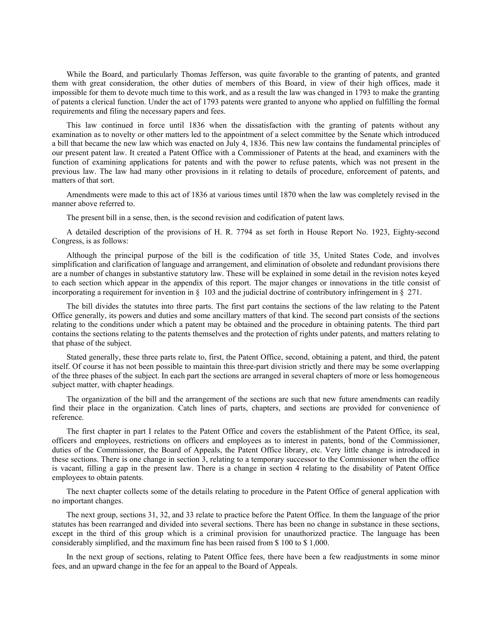While the Board, and particularly Thomas Jefferson, was quite favorable to the granting of patents, and granted them with great consideration, the other duties of members of this Board, in view of their high offices, made it impossible for them to devote much time to this work, and as a result the law was changed in 1793 to make the granting of patents a clerical function. Under the act of 1793 patents were granted to anyone who applied on fulfilling the formal requirements and filing the necessary papers and fees.

This law continued in force until 1836 when the dissatisfaction with the granting of patents without any examination as to novelty or other matters led to the appointment of a select committee by the Senate which introduced a bill that became the new law which was enacted on July 4, 1836. This new law contains the fundamental principles of our present patent law. It created a Patent Office with a Commissioner of Patents at the head, and examiners with the function of examining applications for patents and with the power to refuse patents, which was not present in the previous law. The law had many other provisions in it relating to details of procedure, enforcement of patents, and matters of that sort.

Amendments were made to this act of 1836 at various times until 1870 when the law was completely revised in the manner above referred to.

The present bill in a sense, then, is the second revision and codification of patent laws.

A detailed description of the provisions of H. R. 7794 as set forth in House Report No. 1923, Eighty-second Congress, is as follows:

Although the principal purpose of the bill is the codification of title 35, United States Code, and involves simplification and clarification of language and arrangement, and elimination of obsolete and redundant provisions there are a number of changes in substantive statutory law. These will be explained in some detail in the revision notes keyed to each section which appear in the appendix of this report. The major changes or innovations in the title consist of incorporating a requirement for invention in § 103 and the judicial doctrine of contributory infringement in § 271.

The bill divides the statutes into three parts. The first part contains the sections of the law relating to the Patent Office generally, its powers and duties and some ancillary matters of that kind. The second part consists of the sections relating to the conditions under which a patent may be obtained and the procedure in obtaining patents. The third part contains the sections relating to the patents themselves and the protection of rights under patents, and matters relating to that phase of the subject.

Stated generally, these three parts relate to, first, the Patent Office, second, obtaining a patent, and third, the patent itself. Of course it has not been possible to maintain this three-part division strictly and there may be some overlapping of the three phases of the subject. In each part the sections are arranged in several chapters of more or less homogeneous subject matter, with chapter headings.

The organization of the bill and the arrangement of the sections are such that new future amendments can readily find their place in the organization. Catch lines of parts, chapters, and sections are provided for convenience of reference.

The first chapter in part I relates to the Patent Office and covers the establishment of the Patent Office, its seal, officers and employees, restrictions on officers and employees as to interest in patents, bond of the Commissioner, duties of the Commissioner, the Board of Appeals, the Patent Office library, etc. Very little change is introduced in these sections. There is one change in section 3, relating to a temporary successor to the Commissioner when the office is vacant, filling a gap in the present law. There is a change in section 4 relating to the disability of Patent Office employees to obtain patents.

The next chapter collects some of the details relating to procedure in the Patent Office of general application with no important changes.

The next group, sections 31, 32, and 33 relate to practice before the Patent Office. In them the language of the prior statutes has been rearranged and divided into several sections. There has been no change in substance in these sections, except in the third of this group which is a criminal provision for unauthorized practice. The language has been considerably simplified, and the maximum fine has been raised from \$ 100 to \$ 1,000.

In the next group of sections, relating to Patent Office fees, there have been a few readjustments in some minor fees, and an upward change in the fee for an appeal to the Board of Appeals.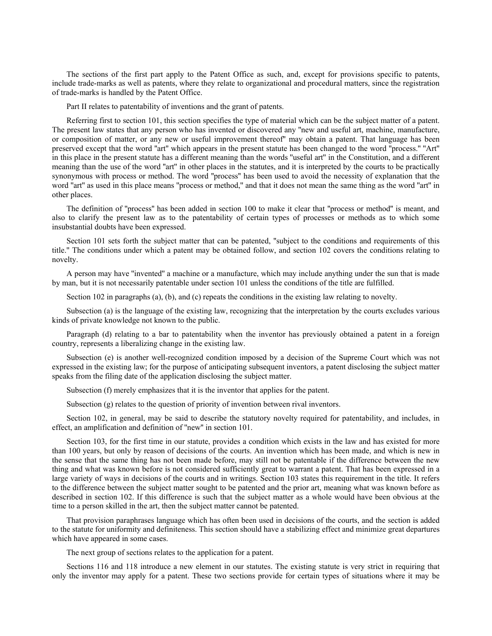The sections of the first part apply to the Patent Office as such, and, except for provisions specific to patents, include trade-marks as well as patents, where they relate to organizational and procedural matters, since the registration of trade-marks is handled by the Patent Office.

Part II relates to patentability of inventions and the grant of patents.

Referring first to section 101, this section specifies the type of material which can be the subject matter of a patent. The present law states that any person who has invented or discovered any ''new and useful art, machine, manufacture, or composition of matter, or any new or useful improvement thereof'' may obtain a patent. That language has been preserved except that the word ''art'' which appears in the present statute has been changed to the word ''process.'' ''Art'' in this place in the present statute has a different meaning than the words ''useful art'' in the Constitution, and a different meaning than the use of the word "art" in other places in the statutes, and it is interpreted by the courts to be practically synonymous with process or method. The word ''process'' has been used to avoid the necessity of explanation that the word ''art'' as used in this place means ''process or method,'' and that it does not mean the same thing as the word ''art'' in other places.

The definition of ''process'' has been added in section 100 to make it clear that ''process or method'' is meant, and also to clarify the present law as to the patentability of certain types of processes or methods as to which some insubstantial doubts have been expressed.

Section 101 sets forth the subject matter that can be patented, ''subject to the conditions and requirements of this title.'' The conditions under which a patent may be obtained follow, and section 102 covers the conditions relating to novelty.

A person may have ''invented'' a machine or a manufacture, which may include anything under the sun that is made by man, but it is not necessarily patentable under section 101 unless the conditions of the title are fulfilled.

Section 102 in paragraphs (a), (b), and (c) repeats the conditions in the existing law relating to novelty.

Subsection (a) is the language of the existing law, recognizing that the interpretation by the courts excludes various kinds of private knowledge not known to the public.

Paragraph (d) relating to a bar to patentability when the inventor has previously obtained a patent in a foreign country, represents a liberalizing change in the existing law.

Subsection (e) is another well-recognized condition imposed by a decision of the Supreme Court which was not expressed in the existing law; for the purpose of anticipating subsequent inventors, a patent disclosing the subject matter speaks from the filing date of the application disclosing the subject matter.

Subsection (f) merely emphasizes that it is the inventor that applies for the patent.

Subsection (g) relates to the question of priority of invention between rival inventors.

Section 102, in general, may be said to describe the statutory novelty required for patentability, and includes, in effect, an amplification and definition of ''new'' in section 101.

Section 103, for the first time in our statute, provides a condition which exists in the law and has existed for more than 100 years, but only by reason of decisions of the courts. An invention which has been made, and which is new in the sense that the same thing has not been made before, may still not be patentable if the difference between the new thing and what was known before is not considered sufficiently great to warrant a patent. That has been expressed in a large variety of ways in decisions of the courts and in writings. Section 103 states this requirement in the title. It refers to the difference between the subject matter sought to be patented and the prior art, meaning what was known before as described in section 102. If this difference is such that the subject matter as a whole would have been obvious at the time to a person skilled in the art, then the subject matter cannot be patented.

That provision paraphrases language which has often been used in decisions of the courts, and the section is added to the statute for uniformity and definiteness. This section should have a stabilizing effect and minimize great departures which have appeared in some cases.

The next group of sections relates to the application for a patent.

Sections 116 and 118 introduce a new element in our statutes. The existing statute is very strict in requiring that only the inventor may apply for a patent. These two sections provide for certain types of situations where it may be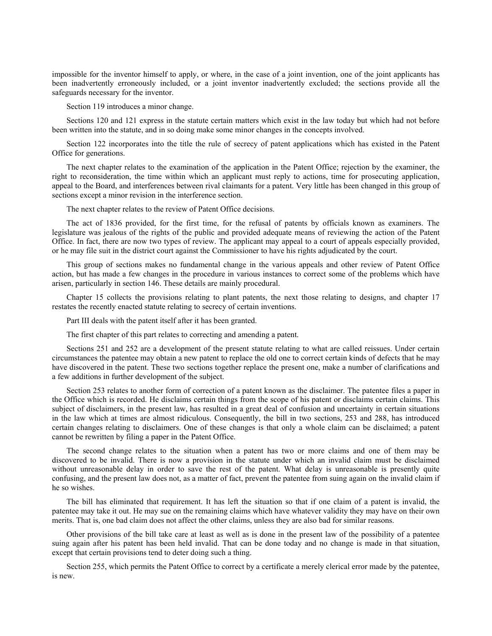impossible for the inventor himself to apply, or where, in the case of a joint invention, one of the joint applicants has been inadvertently erroneously included, or a joint inventor inadvertently excluded; the sections provide all the safeguards necessary for the inventor.

Section 119 introduces a minor change.

Sections 120 and 121 express in the statute certain matters which exist in the law today but which had not before been written into the statute, and in so doing make some minor changes in the concepts involved.

Section 122 incorporates into the title the rule of secrecy of patent applications which has existed in the Patent Office for generations.

The next chapter relates to the examination of the application in the Patent Office; rejection by the examiner, the right to reconsideration, the time within which an applicant must reply to actions, time for prosecuting application, appeal to the Board, and interferences between rival claimants for a patent. Very little has been changed in this group of sections except a minor revision in the interference section.

The next chapter relates to the review of Patent Office decisions.

The act of 1836 provided, for the first time, for the refusal of patents by officials known as examiners. The legislature was jealous of the rights of the public and provided adequate means of reviewing the action of the Patent Office. In fact, there are now two types of review. The applicant may appeal to a court of appeals especially provided, or he may file suit in the district court against the Commissioner to have his rights adjudicated by the court.

This group of sections makes no fundamental change in the various appeals and other review of Patent Office action, but has made a few changes in the procedure in various instances to correct some of the problems which have arisen, particularly in section 146. These details are mainly procedural.

Chapter 15 collects the provisions relating to plant patents, the next those relating to designs, and chapter 17 restates the recently enacted statute relating to secrecy of certain inventions.

Part III deals with the patent itself after it has been granted.

The first chapter of this part relates to correcting and amending a patent.

Sections 251 and 252 are a development of the present statute relating to what are called reissues. Under certain circumstances the patentee may obtain a new patent to replace the old one to correct certain kinds of defects that he may have discovered in the patent. These two sections together replace the present one, make a number of clarifications and a few additions in further development of the subject.

Section 253 relates to another form of correction of a patent known as the disclaimer. The patentee files a paper in the Office which is recorded. He disclaims certain things from the scope of his patent or disclaims certain claims. This subject of disclaimers, in the present law, has resulted in a great deal of confusion and uncertainty in certain situations in the law which at times are almost ridiculous. Consequently, the bill in two sections, 253 and 288, has introduced certain changes relating to disclaimers. One of these changes is that only a whole claim can be disclaimed; a patent cannot be rewritten by filing a paper in the Patent Office.

The second change relates to the situation when a patent has two or more claims and one of them may be discovered to be invalid. There is now a provision in the statute under which an invalid claim must be disclaimed without unreasonable delay in order to save the rest of the patent. What delay is unreasonable is presently quite confusing, and the present law does not, as a matter of fact, prevent the patentee from suing again on the invalid claim if he so wishes.

The bill has eliminated that requirement. It has left the situation so that if one claim of a patent is invalid, the patentee may take it out. He may sue on the remaining claims which have whatever validity they may have on their own merits. That is, one bad claim does not affect the other claims, unless they are also bad for similar reasons.

Other provisions of the bill take care at least as well as is done in the present law of the possibility of a patentee suing again after his patent has been held invalid. That can be done today and no change is made in that situation, except that certain provisions tend to deter doing such a thing.

Section 255, which permits the Patent Office to correct by a certificate a merely clerical error made by the patentee, is new.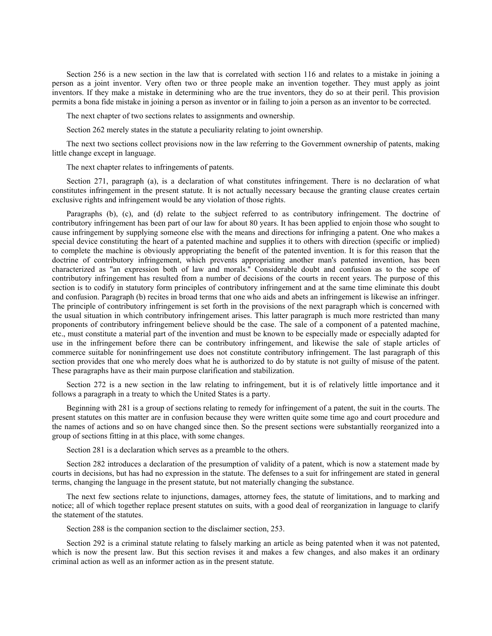Section 256 is a new section in the law that is correlated with section 116 and relates to a mistake in joining a person as a joint inventor. Very often two or three people make an invention together. They must apply as joint inventors. If they make a mistake in determining who are the true inventors, they do so at their peril. This provision permits a bona fide mistake in joining a person as inventor or in failing to join a person as an inventor to be corrected.

The next chapter of two sections relates to assignments and ownership.

Section 262 merely states in the statute a peculiarity relating to joint ownership.

The next two sections collect provisions now in the law referring to the Government ownership of patents, making little change except in language.

The next chapter relates to infringements of patents.

Section 271, paragraph (a), is a declaration of what constitutes infringement. There is no declaration of what constitutes infringement in the present statute. It is not actually necessary because the granting clause creates certain exclusive rights and infringement would be any violation of those rights.

Paragraphs (b), (c), and (d) relate to the subject referred to as contributory infringement. The doctrine of contributory infringement has been part of our law for about 80 years. It has been applied to enjoin those who sought to cause infringement by supplying someone else with the means and directions for infringing a patent. One who makes a special device constituting the heart of a patented machine and supplies it to others with direction (specific or implied) to complete the machine is obviously appropriating the benefit of the patented invention. It is for this reason that the doctrine of contributory infringement, which prevents appropriating another man's patented invention, has been characterized as ''an expression both of law and morals.'' Considerable doubt and confusion as to the scope of contributory infringement has resulted from a number of decisions of the courts in recent years. The purpose of this section is to codify in statutory form principles of contributory infringement and at the same time eliminate this doubt and confusion. Paragraph (b) recites in broad terms that one who aids and abets an infringement is likewise an infringer. The principle of contributory infringement is set forth in the provisions of the next paragraph which is concerned with the usual situation in which contributory infringement arises. This latter paragraph is much more restricted than many proponents of contributory infringement believe should be the case. The sale of a component of a patented machine, etc., must constitute a material part of the invention and must be known to be especially made or especially adapted for use in the infringement before there can be contributory infringement, and likewise the sale of staple articles of commerce suitable for noninfringement use does not constitute contributory infringement. The last paragraph of this section provides that one who merely does what he is authorized to do by statute is not guilty of misuse of the patent. These paragraphs have as their main purpose clarification and stabilization.

Section 272 is a new section in the law relating to infringement, but it is of relatively little importance and it follows a paragraph in a treaty to which the United States is a party.

Beginning with 281 is a group of sections relating to remedy for infringement of a patent, the suit in the courts. The present statutes on this matter are in confusion because they were written quite some time ago and court procedure and the names of actions and so on have changed since then. So the present sections were substantially reorganized into a group of sections fitting in at this place, with some changes.

Section 281 is a declaration which serves as a preamble to the others.

Section 282 introduces a declaration of the presumption of validity of a patent, which is now a statement made by courts in decisions, but has had no expression in the statute. The defenses to a suit for infringement are stated in general terms, changing the language in the present statute, but not materially changing the substance.

The next few sections relate to injunctions, damages, attorney fees, the statute of limitations, and to marking and notice; all of which together replace present statutes on suits, with a good deal of reorganization in language to clarify the statement of the statutes.

Section 288 is the companion section to the disclaimer section, 253.

Section 292 is a criminal statute relating to falsely marking an article as being patented when it was not patented, which is now the present law. But this section revises it and makes a few changes, and also makes it an ordinary criminal action as well as an informer action as in the present statute.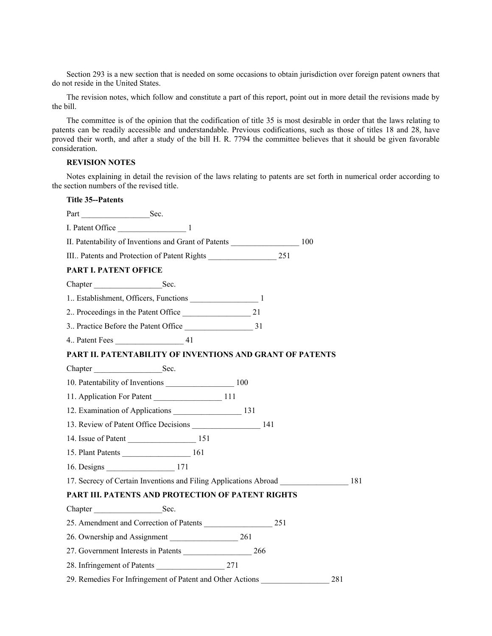Section 293 is a new section that is needed on some occasions to obtain jurisdiction over foreign patent owners that do not reside in the United States.

The revision notes, which follow and constitute a part of this report, point out in more detail the revisions made by the bill.

The committee is of the opinion that the codification of title 35 is most desirable in order that the laws relating to patents can be readily accessible and understandable. Previous codifications, such as those of titles 18 and 28, have proved their worth, and after a study of the bill H. R. 7794 the committee believes that it should be given favorable consideration.

## **REVISION NOTES**

Notes explaining in detail the revision of the laws relating to patents are set forth in numerical order according to the section numbers of the revised title.

## **Title 35--Patents**

Part \_\_\_\_\_\_\_\_\_\_\_\_\_\_\_\_\_Sec.

I. Patent Office 1 II. Patentability of Inventions and Grant of Patents  $100$ III.. Patents and Protection of Patent Rights 251

# **PART I. PATENT OFFICE**

Chapter Sec.

1. Establishment, Officers, Functions 1

2.. Proceedings in the Patent Office \_\_\_\_\_\_\_\_\_\_\_\_\_\_\_\_\_ 21

3.. Practice Before the Patent Office \_\_\_\_\_\_\_\_\_\_\_\_\_\_\_\_\_ 31

4. Patent Fees 41

## **PART II. PATENTABILITY OF INVENTIONS AND GRANT OF PATENTS**

Chapter \_\_\_\_\_\_\_\_\_\_\_\_\_\_\_\_\_Sec.

10. Patentability of Inventions  $100$ 

11. Application For Patent 111

12. Examination of Applications \_\_\_\_\_\_\_\_\_\_\_\_\_\_\_\_\_ 131

13. Review of Patent Office Decisions  $141$ 

14. Issue of Patent \_\_\_\_\_\_\_\_\_\_\_\_\_\_\_\_\_ 151

15. Plant Patents \_\_\_\_\_\_\_\_\_\_\_\_\_\_\_\_\_ 161

16. Designs \_\_\_\_\_\_\_\_\_\_\_\_\_\_\_\_\_ 171

17. Secrecy of Certain Inventions and Filing Applications Abroad \_\_\_\_\_\_\_\_\_\_\_\_\_\_\_\_\_ 181

# **PART III. PATENTS AND PROTECTION OF PATENT RIGHTS**

Chapter Sec.

25. Amendment and Correction of Patents \_\_\_\_\_\_\_\_\_\_\_\_\_\_\_\_\_ 251

26. Ownership and Assignment \_\_\_\_\_\_\_\_\_\_\_\_\_\_\_\_\_ 261

27. Government Interests in Patents \_\_\_\_\_\_\_\_\_\_\_\_\_\_\_\_\_ 266

28. Infringement of Patents \_\_\_\_\_\_\_\_\_\_\_\_\_\_\_\_\_ 271

29. Remedies For Infringement of Patent and Other Actions \_\_\_\_\_\_\_\_\_\_\_\_\_\_\_\_\_ 281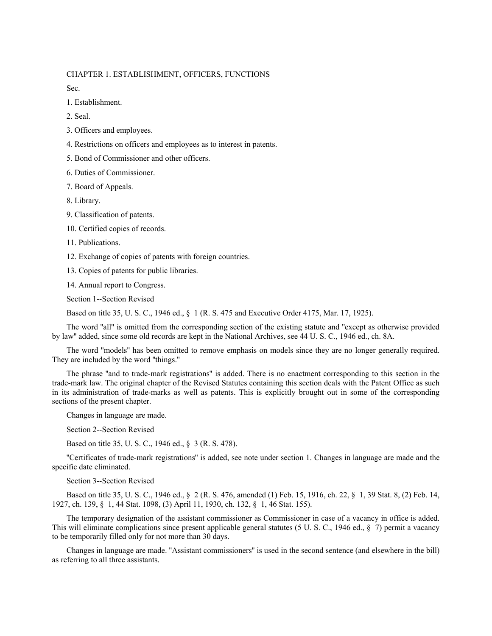### CHAPTER 1. ESTABLISHMENT, OFFICERS, FUNCTIONS

Sec.

1. Establishment.

2. Seal.

- 3. Officers and employees.
- 4. Restrictions on officers and employees as to interest in patents.
- 5. Bond of Commissioner and other officers.

6. Duties of Commissioner.

7. Board of Appeals.

8. Library.

9. Classification of patents.

10. Certified copies of records.

11. Publications.

12. Exchange of copies of patents with foreign countries.

13. Copies of patents for public libraries.

14. Annual report to Congress.

Section 1--Section Revised

Based on title 35, U. S. C., 1946 ed., § 1 (R. S. 475 and Executive Order 4175, Mar. 17, 1925).

The word "all" is omitted from the corresponding section of the existing statute and "except as otherwise provided by law'' added, since some old records are kept in the National Archives, see 44 U. S. C., 1946 ed., ch. 8A.

The word ''models'' has been omitted to remove emphasis on models since they are no longer generally required. They are included by the word ''things.''

The phrase ''and to trade-mark registrations'' is added. There is no enactment corresponding to this section in the trade-mark law. The original chapter of the Revised Statutes containing this section deals with the Patent Office as such in its administration of trade-marks as well as patents. This is explicitly brought out in some of the corresponding sections of the present chapter.

Changes in language are made.

Section 2--Section Revised

Based on title 35, U. S. C., 1946 ed., § 3 (R. S. 478).

''Certificates of trade-mark registrations'' is added, see note under section 1. Changes in language are made and the specific date eliminated.

Section 3--Section Revised

Based on title 35, U. S. C., 1946 ed., § 2 (R. S. 476, amended (1) Feb. 15, 1916, ch. 22, § 1, 39 Stat. 8, (2) Feb. 14, 1927, ch. 139, § 1, 44 Stat. 1098, (3) April 11, 1930, ch. 132, § 1, 46 Stat. 155).

The temporary designation of the assistant commissioner as Commissioner in case of a vacancy in office is added. This will eliminate complications since present applicable general statutes (5 U. S. C., 1946 ed., § 7) permit a vacancy to be temporarily filled only for not more than 30 days.

Changes in language are made. ''Assistant commissioners'' is used in the second sentence (and elsewhere in the bill) as referring to all three assistants.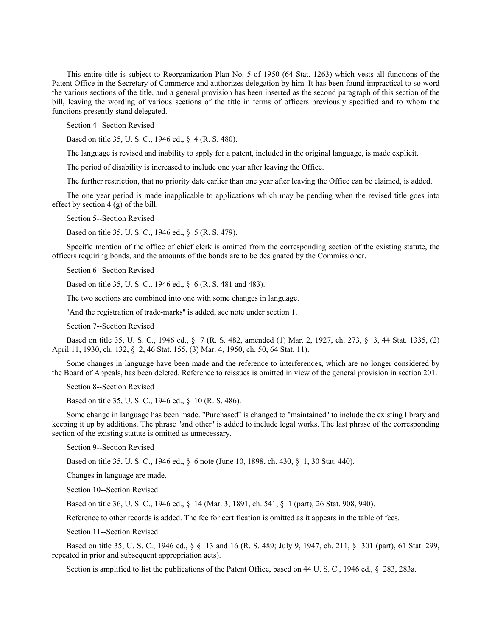This entire title is subject to Reorganization Plan No. 5 of 1950 (64 Stat. 1263) which vests all functions of the Patent Office in the Secretary of Commerce and authorizes delegation by him. It has been found impractical to so word the various sections of the title, and a general provision has been inserted as the second paragraph of this section of the bill, leaving the wording of various sections of the title in terms of officers previously specified and to whom the functions presently stand delegated.

Section 4--Section Revised

Based on title 35, U. S. C., 1946 ed., § 4 (R. S. 480).

The language is revised and inability to apply for a patent, included in the original language, is made explicit.

The period of disability is increased to include one year after leaving the Office.

The further restriction, that no priority date earlier than one year after leaving the Office can be claimed, is added.

The one year period is made inapplicable to applications which may be pending when the revised title goes into effect by section 4 (g) of the bill.

Section 5--Section Revised

Based on title 35, U. S. C., 1946 ed., § 5 (R. S. 479).

Specific mention of the office of chief clerk is omitted from the corresponding section of the existing statute, the officers requiring bonds, and the amounts of the bonds are to be designated by the Commissioner.

Section 6--Section Revised

Based on title 35, U. S. C., 1946 ed., § 6 (R. S. 481 and 483).

The two sections are combined into one with some changes in language.

''And the registration of trade-marks'' is added, see note under section 1.

Section 7--Section Revised

Based on title 35, U. S. C., 1946 ed., § 7 (R. S. 482, amended (1) Mar. 2, 1927, ch. 273, § 3, 44 Stat. 1335, (2) April 11, 1930, ch. 132, § 2, 46 Stat. 155, (3) Mar. 4, 1950, ch. 50, 64 Stat. 11).

Some changes in language have been made and the reference to interferences, which are no longer considered by the Board of Appeals, has been deleted. Reference to reissues is omitted in view of the general provision in section 201.

Section 8--Section Revised

Based on title 35, U. S. C., 1946 ed., § 10 (R. S. 486).

Some change in language has been made. ''Purchased'' is changed to ''maintained'' to include the existing library and keeping it up by additions. The phrase ''and other'' is added to include legal works. The last phrase of the corresponding section of the existing statute is omitted as unnecessary.

Section 9--Section Revised

Based on title 35, U. S. C., 1946 ed., § 6 note (June 10, 1898, ch. 430, § 1, 30 Stat. 440).

Changes in language are made.

Section 10--Section Revised

Based on title 36, U. S. C., 1946 ed., § 14 (Mar. 3, 1891, ch. 541, § 1 (part), 26 Stat. 908, 940).

Reference to other records is added. The fee for certification is omitted as it appears in the table of fees.

Section 11--Section Revised

Based on title 35, U. S. C., 1946 ed., § § 13 and 16 (R. S. 489; July 9, 1947, ch. 211, § 301 (part), 61 Stat. 299, repeated in prior and subsequent appropriation acts).

Section is amplified to list the publications of the Patent Office, based on 44 U. S. C., 1946 ed., § 283, 283a.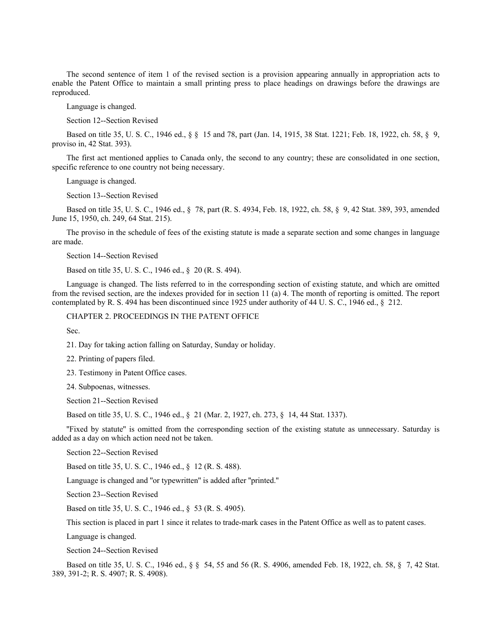The second sentence of item 1 of the revised section is a provision appearing annually in appropriation acts to enable the Patent Office to maintain a small printing press to place headings on drawings before the drawings are reproduced.

Language is changed.

Section 12--Section Revised

Based on title 35, U. S. C., 1946 ed., § § 15 and 78, part (Jan. 14, 1915, 38 Stat. 1221; Feb. 18, 1922, ch. 58, § 9, proviso in, 42 Stat. 393).

The first act mentioned applies to Canada only, the second to any country; these are consolidated in one section, specific reference to one country not being necessary.

Language is changed.

Section 13--Section Revised

Based on title 35, U. S. C., 1946 ed., § 78, part (R. S. 4934, Feb. 18, 1922, ch. 58, § 9, 42 Stat. 389, 393, amended June 15, 1950, ch. 249, 64 Stat. 215).

The proviso in the schedule of fees of the existing statute is made a separate section and some changes in language are made.

Section 14--Section Revised

Based on title 35, U. S. C., 1946 ed., § 20 (R. S. 494).

Language is changed. The lists referred to in the corresponding section of existing statute, and which are omitted from the revised section, are the indexes provided for in section 11 (a) 4. The month of reporting is omitted. The report contemplated by R. S. 494 has been discontinued since 1925 under authority of 44 U. S. C., 1946 ed., § 212.

CHAPTER 2. PROCEEDINGS IN THE PATENT OFFICE

Sec.

21. Day for taking action falling on Saturday, Sunday or holiday.

22. Printing of papers filed.

23. Testimony in Patent Office cases.

24. Subpoenas, witnesses.

Section 21--Section Revised

Based on title 35, U. S. C., 1946 ed., § 21 (Mar. 2, 1927, ch. 273, § 14, 44 Stat. 1337).

''Fixed by statute'' is omitted from the corresponding section of the existing statute as unnecessary. Saturday is added as a day on which action need not be taken.

Section 22--Section Revised

Based on title 35, U. S. C., 1946 ed., § 12 (R. S. 488).

Language is changed and ''or typewritten'' is added after ''printed.''

Section 23--Section Revised

Based on title 35, U. S. C., 1946 ed., § 53 (R. S. 4905).

This section is placed in part 1 since it relates to trade-mark cases in the Patent Office as well as to patent cases.

Language is changed.

Section 24--Section Revised

Based on title 35, U. S. C., 1946 ed., § § 54, 55 and 56 (R. S. 4906, amended Feb. 18, 1922, ch. 58, § 7, 42 Stat. 389, 391-2; R. S. 4907; R. S. 4908).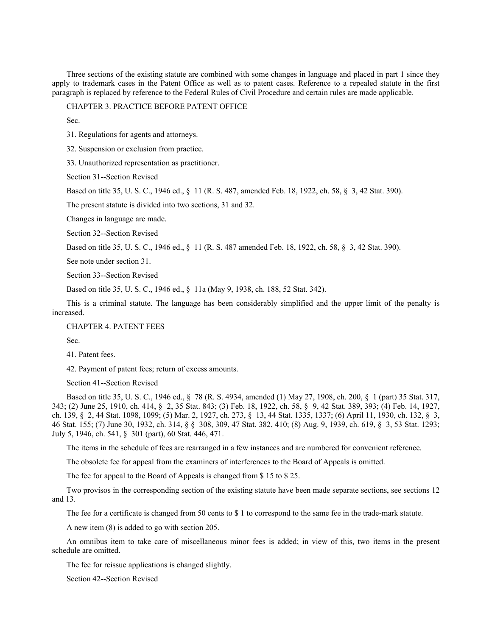Three sections of the existing statute are combined with some changes in language and placed in part 1 since they apply to trademark cases in the Patent Office as well as to patent cases. Reference to a repealed statute in the first paragraph is replaced by reference to the Federal Rules of Civil Procedure and certain rules are made applicable.

## CHAPTER 3. PRACTICE BEFORE PATENT OFFICE

Sec.

31. Regulations for agents and attorneys.

32. Suspension or exclusion from practice.

33. Unauthorized representation as practitioner.

Section 31--Section Revised

Based on title 35, U. S. C., 1946 ed., § 11 (R. S. 487, amended Feb. 18, 1922, ch. 58, § 3, 42 Stat. 390).

The present statute is divided into two sections, 31 and 32.

Changes in language are made.

Section 32--Section Revised

Based on title 35, U. S. C., 1946 ed., § 11 (R. S. 487 amended Feb. 18, 1922, ch. 58, § 3, 42 Stat. 390).

See note under section 31.

Section 33--Section Revised

Based on title 35, U. S. C., 1946 ed., § 11a (May 9, 1938, ch. 188, 52 Stat. 342).

This is a criminal statute. The language has been considerably simplified and the upper limit of the penalty is increased.

CHAPTER 4. PATENT FEES

Sec.

41. Patent fees.

42. Payment of patent fees; return of excess amounts.

Section 41--Section Revised

Based on title 35, U. S. C., 1946 ed., § 78 (R. S. 4934, amended (1) May 27, 1908, ch. 200, § 1 (part) 35 Stat. 317, 343; (2) June 25, 1910, ch. 414, § 2, 35 Stat. 843; (3) Feb. 18, 1922, ch. 58, § 9, 42 Stat. 389, 393; (4) Feb. 14, 1927, ch. 139, § 2, 44 Stat. 1098, 1099; (5) Mar. 2, 1927, ch. 273, § 13, 44 Stat. 1335, 1337; (6) April 11, 1930, ch. 132, § 3, 46 Stat. 155; (7) June 30, 1932, ch. 314, § § 308, 309, 47 Stat. 382, 410; (8) Aug. 9, 1939, ch. 619, § 3, 53 Stat. 1293; July 5, 1946, ch. 541, § 301 (part), 60 Stat. 446, 471.

The items in the schedule of fees are rearranged in a few instances and are numbered for convenient reference.

The obsolete fee for appeal from the examiners of interferences to the Board of Appeals is omitted.

The fee for appeal to the Board of Appeals is changed from \$ 15 to \$ 25.

Two provisos in the corresponding section of the existing statute have been made separate sections, see sections 12 and 13.

The fee for a certificate is changed from 50 cents to \$ 1 to correspond to the same fee in the trade-mark statute.

A new item (8) is added to go with section 205.

An omnibus item to take care of miscellaneous minor fees is added; in view of this, two items in the present schedule are omitted.

The fee for reissue applications is changed slightly.

Section 42--Section Revised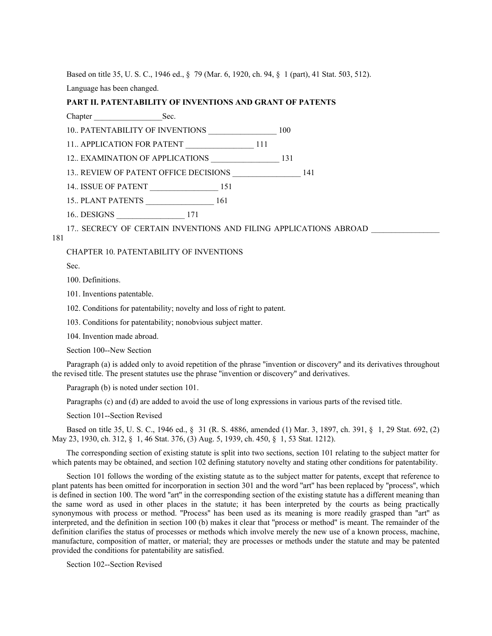Based on title 35, U. S. C., 1946 ed., § 79 (Mar. 6, 1920, ch. 94, § 1 (part), 41 Stat. 503, 512).

Language has been changed.

## **PART II. PATENTABILITY OF INVENTIONS AND GRANT OF PATENTS**

Chapter Sec.

10.. PATENTABILITY OF INVENTIONS \_\_\_\_\_\_\_\_\_\_\_\_\_\_\_\_\_ 100

11.. APPLICATION FOR PATENT \_\_\_\_\_\_\_\_\_\_\_\_\_\_\_\_\_ 111

12.. EXAMINATION OF APPLICATIONS 131

13.. REVIEW OF PATENT OFFICE DECISIONS \_\_\_\_\_\_\_\_\_\_\_\_\_\_\_\_\_ 141

14.. ISSUE OF PATENT \_\_\_\_\_\_\_\_\_\_\_\_\_\_\_\_\_ 151

15.. PLANT PATENTS \_\_\_\_\_\_\_\_\_\_\_\_\_\_\_\_\_ 161

16.. DESIGNS \_\_\_\_\_\_\_\_\_\_\_\_\_\_\_\_\_ 171

17.. SECRECY OF CERTAIN INVENTIONS AND FILING APPLICATIONS ABROAD \_\_\_\_\_\_\_\_\_\_\_\_\_\_

181

CHAPTER 10. PATENTABILITY OF INVENTIONS

Sec.

100. Definitions.

101. Inventions patentable.

102. Conditions for patentability; novelty and loss of right to patent.

103. Conditions for patentability; nonobvious subject matter.

104. Invention made abroad.

Section 100--New Section

Paragraph (a) is added only to avoid repetition of the phrase ''invention or discovery'' and its derivatives throughout the revised title. The present statutes use the phrase ''invention or discovery'' and derivatives.

Paragraph (b) is noted under section 101.

Paragraphs (c) and (d) are added to avoid the use of long expressions in various parts of the revised title.

Section 101--Section Revised

Based on title 35, U. S. C., 1946 ed., § 31 (R. S. 4886, amended (1) Mar. 3, 1897, ch. 391, § 1, 29 Stat. 692, (2) May 23, 1930, ch. 312, § 1, 46 Stat. 376, (3) Aug. 5, 1939, ch. 450, § 1, 53 Stat. 1212).

The corresponding section of existing statute is split into two sections, section 101 relating to the subject matter for which patents may be obtained, and section 102 defining statutory novelty and stating other conditions for patentability.

Section 101 follows the wording of the existing statute as to the subject matter for patents, except that reference to plant patents has been omitted for incorporation in section 301 and the word ''art'' has been replaced by ''process'', which is defined in section 100. The word "art" in the corresponding section of the existing statute has a different meaning than the same word as used in other places in the statute; it has been interpreted by the courts as being practically synonymous with process or method. "Process" has been used as its meaning is more readily grasped than "art" as interpreted, and the definition in section 100 (b) makes it clear that ''process or method'' is meant. The remainder of the definition clarifies the status of processes or methods which involve merely the new use of a known process, machine, manufacture, composition of matter, or material; they are processes or methods under the statute and may be patented provided the conditions for patentability are satisfied.

Section 102--Section Revised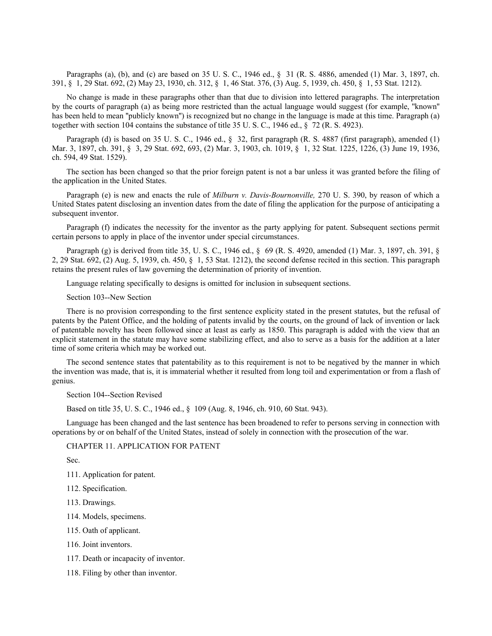Paragraphs (a), (b), and (c) are based on 35 U. S. C., 1946 ed., § 31 (R. S. 4886, amended (1) Mar. 3, 1897, ch. 391, § 1, 29 Stat. 692, (2) May 23, 1930, ch. 312, § 1, 46 Stat. 376, (3) Aug. 5, 1939, ch. 450, § 1, 53 Stat. 1212).

No change is made in these paragraphs other than that due to division into lettered paragraphs. The interpretation by the courts of paragraph (a) as being more restricted than the actual language would suggest (for example, ''known'' has been held to mean ''publicly known'') is recognized but no change in the language is made at this time. Paragraph (a) together with section 104 contains the substance of title 35 U. S. C., 1946 ed., § 72 (R. S. 4923).

Paragraph (d) is based on 35 U. S. C., 1946 ed., § 32, first paragraph (R. S. 4887 (first paragraph), amended (1) Mar. 3, 1897, ch. 391, § 3, 29 Stat. 692, 693, (2) Mar. 3, 1903, ch. 1019, § 1, 32 Stat. 1225, 1226, (3) June 19, 1936, ch. 594, 49 Stat. 1529).

The section has been changed so that the prior foreign patent is not a bar unless it was granted before the filing of the application in the United States.

Paragraph (e) is new and enacts the rule of *Milburn v. Davis-Bournonville,* 270 U. S. 390, by reason of which a United States patent disclosing an invention dates from the date of filing the application for the purpose of anticipating a subsequent inventor.

Paragraph (f) indicates the necessity for the inventor as the party applying for patent. Subsequent sections permit certain persons to apply in place of the inventor under special circumstances.

Paragraph (g) is derived from title 35, U. S. C., 1946 ed., § 69 (R. S. 4920, amended (1) Mar. 3, 1897, ch. 391, § 2, 29 Stat. 692, (2) Aug. 5, 1939, ch. 450, § 1, 53 Stat. 1212), the second defense recited in this section. This paragraph retains the present rules of law governing the determination of priority of invention.

Language relating specifically to designs is omitted for inclusion in subsequent sections.

Section 103--New Section

There is no provision corresponding to the first sentence explicity stated in the present statutes, but the refusal of patents by the Patent Office, and the holding of patents invalid by the courts, on the ground of lack of invention or lack of patentable novelty has been followed since at least as early as 1850. This paragraph is added with the view that an explicit statement in the statute may have some stabilizing effect, and also to serve as a basis for the addition at a later time of some criteria which may be worked out.

The second sentence states that patentability as to this requirement is not to be negatived by the manner in which the invention was made, that is, it is immaterial whether it resulted from long toil and experimentation or from a flash of genius.

Section 104--Section Revised

Based on title 35, U. S. C., 1946 ed., § 109 (Aug. 8, 1946, ch. 910, 60 Stat. 943).

Language has been changed and the last sentence has been broadened to refer to persons serving in connection with operations by or on behalf of the United States, instead of solely in connection with the prosecution of the war.

## CHAPTER 11. APPLICATION FOR PATENT

Sec.

111. Application for patent.

112. Specification.

113. Drawings.

114. Models, specimens.

115. Oath of applicant.

116. Joint inventors.

117. Death or incapacity of inventor.

118. Filing by other than inventor.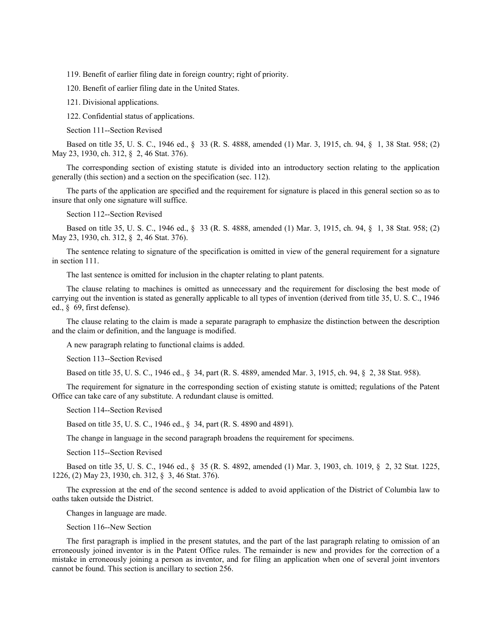119. Benefit of earlier filing date in foreign country; right of priority.

120. Benefit of earlier filing date in the United States.

121. Divisional applications.

122. Confidential status of applications.

Section 111--Section Revised

Based on title 35, U. S. C., 1946 ed., § 33 (R. S. 4888, amended (1) Mar. 3, 1915, ch. 94, § 1, 38 Stat. 958; (2) May 23, 1930, ch. 312, § 2, 46 Stat. 376).

The corresponding section of existing statute is divided into an introductory section relating to the application generally (this section) and a section on the specification (sec. 112).

The parts of the application are specified and the requirement for signature is placed in this general section so as to insure that only one signature will suffice.

Section 112--Section Revised

Based on title 35, U. S. C., 1946 ed., § 33 (R. S. 4888, amended (1) Mar. 3, 1915, ch. 94, § 1, 38 Stat. 958; (2) May 23, 1930, ch. 312, § 2, 46 Stat. 376).

The sentence relating to signature of the specification is omitted in view of the general requirement for a signature in section 111.

The last sentence is omitted for inclusion in the chapter relating to plant patents.

The clause relating to machines is omitted as unnecessary and the requirement for disclosing the best mode of carrying out the invention is stated as generally applicable to all types of invention (derived from title 35, U. S. C., 1946 ed., § 69, first defense).

The clause relating to the claim is made a separate paragraph to emphasize the distinction between the description and the claim or definition, and the language is modified.

A new paragraph relating to functional claims is added.

Section 113--Section Revised

Based on title 35, U. S. C., 1946 ed., § 34, part (R. S. 4889, amended Mar. 3, 1915, ch. 94, § 2, 38 Stat. 958).

The requirement for signature in the corresponding section of existing statute is omitted; regulations of the Patent Office can take care of any substitute. A redundant clause is omitted.

Section 114--Section Revised

Based on title 35, U. S. C., 1946 ed., § 34, part (R. S. 4890 and 4891).

The change in language in the second paragraph broadens the requirement for specimens.

Section 115--Section Revised

Based on title 35, U. S. C., 1946 ed., § 35 (R. S. 4892, amended (1) Mar. 3, 1903, ch. 1019, § 2, 32 Stat. 1225, 1226, (2) May 23, 1930, ch. 312, § 3, 46 Stat. 376).

The expression at the end of the second sentence is added to avoid application of the District of Columbia law to oaths taken outside the District.

Changes in language are made.

Section 116--New Section

The first paragraph is implied in the present statutes, and the part of the last paragraph relating to omission of an erroneously joined inventor is in the Patent Office rules. The remainder is new and provides for the correction of a mistake in erroneously joining a person as inventor, and for filing an application when one of several joint inventors cannot be found. This section is ancillary to section 256.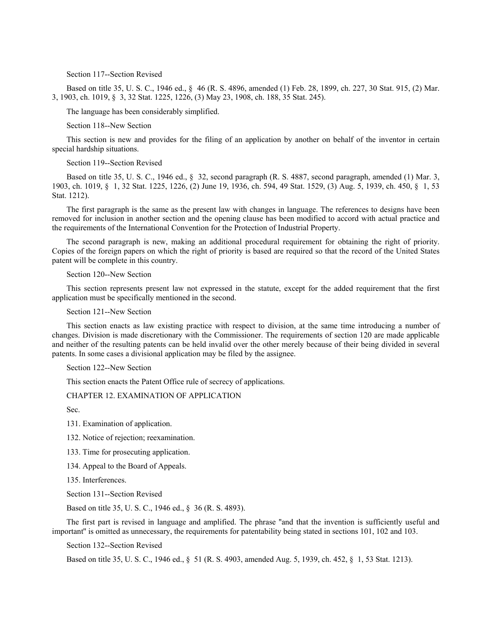### Section 117--Section Revised

Based on title 35, U. S. C., 1946 ed., § 46 (R. S. 4896, amended (1) Feb. 28, 1899, ch. 227, 30 Stat. 915, (2) Mar. 3, 1903, ch. 1019, § 3, 32 Stat. 1225, 1226, (3) May 23, 1908, ch. 188, 35 Stat. 245).

The language has been considerably simplified.

#### Section 118--New Section

This section is new and provides for the filing of an application by another on behalf of the inventor in certain special hardship situations.

### Section 119--Section Revised

Based on title 35, U. S. C., 1946 ed., § 32, second paragraph (R. S. 4887, second paragraph, amended (1) Mar. 3, 1903, ch. 1019, § 1, 32 Stat. 1225, 1226, (2) June 19, 1936, ch. 594, 49 Stat. 1529, (3) Aug. 5, 1939, ch. 450, § 1, 53 Stat. 1212).

The first paragraph is the same as the present law with changes in language. The references to designs have been removed for inclusion in another section and the opening clause has been modified to accord with actual practice and the requirements of the International Convention for the Protection of Industrial Property.

The second paragraph is new, making an additional procedural requirement for obtaining the right of priority. Copies of the foreign papers on which the right of priority is based are required so that the record of the United States patent will be complete in this country.

## Section 120--New Section

This section represents present law not expressed in the statute, except for the added requirement that the first application must be specifically mentioned in the second.

### Section 121--New Section

This section enacts as law existing practice with respect to division, at the same time introducing a number of changes. Division is made discretionary with the Commissioner. The requirements of section 120 are made applicable and neither of the resulting patents can be held invalid over the other merely because of their being divided in several patents. In some cases a divisional application may be filed by the assignee.

Section 122--New Section

This section enacts the Patent Office rule of secrecy of applications.

CHAPTER 12. EXAMINATION OF APPLICATION

Sec.

131. Examination of application.

132. Notice of rejection; reexamination.

133. Time for prosecuting application.

134. Appeal to the Board of Appeals.

135. Interferences.

Section 131--Section Revised

Based on title 35, U. S. C., 1946 ed., § 36 (R. S. 4893).

The first part is revised in language and amplified. The phrase ''and that the invention is sufficiently useful and important'' is omitted as unnecessary, the requirements for patentability being stated in sections 101, 102 and 103.

Section 132--Section Revised

Based on title 35, U. S. C., 1946 ed., § 51 (R. S. 4903, amended Aug. 5, 1939, ch. 452, § 1, 53 Stat. 1213).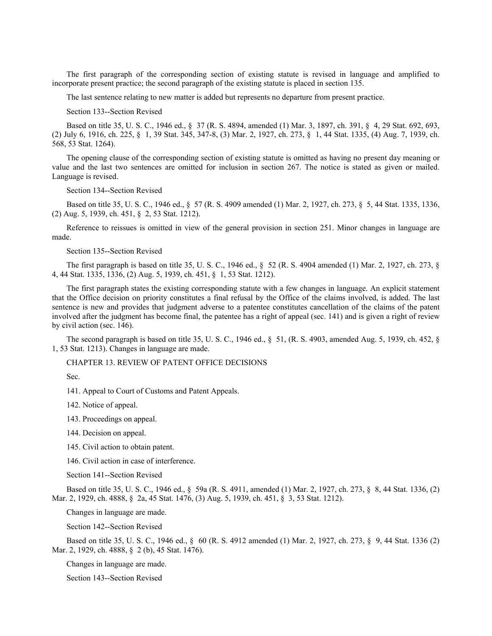The first paragraph of the corresponding section of existing statute is revised in language and amplified to incorporate present practice; the second paragraph of the existing statute is placed in section 135.

The last sentence relating to new matter is added but represents no departure from present practice.

Section 133--Section Revised

Based on title 35, U. S. C., 1946 ed., § 37 (R. S. 4894, amended (1) Mar. 3, 1897, ch. 391, § 4, 29 Stat. 692, 693, (2) July 6, 1916, ch. 225, § 1, 39 Stat. 345, 347-8, (3) Mar. 2, 1927, ch. 273, § 1, 44 Stat. 1335, (4) Aug. 7, 1939, ch. 568, 53 Stat. 1264).

The opening clause of the corresponding section of existing statute is omitted as having no present day meaning or value and the last two sentences are omitted for inclusion in section 267. The notice is stated as given or mailed. Language is revised.

Section 134--Section Revised

Based on title 35, U. S. C., 1946 ed., § 57 (R. S. 4909 amended (1) Mar. 2, 1927, ch. 273, § 5, 44 Stat. 1335, 1336, (2) Aug. 5, 1939, ch. 451, § 2, 53 Stat. 1212).

Reference to reissues is omitted in view of the general provision in section 251. Minor changes in language are made.

Section 135--Section Revised

The first paragraph is based on title 35, U. S. C., 1946 ed., § 52 (R. S. 4904 amended (1) Mar. 2, 1927, ch. 273, § 4, 44 Stat. 1335, 1336, (2) Aug. 5, 1939, ch. 451, § 1, 53 Stat. 1212).

The first paragraph states the existing corresponding statute with a few changes in language. An explicit statement that the Office decision on priority constitutes a final refusal by the Office of the claims involved, is added. The last sentence is new and provides that judgment adverse to a patentee constitutes cancellation of the claims of the patent involved after the judgment has become final, the patentee has a right of appeal (sec. 141) and is given a right of review by civil action (sec. 146).

The second paragraph is based on title 35, U. S. C., 1946 ed., § 51, (R. S. 4903, amended Aug. 5, 1939, ch. 452, § 1, 53 Stat. 1213). Changes in language are made.

CHAPTER 13. REVIEW OF PATENT OFFICE DECISIONS

Sec.

141. Appeal to Court of Customs and Patent Appeals.

142. Notice of appeal.

143. Proceedings on appeal.

144. Decision on appeal.

145. Civil action to obtain patent.

146. Civil action in case of interference.

Section 141--Section Revised

Based on title 35, U. S. C., 1946 ed., § 59a (R. S. 4911, amended (1) Mar. 2, 1927, ch. 273, § 8, 44 Stat. 1336, (2) Mar. 2, 1929, ch. 4888, § 2a, 45 Stat. 1476, (3) Aug. 5, 1939, ch. 451, § 3, 53 Stat. 1212).

Changes in language are made.

Section 142--Section Revised

Based on title 35, U. S. C., 1946 ed., § 60 (R. S. 4912 amended (1) Mar. 2, 1927, ch. 273, § 9, 44 Stat. 1336 (2) Mar. 2, 1929, ch. 4888, § 2 (b), 45 Stat. 1476).

Changes in language are made.

Section 143--Section Revised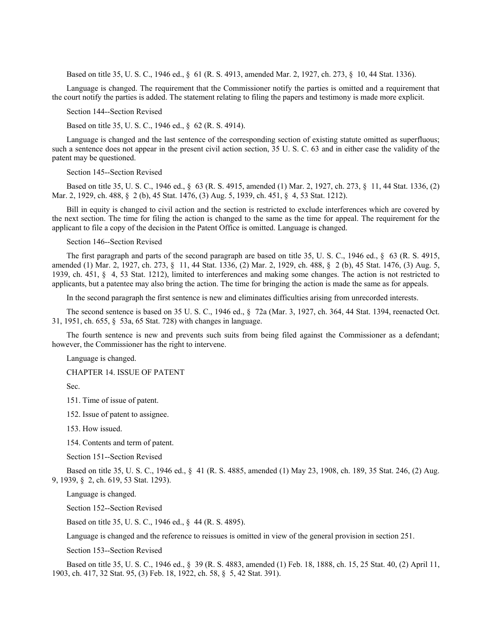Based on title 35, U. S. C., 1946 ed., § 61 (R. S. 4913, amended Mar. 2, 1927, ch. 273, § 10, 44 Stat. 1336).

Language is changed. The requirement that the Commissioner notify the parties is omitted and a requirement that the court notify the parties is added. The statement relating to filing the papers and testimony is made more explicit.

Section 144--Section Revised

Based on title 35, U. S. C., 1946 ed., § 62 (R. S. 4914).

Language is changed and the last sentence of the corresponding section of existing statute omitted as superfluous; such a sentence does not appear in the present civil action section, 35 U. S. C. 63 and in either case the validity of the patent may be questioned.

Section 145--Section Revised

Based on title 35, U. S. C., 1946 ed., § 63 (R. S. 4915, amended (1) Mar. 2, 1927, ch. 273, § 11, 44 Stat. 1336, (2) Mar. 2, 1929, ch. 488, § 2 (b), 45 Stat. 1476, (3) Aug. 5, 1939, ch. 451, § 4, 53 Stat. 1212).

Bill in equity is changed to civil action and the section is restricted to exclude interferences which are covered by the next section. The time for filing the action is changed to the same as the time for appeal. The requirement for the applicant to file a copy of the decision in the Patent Office is omitted. Language is changed.

Section 146--Section Revised

The first paragraph and parts of the second paragraph are based on title 35, U. S. C., 1946 ed., § 63 (R. S. 4915, amended (1) Mar. 2, 1927, ch. 273, § 11, 44 Stat. 1336, (2) Mar. 2, 1929, ch. 488, § 2 (b), 45 Stat. 1476, (3) Aug. 5, 1939, ch. 451, § 4, 53 Stat. 1212), limited to interferences and making some changes. The action is not restricted to applicants, but a patentee may also bring the action. The time for bringing the action is made the same as for appeals.

In the second paragraph the first sentence is new and eliminates difficulties arising from unrecorded interests.

The second sentence is based on 35 U. S. C., 1946 ed., § 72a (Mar. 3, 1927, ch. 364, 44 Stat. 1394, reenacted Oct. 31, 1951, ch. 655, § 53a, 65 Stat. 728) with changes in language.

The fourth sentence is new and prevents such suits from being filed against the Commissioner as a defendant; however, the Commissioner has the right to intervene.

Language is changed.

CHAPTER 14. ISSUE OF PATENT

Sec.

151. Time of issue of patent.

152. Issue of patent to assignee.

153. How issued.

154. Contents and term of patent.

Section 151--Section Revised

Based on title 35, U. S. C., 1946 ed., § 41 (R. S. 4885, amended (1) May 23, 1908, ch. 189, 35 Stat. 246, (2) Aug. 9, 1939, § 2, ch. 619, 53 Stat. 1293).

Language is changed.

Section 152--Section Revised

Based on title 35, U. S. C., 1946 ed., § 44 (R. S. 4895).

Language is changed and the reference to reissues is omitted in view of the general provision in section 251.

Section 153--Section Revised

Based on title 35, U. S. C., 1946 ed., § 39 (R. S. 4883, amended (1) Feb. 18, 1888, ch. 15, 25 Stat. 40, (2) April 11, 1903, ch. 417, 32 Stat. 95, (3) Feb. 18, 1922, ch. 58, § 5, 42 Stat. 391).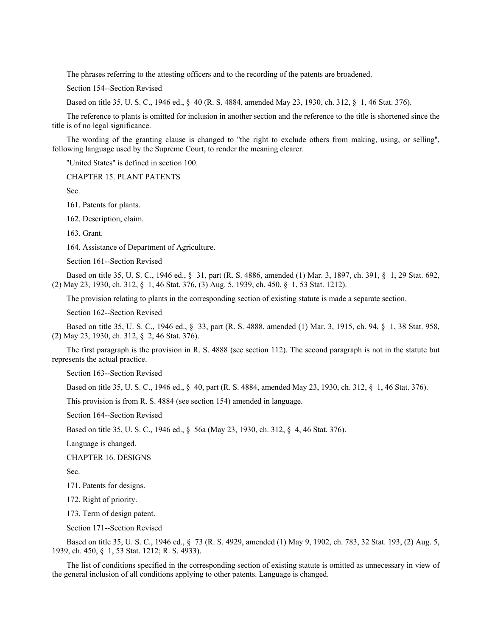The phrases referring to the attesting officers and to the recording of the patents are broadened.

Section 154--Section Revised

Based on title 35, U. S. C., 1946 ed., § 40 (R. S. 4884, amended May 23, 1930, ch. 312, § 1, 46 Stat. 376).

The reference to plants is omitted for inclusion in another section and the reference to the title is shortened since the title is of no legal significance.

The wording of the granting clause is changed to ''the right to exclude others from making, using, or selling'', following language used by the Supreme Court, to render the meaning clearer.

''United States'' is defined in section 100.

CHAPTER 15. PLANT PATENTS

Sec.

161. Patents for plants.

162. Description, claim.

163. Grant.

164. Assistance of Department of Agriculture.

Section 161--Section Revised

Based on title 35, U. S. C., 1946 ed., § 31, part (R. S. 4886, amended (1) Mar. 3, 1897, ch. 391, § 1, 29 Stat. 692, (2) May 23, 1930, ch. 312, § 1, 46 Stat. 376, (3) Aug. 5, 1939, ch. 450, § 1, 53 Stat. 1212).

The provision relating to plants in the corresponding section of existing statute is made a separate section.

Section 162--Section Revised

Based on title 35, U. S. C., 1946 ed., § 33, part (R. S. 4888, amended (1) Mar. 3, 1915, ch. 94, § 1, 38 Stat. 958, (2) May 23, 1930, ch. 312, § 2, 46 Stat. 376).

The first paragraph is the provision in R. S. 4888 (see section 112). The second paragraph is not in the statute but represents the actual practice.

Section 163--Section Revised

Based on title 35, U. S. C., 1946 ed., § 40, part (R. S. 4884, amended May 23, 1930, ch. 312, § 1, 46 Stat. 376).

This provision is from R. S. 4884 (see section 154) amended in language.

Section 164--Section Revised

Based on title 35, U. S. C., 1946 ed., § 56a (May 23, 1930, ch. 312, § 4, 46 Stat. 376).

Language is changed.

CHAPTER 16. DESIGNS

Sec.

171. Patents for designs.

172. Right of priority.

173. Term of design patent.

Section 171--Section Revised

Based on title 35, U. S. C., 1946 ed., § 73 (R. S. 4929, amended (1) May 9, 1902, ch. 783, 32 Stat. 193, (2) Aug. 5, 1939, ch. 450, § 1, 53 Stat. 1212; R. S. 4933).

The list of conditions specified in the corresponding section of existing statute is omitted as unnecessary in view of the general inclusion of all conditions applying to other patents. Language is changed.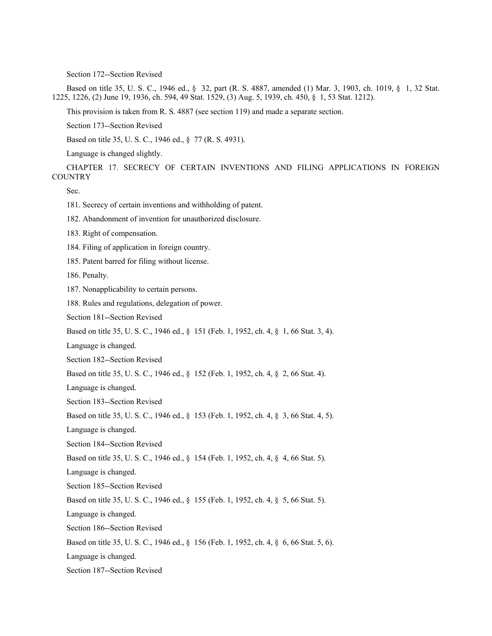Section 172--Section Revised

Based on title 35, U. S. C., 1946 ed., § 32, part (R. S. 4887, amended (1) Mar. 3, 1903, ch. 1019, § 1, 32 Stat. 1225, 1226, (2) June 19, 1936, ch. 594, 49 Stat. 1529, (3) Aug. 5, 1939, ch. 450, § 1, 53 Stat. 1212).

This provision is taken from R. S. 4887 (see section 119) and made a separate section.

Section 173--Section Revised

Based on title 35, U. S. C., 1946 ed., § 77 (R. S. 4931).

Language is changed slightly.

CHAPTER 17. SECRECY OF CERTAIN INVENTIONS AND FILING APPLICATIONS IN FOREIGN **COUNTRY** 

Sec.

181. Secrecy of certain inventions and withholding of patent.

182. Abandonment of invention for unauthorized disclosure.

183. Right of compensation.

184. Filing of application in foreign country.

185. Patent barred for filing without license.

186. Penalty.

187. Nonapplicability to certain persons.

188. Rules and regulations, delegation of power.

Section 181--Section Revised

Based on title 35, U. S. C., 1946 ed., § 151 (Feb. 1, 1952, ch. 4, § 1, 66 Stat. 3, 4).

Language is changed.

Section 182--Section Revised

Based on title 35, U. S. C., 1946 ed., § 152 (Feb. 1, 1952, ch. 4, § 2, 66 Stat. 4).

Language is changed.

Section 183--Section Revised

Based on title 35, U. S. C., 1946 ed., § 153 (Feb. 1, 1952, ch. 4, § 3, 66 Stat. 4, 5).

Language is changed.

Section 184--Section Revised

Based on title 35, U. S. C., 1946 ed., § 154 (Feb. 1, 1952, ch. 4, § 4, 66 Stat. 5).

Language is changed.

Section 185--Section Revised

Based on title 35, U. S. C., 1946 ed., § 155 (Feb. 1, 1952, ch. 4, § 5, 66 Stat. 5).

Language is changed.

Section 186--Section Revised

Based on title 35, U. S. C., 1946 ed., § 156 (Feb. 1, 1952, ch. 4, § 6, 66 Stat. 5, 6).

Language is changed.

Section 187--Section Revised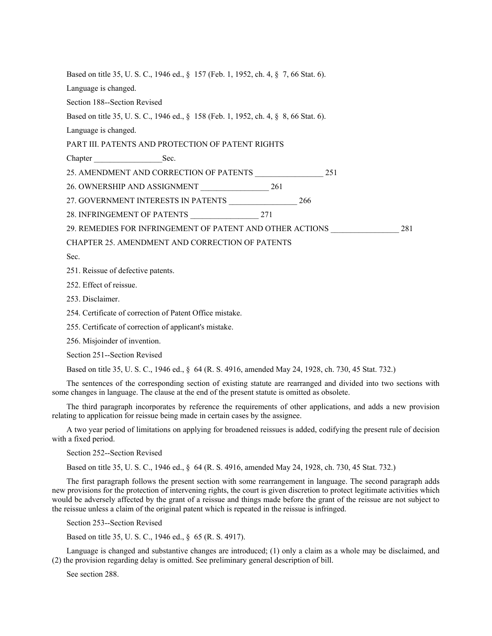Based on title 35, U. S. C., 1946 ed., § 157 (Feb. 1, 1952, ch. 4, § 7, 66 Stat. 6). Language is changed. Section 188--Section Revised Based on title 35, U. S. C., 1946 ed., § 158 (Feb. 1, 1952, ch. 4, § 8, 66 Stat. 6). Language is changed. PART III. PATENTS AND PROTECTION OF PATENT RIGHTS Chapter Sec. 25. AMENDMENT AND CORRECTION OF PATENTS 251 26. OWNERSHIP AND ASSIGNMENT \_\_\_\_\_\_\_\_\_\_\_\_\_\_\_\_\_ 261 27. GOVERNMENT INTERESTS IN PATENTS  $266$ 28. INFRINGEMENT OF PATENTS \_\_\_\_\_\_\_\_\_\_\_\_\_\_\_\_\_ 271 29. REMEDIES FOR INFRINGEMENT OF PATENT AND OTHER ACTIONS  $281$ CHAPTER 25. AMENDMENT AND CORRECTION OF PATENTS Sec. 251. Reissue of defective patents. 252. Effect of reissue. 253. Disclaimer. 254. Certificate of correction of Patent Office mistake.

255. Certificate of correction of applicant's mistake.

256. Misjoinder of invention.

Section 251--Section Revised

Based on title 35, U. S. C., 1946 ed., § 64 (R. S. 4916, amended May 24, 1928, ch. 730, 45 Stat. 732.)

The sentences of the corresponding section of existing statute are rearranged and divided into two sections with some changes in language. The clause at the end of the present statute is omitted as obsolete.

The third paragraph incorporates by reference the requirements of other applications, and adds a new provision relating to application for reissue being made in certain cases by the assignee.

A two year period of limitations on applying for broadened reissues is added, codifying the present rule of decision with a fixed period.

Section 252--Section Revised

Based on title 35, U. S. C., 1946 ed., § 64 (R. S. 4916, amended May 24, 1928, ch. 730, 45 Stat. 732.)

The first paragraph follows the present section with some rearrangement in language. The second paragraph adds new provisions for the protection of intervening rights, the court is given discretion to protect legitimate activities which would be adversely affected by the grant of a reissue and things made before the grant of the reissue are not subject to the reissue unless a claim of the original patent which is repeated in the reissue is infringed.

Section 253--Section Revised

Based on title 35, U. S. C., 1946 ed., § 65 (R. S. 4917).

Language is changed and substantive changes are introduced; (1) only a claim as a whole may be disclaimed, and (2) the provision regarding delay is omitted. See preliminary general description of bill.

See section 288.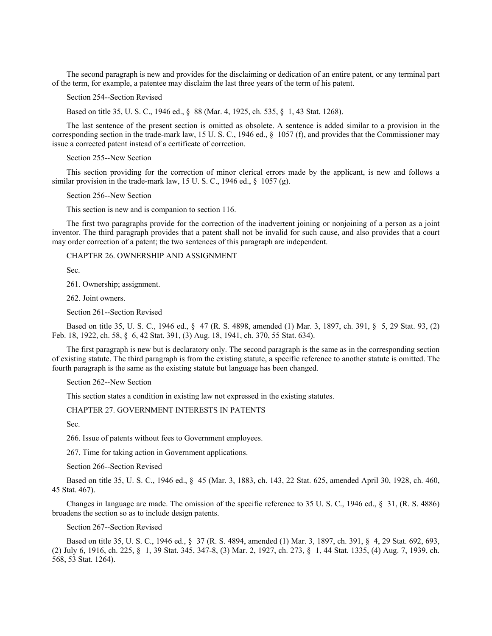The second paragraph is new and provides for the disclaiming or dedication of an entire patent, or any terminal part of the term, for example, a patentee may disclaim the last three years of the term of his patent.

Section 254--Section Revised

Based on title 35, U. S. C., 1946 ed., § 88 (Mar. 4, 1925, ch. 535, § 1, 43 Stat. 1268).

The last sentence of the present section is omitted as obsolete. A sentence is added similar to a provision in the corresponding section in the trade-mark law, 15 U. S. C., 1946 ed., § 1057 (f), and provides that the Commissioner may issue a corrected patent instead of a certificate of correction.

Section 255--New Section

This section providing for the correction of minor clerical errors made by the applicant, is new and follows a similar provision in the trade-mark law, 15 U. S. C., 1946 ed.,  $\S$  1057 (g).

Section 256--New Section

This section is new and is companion to section 116.

The first two paragraphs provide for the correction of the inadvertent joining or nonjoining of a person as a joint inventor. The third paragraph provides that a patent shall not be invalid for such cause, and also provides that a court may order correction of a patent; the two sentences of this paragraph are independent.

CHAPTER 26. OWNERSHIP AND ASSIGNMENT

Sec.

261. Ownership; assignment.

262. Joint owners.

Section 261--Section Revised

Based on title 35, U. S. C., 1946 ed., § 47 (R. S. 4898, amended (1) Mar. 3, 1897, ch. 391, § 5, 29 Stat. 93, (2) Feb. 18, 1922, ch. 58, § 6, 42 Stat. 391, (3) Aug. 18, 1941, ch. 370, 55 Stat. 634).

The first paragraph is new but is declaratory only. The second paragraph is the same as in the corresponding section of existing statute. The third paragraph is from the existing statute, a specific reference to another statute is omitted. The fourth paragraph is the same as the existing statute but language has been changed.

Section 262--New Section

This section states a condition in existing law not expressed in the existing statutes.

CHAPTER 27. GOVERNMENT INTERESTS IN PATENTS

Sec.

266. Issue of patents without fees to Government employees.

267. Time for taking action in Government applications.

Section 266--Section Revised

Based on title 35, U. S. C., 1946 ed., § 45 (Mar. 3, 1883, ch. 143, 22 Stat. 625, amended April 30, 1928, ch. 460, 45 Stat. 467).

Changes in language are made. The omission of the specific reference to 35 U. S. C., 1946 ed., § 31, (R. S. 4886) broadens the section so as to include design patents.

Section 267--Section Revised

Based on title 35, U. S. C., 1946 ed., § 37 (R. S. 4894, amended (1) Mar. 3, 1897, ch. 391, § 4, 29 Stat. 692, 693, (2) July 6, 1916, ch. 225, § 1, 39 Stat. 345, 347-8, (3) Mar. 2, 1927, ch. 273, § 1, 44 Stat. 1335, (4) Aug. 7, 1939, ch. 568, 53 Stat. 1264).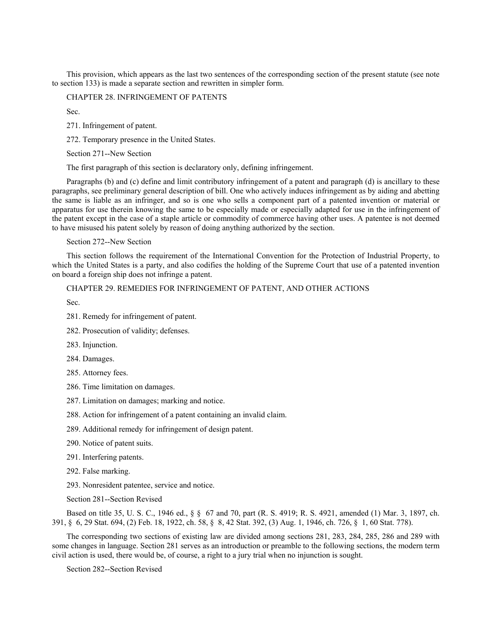This provision, which appears as the last two sentences of the corresponding section of the present statute (see note to section 133) is made a separate section and rewritten in simpler form.

## CHAPTER 28. INFRINGEMENT OF PATENTS

Sec.

271. Infringement of patent.

272. Temporary presence in the United States.

Section 271--New Section

The first paragraph of this section is declaratory only, defining infringement.

Paragraphs (b) and (c) define and limit contributory infringement of a patent and paragraph (d) is ancillary to these paragraphs, see preliminary general description of bill. One who actively induces infringement as by aiding and abetting the same is liable as an infringer, and so is one who sells a component part of a patented invention or material or apparatus for use therein knowing the same to be especially made or especially adapted for use in the infringement of the patent except in the case of a staple article or commodity of commerce having other uses. A patentee is not deemed to have misused his patent solely by reason of doing anything authorized by the section.

### Section 272--New Section

This section follows the requirement of the International Convention for the Protection of Industrial Property, to which the United States is a party, and also codifies the holding of the Supreme Court that use of a patented invention on board a foreign ship does not infringe a patent.

## CHAPTER 29. REMEDIES FOR INFRINGEMENT OF PATENT, AND OTHER ACTIONS

Sec.

281. Remedy for infringement of patent.

- 282. Prosecution of validity; defenses.
- 283. Injunction.
- 284. Damages.

285. Attorney fees.

286. Time limitation on damages.

- 287. Limitation on damages; marking and notice.
- 288. Action for infringement of a patent containing an invalid claim.

289. Additional remedy for infringement of design patent.

- 290. Notice of patent suits.
- 291. Interfering patents.
- 292. False marking.
- 293. Nonresident patentee, service and notice.

Section 281--Section Revised

Based on title 35, U. S. C., 1946 ed., § § 67 and 70, part (R. S. 4919; R. S. 4921, amended (1) Mar. 3, 1897, ch. 391, § 6, 29 Stat. 694, (2) Feb. 18, 1922, ch. 58, § 8, 42 Stat. 392, (3) Aug. 1, 1946, ch. 726, § 1, 60 Stat. 778).

The corresponding two sections of existing law are divided among sections 281, 283, 284, 285, 286 and 289 with some changes in language. Section 281 serves as an introduction or preamble to the following sections, the modern term civil action is used, there would be, of course, a right to a jury trial when no injunction is sought.

Section 282--Section Revised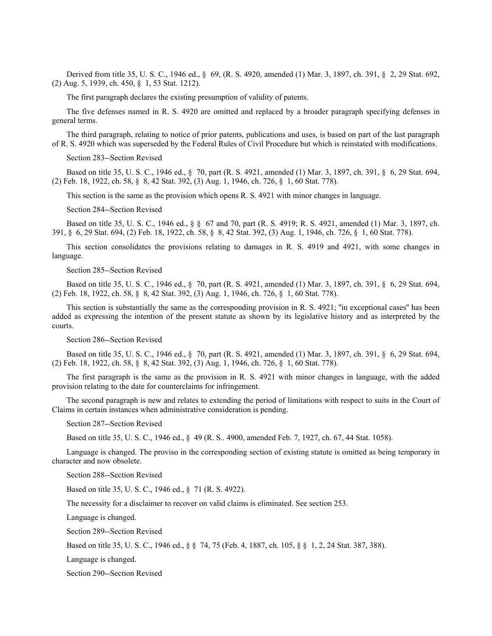Derived from title 35, U. S. C., 1946 ed., § 69, (R. S. 4920, amended (1) Mar. 3, 1897, ch. 391, § 2, 29 Stat. 692, (2) Aug. 5, 1939, ch. 450, § 1, 53 Stat. 1212).

The first paragraph declares the existing presumption of validity of patents.

The five defenses named in R. S. 4920 are omitted and replaced by a broader paragraph specifying defenses in general terms.

The third paragraph, relating to notice of prior patents, publications and uses, is based on part of the last paragraph of R. S. 4920 which was superseded by the Federal Rules of Civil Procedure but which is reinstated with modifications.

Section 283--Section Revised

Based on title 35, U. S. C., 1946 ed., § 70, part (R. S. 4921, amended (1) Mar. 3, 1897, ch. 391, § 6, 29 Stat. 694, (2) Feb. 18, 1922, ch. 58, § 8, 42 Stat. 392, (3) Aug. 1, 1946, ch. 726, § 1, 60 Stat. 778).

This section is the same as the provision which opens R. S. 4921 with minor changes in language.

Section 284--Section Revised

Based on title 35, U. S. C., 1946 ed., § § 67 and 70, part (R. S. 4919; R. S. 4921, amended (1) Mar. 3, 1897, ch. 391, § 6, 29 Stat. 694, (2) Feb. 18, 1922, ch. 58, § 8, 42 Stat. 392, (3) Aug. 1, 1946, ch. 726, § 1, 60 Stat. 778).

This section consolidates the provisions relating to damages in R. S. 4919 and 4921, with some changes in language.

### Section 285--Section Revised

Based on title 35, U. S. C., 1946 ed., § 70, part (R. S. 4921, amended (1) Mar. 3, 1897, ch. 391, § 6, 29 Stat. 694, (2) Feb. 18, 1922, ch. 58, § 8, 42 Stat. 392, (3) Aug. 1, 1946, ch. 726, § 1, 60 Stat. 778).

This section is substantially the same as the corresponding provision in R. S. 4921; ''in exceptional cases'' has been added as expressing the intention of the present statute as shown by its legislative history and as interpreted by the courts.

Section 286--Section Revised

Based on title 35, U. S. C., 1946 ed., § 70, part (R. S. 4921, amended (1) Mar. 3, 1897, ch. 391, § 6, 29 Stat. 694, (2) Feb. 18, 1922, ch. 58, § 8, 42 Stat. 392, (3) Aug. 1, 1946, ch. 726, § 1, 60 Stat. 778).

The first paragraph is the same as the provision in R. S. 4921 with minor changes in language, with the added provision relating to the date for counterclaims for infringement.

The second paragraph is new and relates to extending the period of limitations with respect to suits in the Court of Claims in certain instances when administrative consideration is pending.

Section 287--Section Revised

Based on title 35, U. S. C., 1946 ed., § 49 (R. S.. 4900, amended Feb. 7, 1927, ch. 67, 44 Stat. 1058).

Language is changed. The proviso in the corresponding section of existing statute is omitted as being temporary in character and now obsolete.

Section 288--Section Revised

Based on title 35, U. S. C., 1946 ed., § 71 (R. S. 4922).

The necessity for a disclaimer to recover on valid claims is eliminated. See section 253.

Language is changed.

Section 289--Section Revised

Based on title 35, U. S. C., 1946 ed., § § 74, 75 (Feb. 4, 1887, ch. 105, § § 1, 2, 24 Stat. 387, 388).

Language is changed.

Section 290--Section Revised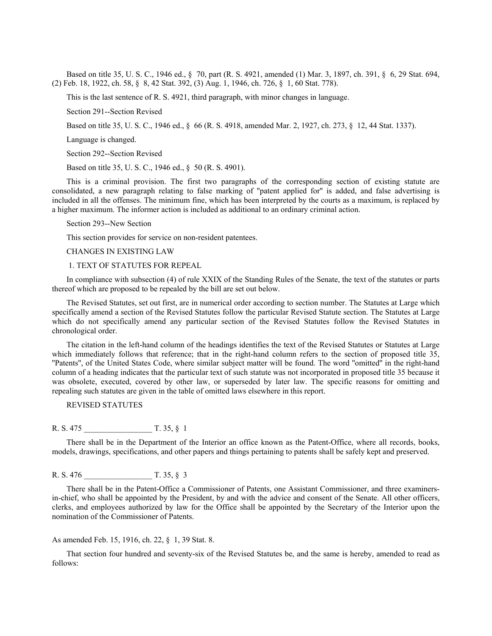Based on title 35, U. S. C., 1946 ed., § 70, part (R. S. 4921, amended (1) Mar. 3, 1897, ch. 391, § 6, 29 Stat. 694, (2) Feb. 18, 1922, ch. 58, § 8, 42 Stat. 392, (3) Aug. 1, 1946, ch. 726, § 1, 60 Stat. 778).

This is the last sentence of R. S. 4921, third paragraph, with minor changes in language.

Section 291--Section Revised

Based on title 35, U. S. C., 1946 ed., § 66 (R. S. 4918, amended Mar. 2, 1927, ch. 273, § 12, 44 Stat. 1337).

Language is changed.

Section 292--Section Revised

Based on title 35, U. S. C., 1946 ed., § 50 (R. S. 4901).

This is a criminal provision. The first two paragraphs of the corresponding section of existing statute are consolidated, a new paragraph relating to false marking of ''patent applied for'' is added, and false advertising is included in all the offenses. The minimum fine, which has been interpreted by the courts as a maximum, is replaced by a higher maximum. The informer action is included as additional to an ordinary criminal action.

Section 293--New Section

This section provides for service on non-resident patentees.

### CHANGES IN EXISTING LAW

## 1. TEXT OF STATUTES FOR REPEAL

In compliance with subsection (4) of rule XXIX of the Standing Rules of the Senate, the text of the statutes or parts thereof which are proposed to be repealed by the bill are set out below.

The Revised Statutes, set out first, are in numerical order according to section number. The Statutes at Large which specifically amend a section of the Revised Statutes follow the particular Revised Statute section. The Statutes at Large which do not specifically amend any particular section of the Revised Statutes follow the Revised Statutes in chronological order.

The citation in the left-hand column of the headings identifies the text of the Revised Statutes or Statutes at Large which immediately follows that reference; that in the right-hand column refers to the section of proposed title 35, ''Patents'', of the United States Code, where similar subject matter will be found. The word ''omitted'' in the right-hand column of a heading indicates that the particular text of such statute was not incorporated in proposed title 35 because it was obsolete, executed, covered by other law, or superseded by later law. The specific reasons for omitting and repealing such statutes are given in the table of omitted laws elsewhere in this report.

REVISED STATUTES

## R. S. 475 \_\_\_\_\_\_\_\_\_\_\_\_\_\_\_\_\_ T. 35, § 1

There shall be in the Department of the Interior an office known as the Patent-Office, where all records, books, models, drawings, specifications, and other papers and things pertaining to patents shall be safely kept and preserved.

# R. S. 476 **T. 35, § 3**

There shall be in the Patent-Office a Commissioner of Patents, one Assistant Commissioner, and three examinersin-chief, who shall be appointed by the President, by and with the advice and consent of the Senate. All other officers, clerks, and employees authorized by law for the Office shall be appointed by the Secretary of the Interior upon the nomination of the Commissioner of Patents.

As amended Feb. 15, 1916, ch. 22, § 1, 39 Stat. 8.

That section four hundred and seventy-six of the Revised Statutes be, and the same is hereby, amended to read as follows: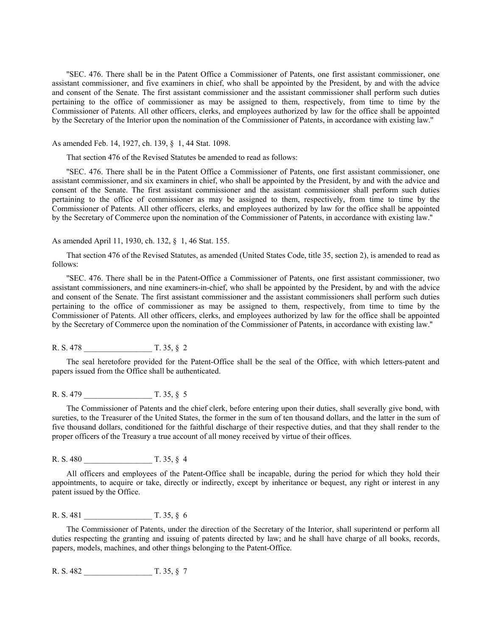''SEC. 476. There shall be in the Patent Office a Commissioner of Patents, one first assistant commissioner, one assistant commissioner, and five examiners in chief, who shall be appointed by the President, by and with the advice and consent of the Senate. The first assistant commissioner and the assistant commissioner shall perform such duties pertaining to the office of commissioner as may be assigned to them, respectively, from time to time by the Commissioner of Patents. All other officers, clerks, and employees authorized by law for the office shall be appointed by the Secretary of the Interior upon the nomination of the Commissioner of Patents, in accordance with existing law.''

As amended Feb. 14, 1927, ch. 139, § 1, 44 Stat. 1098.

That section 476 of the Revised Statutes be amended to read as follows:

''SEC. 476. There shall be in the Patent Office a Commissioner of Patents, one first assistant commissioner, one assistant commissioner, and six examiners in chief, who shall be appointed by the President, by and with the advice and consent of the Senate. The first assistant commissioner and the assistant commissioner shall perform such duties pertaining to the office of commissioner as may be assigned to them, respectively, from time to time by the Commissioner of Patents. All other officers, clerks, and employees authorized by law for the office shall be appointed by the Secretary of Commerce upon the nomination of the Commissioner of Patents, in accordance with existing law.''

As amended April 11, 1930, ch. 132, § 1, 46 Stat. 155.

That section 476 of the Revised Statutes, as amended (United States Code, title 35, section 2), is amended to read as follows:

''SEC. 476. There shall be in the Patent-Office a Commissioner of Patents, one first assistant commissioner, two assistant commissioners, and nine examiners-in-chief, who shall be appointed by the President, by and with the advice and consent of the Senate. The first assistant commissioner and the assistant commissioners shall perform such duties pertaining to the office of commissioner as may be assigned to them, respectively, from time to time by the Commissioner of Patents. All other officers, clerks, and employees authorized by law for the office shall be appointed by the Secretary of Commerce upon the nomination of the Commissioner of Patents, in accordance with existing law.''

R. S. 478 \_\_\_\_\_\_\_\_\_\_\_\_\_\_\_\_\_ T. 35, § 2

The seal heretofore provided for the Patent-Office shall be the seal of the Office, with which letters-patent and papers issued from the Office shall be authenticated.

R. S. 479 **T. 35, 8 5** 

The Commissioner of Patents and the chief clerk, before entering upon their duties, shall severally give bond, with sureties, to the Treasurer of the United States, the former in the sum of ten thousand dollars, and the latter in the sum of five thousand dollars, conditioned for the faithful discharge of their respective duties, and that they shall render to the proper officers of the Treasury a true account of all money received by virtue of their offices.

R. S. 480 **T. 35, § 4** 

All officers and employees of the Patent-Office shall be incapable, during the period for which they hold their appointments, to acquire or take, directly or indirectly, except by inheritance or bequest, any right or interest in any patent issued by the Office.

R. S. 481 T. 35, § 6

The Commissioner of Patents, under the direction of the Secretary of the Interior, shall superintend or perform all duties respecting the granting and issuing of patents directed by law; and he shall have charge of all books, records, papers, models, machines, and other things belonging to the Patent-Office.

R. S. 482 \_\_\_\_\_\_\_\_\_\_\_\_\_\_\_\_\_ T. 35, § 7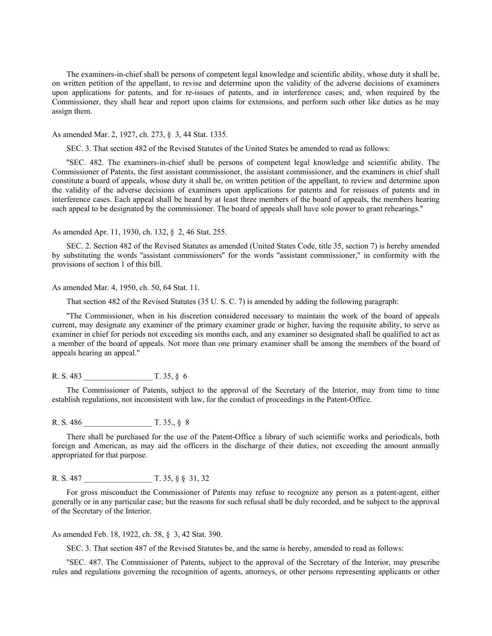The examiners-in-chief shall be persons of competent legal knowledge and scientific ability, whose duty it shall be, on written petition of the appellant, to revise and determine upon the validity of the adverse decisions of examiners upon applications for patents, and for re-issues of patents, and in interference cases; and, when required by the Commissioner, they shall hear and report upon claims for extensions, and perform such other like duties as he may assign them.

As amended Mar. 2, 1927, ch. 273, § 3, 44 Stat. 1335.

SEC. 3. That section 482 of the Revised Statutes of the United States be amended to read as follows:

''SEC. 482. The examiners-in-chief shall be persons of competent legal knowledge and scientific ability. The Commissioner of Patents, the first assistant commissioner, the assistant commissioner, and the examiners in chief shall constitute a board of appeals, whose duty it shall be, on written petition of the appellant, to review and determine upon the validity of the adverse decisions of examiners upon applications for patents and for reissues of patents and in interference cases. Each appeal shall be heard by at least three members of the board of appeals, the members hearing such appeal to be designated by the commissioner. The board of appeals shall have sole power to grant rehearings.''

As amended Apr. 11, 1930, ch. 132, § 2, 46 Stat. 255.

SEC. 2. Section 482 of the Revised Statutes as amended (United States Code, title 35, section 7) is hereby amended by substituting the words ''assistant commissioners'' for the words ''assistant commissioner,'' in conformity with the provisions of section 1 of this bill.

As amended Mar. 4, 1950, ch. 50, 64 Stat. 11.

That section 482 of the Revised Statutes (35 U. S. C. 7) is amended by adding the following paragraph:

''The Commissioner, when in his discretion considered necessary to maintain the work of the board of appeals current, may designate any examiner of the primary examiner grade or higher, having the requisite ability, to serve as examiner in chief for periods not exceeding six months each, and any examiner so designated shall be qualified to act as a member of the board of appeals. Not more than one primary examiner shall be among the members of the board of appeals hearing an appeal.''

R. S. 483 T. 35, § 6

The Commissioner of Patents, subject to the approval of the Secretary of the Interior, may from time to time establish regulations, not inconsistent with law, for the conduct of proceedings in the Patent-Office.

R. S. 486 **T. 35., § 8** 

There shall be purchased for the use of the Patent-Office a library of such scientific works and periodicals, both foreign and American, as may aid the officers in the discharge of their duties, not exceeding the amount annually appropriated for that purpose.

R. S. 487 **T. 35, § § 31, 32** 

For gross misconduct the Commissioner of Patents may refuse to recognize any person as a patent-agent, either generally or in any particular case; but the reasons for such refusal shall be duly recorded, and be subject to the approval of the Secretary of the Interior.

As amended Feb. 18, 1922, ch. 58, § 3, 42 Stat. 390.

SEC. 3. That section 487 of the Revised Statutes be, and the same is hereby, amended to read as follows:

''SEC. 487. The Commissioner of Patents, subject to the approval of the Secretary of the Interior, may prescribe rules and regulations governing the recognition of agents, attorneys, or other persons representing applicants or other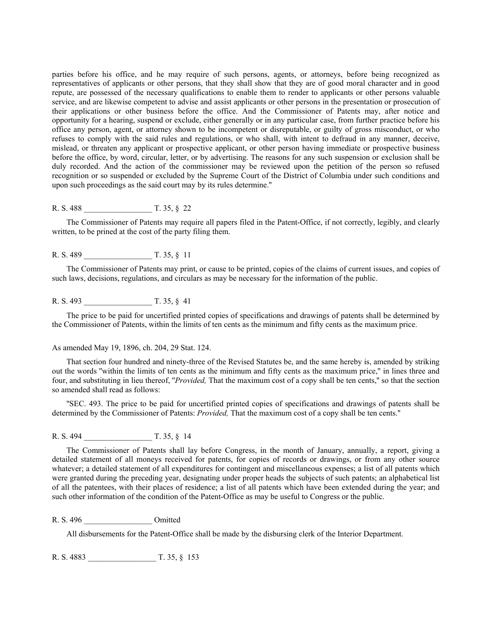parties before his office, and he may require of such persons, agents, or attorneys, before being recognized as representatives of applicants or other persons, that they shall show that they are of good moral character and in good repute, are possessed of the necessary qualifications to enable them to render to applicants or other persons valuable service, and are likewise competent to advise and assist applicants or other persons in the presentation or prosecution of their applications or other business before the office. And the Commissioner of Patents may, after notice and opportunity for a hearing, suspend or exclude, either generally or in any particular case, from further practice before his office any person, agent, or attorney shown to be incompetent or disreputable, or guilty of gross misconduct, or who refuses to comply with the said rules and regulations, or who shall, with intent to defraud in any manner, deceive, mislead, or threaten any applicant or prospective applicant, or other person having immediate or prospective business before the office, by word, circular, letter, or by advertising. The reasons for any such suspension or exclusion shall be duly recorded. And the action of the commissioner may be reviewed upon the petition of the person so refused recognition or so suspended or excluded by the Supreme Court of the District of Columbia under such conditions and upon such proceedings as the said court may by its rules determine.''

R. S. 488 T. 35, § 22

The Commissioner of Patents may require all papers filed in the Patent-Office, if not correctly, legibly, and clearly written, to be prined at the cost of the party filing them.

R. S. 489 **T. 35, 8 11** 

The Commissioner of Patents may print, or cause to be printed, copies of the claims of current issues, and copies of such laws, decisions, regulations, and circulars as may be necessary for the information of the public.

R. S. 493 **T. 35, § 41** 

The price to be paid for uncertified printed copies of specifications and drawings of patents shall be determined by the Commissioner of Patents, within the limits of ten cents as the minimum and fifty cents as the maximum price.

As amended May 19, 1896, ch. 204, 29 Stat. 124.

That section four hundred and ninety-three of the Revised Statutes be, and the same hereby is, amended by striking out the words ''within the limits of ten cents as the minimum and fifty cents as the maximum price,'' in lines three and four, and substituting in lieu thereof, ''*Provided,* That the maximum cost of a copy shall be ten cents,'' so that the section so amended shall read as follows:

''SEC. 493. The price to be paid for uncertified printed copies of specifications and drawings of patents shall be determined by the Commissioner of Patents: *Provided,* That the maximum cost of a copy shall be ten cents.''

R. S. 494 **T. 35, § 14** 

The Commissioner of Patents shall lay before Congress, in the month of January, annually, a report, giving a detailed statement of all moneys received for patents, for copies of records or drawings, or from any other source whatever; a detailed statement of all expenditures for contingent and miscellaneous expenses; a list of all patents which were granted during the preceding year, designating under proper heads the subjects of such patents; an alphabetical list of all the patentees, with their places of residence; a list of all patents which have been extended during the year; and such other information of the condition of the Patent-Office as may be useful to Congress or the public.

R. S. 496 **Omitted** 

All disbursements for the Patent-Office shall be made by the disbursing clerk of the Interior Department.

R. S. 4883 T. 35, § 153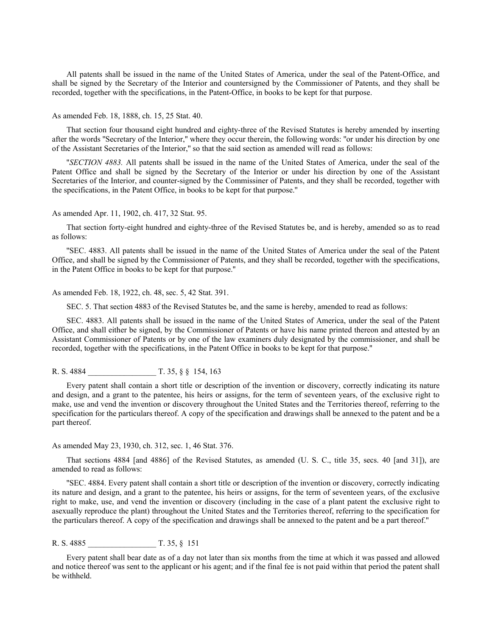All patents shall be issued in the name of the United States of America, under the seal of the Patent-Office, and shall be signed by the Secretary of the Interior and countersigned by the Commissioner of Patents, and they shall be recorded, together with the specifications, in the Patent-Office, in books to be kept for that purpose.

#### As amended Feb. 18, 1888, ch. 15, 25 Stat. 40.

That section four thousand eight hundred and eighty-three of the Revised Statutes is hereby amended by inserting after the words ''Secretary of the Interior,'' where they occur therein, the following words: ''or under his direction by one of the Assistant Secretaries of the Interior,'' so that the said section as amended will read as follows:

''*SECTION 4883.* All patents shall be issued in the name of the United States of America, under the seal of the Patent Office and shall be signed by the Secretary of the Interior or under his direction by one of the Assistant Secretaries of the Interior, and counter-signed by the Commissiner of Patents, and they shall be recorded, together with the specifications, in the Patent Office, in books to be kept for that purpose.''

### As amended Apr. 11, 1902, ch. 417, 32 Stat. 95.

That section forty-eight hundred and eighty-three of the Revised Statutes be, and is hereby, amended so as to read as follows:

''SEC. 4883. All patents shall be issued in the name of the United States of America under the seal of the Patent Office, and shall be signed by the Commissioner of Patents, and they shall be recorded, together with the specifications, in the Patent Office in books to be kept for that purpose.''

### As amended Feb. 18, 1922, ch. 48, sec. 5, 42 Stat. 391.

SEC. 5. That section 4883 of the Revised Statutes be, and the same is hereby, amended to read as follows:

SEC. 4883. All patents shall be issued in the name of the United States of America, under the seal of the Patent Office, and shall either be signed, by the Commissioner of Patents or have his name printed thereon and attested by an Assistant Commissioner of Patents or by one of the law examiners duly designated by the commissioner, and shall be recorded, together with the specifications, in the Patent Office in books to be kept for that purpose.''

R. S. 4884 **T. 35, § § 154, 163** 

Every patent shall contain a short title or description of the invention or discovery, correctly indicating its nature and design, and a grant to the patentee, his heirs or assigns, for the term of seventeen years, of the exclusive right to make, use and vend the invention or discovery throughout the United States and the Territories thereof, referring to the specification for the particulars thereof. A copy of the specification and drawings shall be annexed to the patent and be a part thereof.

### As amended May 23, 1930, ch. 312, sec. 1, 46 Stat. 376.

That sections 4884 [and 4886] of the Revised Statutes, as amended (U. S. C., title 35, secs. 40 [and 31]), are amended to read as follows:

''SEC. 4884. Every patent shall contain a short title or description of the invention or discovery, correctly indicating its nature and design, and a grant to the patentee, his heirs or assigns, for the term of seventeen years, of the exclusive right to make, use, and vend the invention or discovery (including in the case of a plant patent the exclusive right to asexually reproduce the plant) throughout the United States and the Territories thereof, referring to the specification for the particulars thereof. A copy of the specification and drawings shall be annexed to the patent and be a part thereof.''

# R. S. 4885 \_\_\_\_\_\_\_\_\_\_\_\_\_\_\_\_\_ T. 35, § 151

Every patent shall bear date as of a day not later than six months from the time at which it was passed and allowed and notice thereof was sent to the applicant or his agent; and if the final fee is not paid within that period the patent shall be withheld.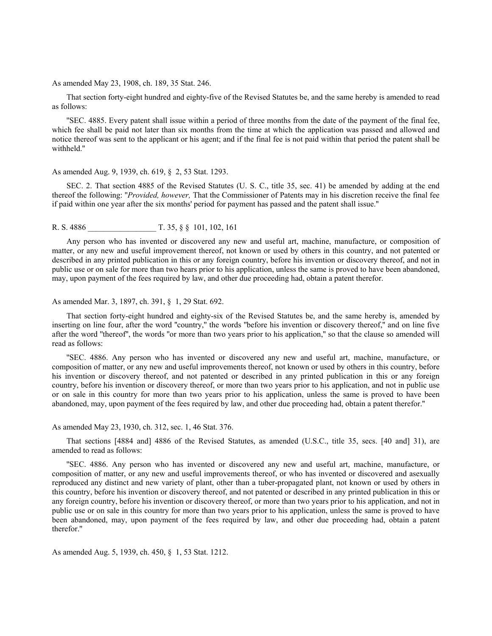### As amended May 23, 1908, ch. 189, 35 Stat. 246.

That section forty-eight hundred and eighty-five of the Revised Statutes be, and the same hereby is amended to read as follows:

''SEC. 4885. Every patent shall issue within a period of three months from the date of the payment of the final fee, which fee shall be paid not later than six months from the time at which the application was passed and allowed and notice thereof was sent to the applicant or his agent; and if the final fee is not paid within that period the patent shall be withheld.''

### As amended Aug. 9, 1939, ch. 619, § 2, 53 Stat. 1293.

SEC. 2. That section 4885 of the Revised Statutes (U. S. C., title 35, sec. 41) be amended by adding at the end thereof the following: ''*Provided, however,* That the Commissioner of Patents may in his discretion receive the final fee if paid within one year after the six months' period for payment has passed and the patent shall issue.''

## R. S. 4886 T. 35, § § 101, 102, 161

Any person who has invented or discovered any new and useful art, machine, manufacture, or composition of matter, or any new and useful improvement thereof, not known or used by others in this country, and not patented or described in any printed publication in this or any foreign country, before his invention or discovery thereof, and not in public use or on sale for more than two hears prior to his application, unless the same is proved to have been abandoned, may, upon payment of the fees required by law, and other due proceeding had, obtain a patent therefor.

### As amended Mar. 3, 1897, ch. 391, § 1, 29 Stat. 692.

That section forty-eight hundred and eighty-six of the Revised Statutes be, and the same hereby is, amended by inserting on line four, after the word ''country,'' the words ''before his invention or discovery thereof,'' and on line five after the word ''thereof'', the words ''or more than two years prior to his application,'' so that the clause so amended will read as follows:

''SEC. 4886. Any person who has invented or discovered any new and useful art, machine, manufacture, or composition of matter, or any new and useful improvements thereof, not known or used by others in this country, before his invention or discovery thereof, and not patented or described in any printed publication in this or any foreign country, before his invention or discovery thereof, or more than two years prior to his application, and not in public use or on sale in this country for more than two years prior to his application, unless the same is proved to have been abandoned, may, upon payment of the fees required by law, and other due proceeding had, obtain a patent therefor.''

### As amended May 23, 1930, ch. 312, sec. 1, 46 Stat. 376.

That sections [4884 and] 4886 of the Revised Statutes, as amended (U.S.C., title 35, secs. [40 and] 31), are amended to read as follows:

''SEC. 4886. Any person who has invented or discovered any new and useful art, machine, manufacture, or composition of matter, or any new and useful improvements thereof, or who has invented or discovered and asexually reproduced any distinct and new variety of plant, other than a tuber-propagated plant, not known or used by others in this country, before his invention or discovery thereof, and not patented or described in any printed publication in this or any foreign country, before his invention or discovery thereof, or more than two years prior to his application, and not in public use or on sale in this country for more than two years prior to his application, unless the same is proved to have been abandoned, may, upon payment of the fees required by law, and other due proceeding had, obtain a patent therefor.''

As amended Aug. 5, 1939, ch. 450, § 1, 53 Stat. 1212.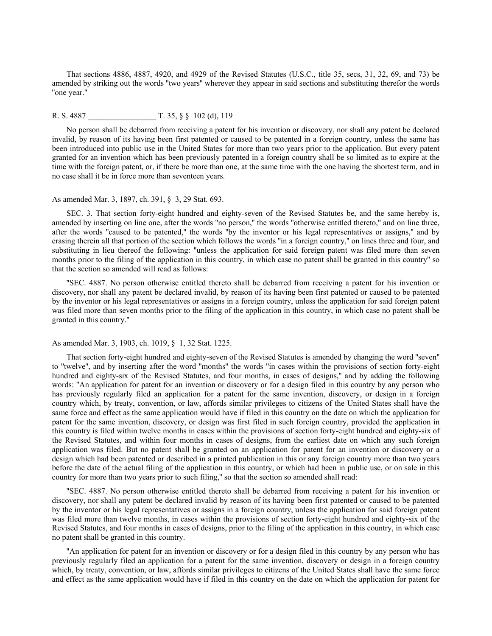That sections 4886, 4887, 4920, and 4929 of the Revised Statutes (U.S.C., title 35, secs, 31, 32, 69, and 73) be amended by striking out the words ''two years'' wherever they appear in said sections and substituting therefor the words "one year."

## R. S. 4887 <br>T. 35, § § 102 (d), 119

No person shall be debarred from receiving a patent for his invention or discovery, nor shall any patent be declared invalid, by reason of its having been first patented or caused to be patented in a foreign country, unless the same has been introduced into public use in the United States for more than two years prior to the application. But every patent granted for an invention which has been previously patented in a foreign country shall be so limited as to expire at the time with the foreign patent, or, if there be more than one, at the same time with the one having the shortest term, and in no case shall it be in force more than seventeen years.

## As amended Mar. 3, 1897, ch. 391, § 3, 29 Stat. 693.

SEC. 3. That section forty-eight hundred and eighty-seven of the Revised Statutes be, and the same hereby is, amended by inserting on line one, after the words ''no person,'' the words ''otherwise entitled thereto,'' and on line three, after the words ''caused to be patented,'' the words ''by the inventor or his legal representatives or assigns,'' and by erasing therein all that portion of the section which follows the words ''in a foreign country,'' on lines three and four, and substituting in lieu thereof the following: ''unless the application for said foreign patent was filed more than seven months prior to the filing of the application in this country, in which case no patent shall be granted in this country'' so that the section so amended will read as follows:

''SEC. 4887. No person otherwise entitled thereto shall be debarred from receiving a patent for his invention or discovery, nor shall any patent be declared invalid, by reason of its having been first patented or caused to be patented by the inventor or his legal representatives or assigns in a foreign country, unless the application for said foreign patent was filed more than seven months prior to the filing of the application in this country, in which case no patent shall be granted in this country.''

### As amended Mar. 3, 1903, ch. 1019, § 1, 32 Stat. 1225.

That section forty-eight hundred and eighty-seven of the Revised Statutes is amended by changing the word ''seven'' to ''twelve'', and by inserting after the word ''months'' the words ''in cases within the provisions of section forty-eight hundred and eighty-six of the Revised Statutes, and four months, in cases of designs," and by adding the following words: ''An application for patent for an invention or discovery or for a design filed in this country by any person who has previously regularly filed an application for a patent for the same invention, discovery, or design in a foreign country which, by treaty, convention, or law, affords similar privileges to citizens of the United States shall have the same force and effect as the same application would have if filed in this country on the date on which the application for patent for the same invention, discovery, or design was first filed in such foreign country, provided the application in this country is filed within twelve months in cases within the provisions of section forty-eight hundred and eighty-six of the Revised Statutes, and within four months in cases of designs, from the earliest date on which any such foreign application was filed. But no patent shall be granted on an application for patent for an invention or discovery or a design which had been patented or described in a printed publication in this or any foreign country more than two years before the date of the actual filing of the application in this country, or which had been in public use, or on sale in this country for more than two years prior to such filing,'' so that the section so amended shall read:

''SEC. 4887. No person otherwise entitled thereto shall be debarred from receiving a patent for his invention or discovery, nor shall any patent be declared invalid by reason of its having been first patented or caused to be patented by the inventor or his legal representatives or assigns in a foreign country, unless the application for said foreign patent was filed more than twelve months, in cases within the provisions of section forty-eight hundred and eighty-six of the Revised Statutes, and four months in cases of designs, prior to the filing of the application in this country, in which case no patent shall be granted in this country.

''An application for patent for an invention or discovery or for a design filed in this country by any person who has previously regularly filed an application for a patent for the same invention, discovery or design in a foreign country which, by treaty, convention, or law, affords similar privileges to citizens of the United States shall have the same force and effect as the same application would have if filed in this country on the date on which the application for patent for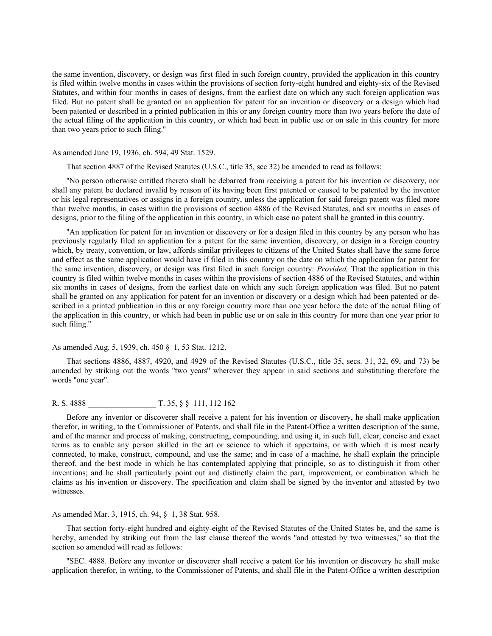the same invention, discovery, or design was first filed in such foreign country, provided the application in this country is filed within twelve months in cases within the provisions of section forty-eight hundred and eighty-six of the Revised Statutes, and within four months in cases of designs, from the earliest date on which any such foreign application was filed. But no patent shall be granted on an application for patent for an invention or discovery or a design which had been patented or described in a printed publication in this or any foreign country more than two years before the date of the actual filing of the application in this country, or which had been in public use or on sale in this country for more than two years prior to such filing.''

### As amended June 19, 1936, ch. 594, 49 Stat. 1529.

That section 4887 of the Revised Statutes (U.S.C., title 35, sec 32) be amended to read as follows:

''No person otherwise entitled thereto shall be debarred from receiving a patent for his invention or discovery, nor shall any patent be declared invalid by reason of its having been first patented or caused to be patented by the inventor or his legal representatives or assigns in a foreign country, unless the application for said foreign patent was filed more than twelve months, in cases within the provisions of section 4886 of the Revised Statutes, and six months in cases of designs, prior to the filing of the application in this country, in which case no patent shall be granted in this country.

''An application for patent for an invention or discovery or for a design filed in this country by any person who has previously regularly filed an application for a patent for the same invention, discovery, or design in a foreign country which, by treaty, convention, or law, affords similar privileges to citizens of the United States shall have the same force and effect as the same application would have if filed in this country on the date on which the application for patent for the same invention, discovery, or design was first filed in such foreign country: *Provided,* That the application in this country is filed within twelve months in cases within the provisions of section 4886 of the Revised Statutes, and within six months in cases of designs, from the earliest date on which any such foreign application was filed. But no patent shall be granted on any application for patent for an invention or discovery or a design which had been patented or described in a printed publication in this or any foreign country more than one year before the date of the actual filing of the application in this country, or which had been in public use or on sale in this country for more than one year prior to such filing.''

### As amended Aug. 5, 1939, ch. 450 § 1, 53 Stat. 1212.

That sections 4886, 4887, 4920, and 4929 of the Revised Statutes (U.S.C., title 35, secs. 31, 32, 69, and 73) be amended by striking out the words ''two years'' wherever they appear in said sections and substituting therefore the words ''one year''.

# R. S. 4888 T. 35, § § 111, 112 162

Before any inventor or discoverer shall receive a patent for his invention or discovery, he shall make application therefor, in writing, to the Commissioner of Patents, and shall file in the Patent-Office a written description of the same, and of the manner and process of making, constructing, compounding, and using it, in such full, clear, concise and exact terms as to enable any person skilled in the art or science to which it appertains, or with which it is most nearly connected, to make, construct, compound, and use the same; and in case of a machine, he shall explain the principle thereof, and the best mode in which he has contemplated applying that principle, so as to distinguish it from other inventions; and he shall particularly point out and distinctly claim the part, improvement, or combination which he claims as his invention or discovery. The specification and claim shall be signed by the inventor and attested by two witnesses.

### As amended Mar. 3, 1915, ch. 94, § 1, 38 Stat. 958.

That section forty-eight hundred and eighty-eight of the Revised Statutes of the United States be, and the same is hereby, amended by striking out from the last clause thereof the words "and attested by two witnesses," so that the section so amended will read as follows:

''SEC. 4888. Before any inventor or discoverer shall receive a patent for his invention or discovery he shall make application therefor, in writing, to the Commissioner of Patents, and shall file in the Patent-Office a written description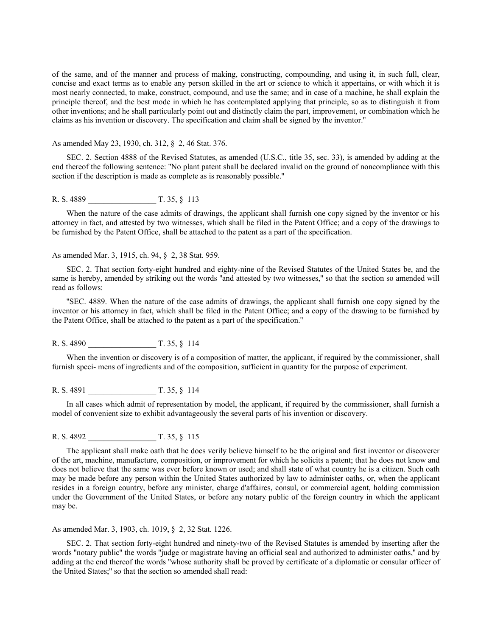of the same, and of the manner and process of making, constructing, compounding, and using it, in such full, clear, concise and exact terms as to enable any person skilled in the art or science to which it appertains, or with which it is most nearly connected, to make, construct, compound, and use the same; and in case of a machine, he shall explain the principle thereof, and the best mode in which he has contemplated applying that principle, so as to distinguish it from other inventions; and he shall particularly point out and distinctly claim the part, improvement, or combination which he claims as his invention or discovery. The specification and claim shall be signed by the inventor.''

### As amended May 23, 1930, ch. 312, § 2, 46 Stat. 376.

SEC. 2. Section 4888 of the Revised Statutes, as amended (U.S.C., title 35, sec. 33), is amended by adding at the end thereof the following sentence: ''No plant patent shall be declared invalid on the ground of noncompliance with this section if the description is made as complete as is reasonably possible.''

R. S. 4889 **T. 35, 8 113** 

When the nature of the case admits of drawings, the applicant shall furnish one copy signed by the inventor or his attorney in fact, and attested by two witnesses, which shall be filed in the Patent Office; and a copy of the drawings to be furnished by the Patent Office, shall be attached to the patent as a part of the specification.

As amended Mar. 3, 1915, ch. 94, § 2, 38 Stat. 959.

SEC. 2. That section forty-eight hundred and eighty-nine of the Revised Statutes of the United States be, and the same is hereby, amended by striking out the words ''and attested by two witnesses,'' so that the section so amended will read as follows:

''SEC. 4889. When the nature of the case admits of drawings, the applicant shall furnish one copy signed by the inventor or his attorney in fact, which shall be filed in the Patent Office; and a copy of the drawing to be furnished by the Patent Office, shall be attached to the patent as a part of the specification.''

R. S. 4890 **T. 35, § 114** 

When the invention or discovery is of a composition of matter, the applicant, if required by the commissioner, shall furnish speci- mens of ingredients and of the composition, sufficient in quantity for the purpose of experiment.

R. S. 4891 **T. 35, § 114** 

In all cases which admit of representation by model, the applicant, if required by the commissioner, shall furnish a model of convenient size to exhibit advantageously the several parts of his invention or discovery.

R. S. 4892 **T. 35, § 115** 

The applicant shall make oath that he does verily believe himself to be the original and first inventor or discoverer of the art, machine, manufacture, composition, or improvement for which he solicits a patent; that he does not know and does not believe that the same was ever before known or used; and shall state of what country he is a citizen. Such oath may be made before any person within the United States authorized by law to administer oaths, or, when the applicant resides in a foreign country, before any minister, charge d'affaires, consul, or commercial agent, holding commission under the Government of the United States, or before any notary public of the foreign country in which the applicant may be.

## As amended Mar. 3, 1903, ch. 1019, § 2, 32 Stat. 1226.

SEC. 2. That section forty-eight hundred and ninety-two of the Revised Statutes is amended by inserting after the words ''notary public'' the words ''judge or magistrate having an official seal and authorized to administer oaths,'' and by adding at the end thereof the words ''whose authority shall be proved by certificate of a diplomatic or consular officer of the United States;'' so that the section so amended shall read: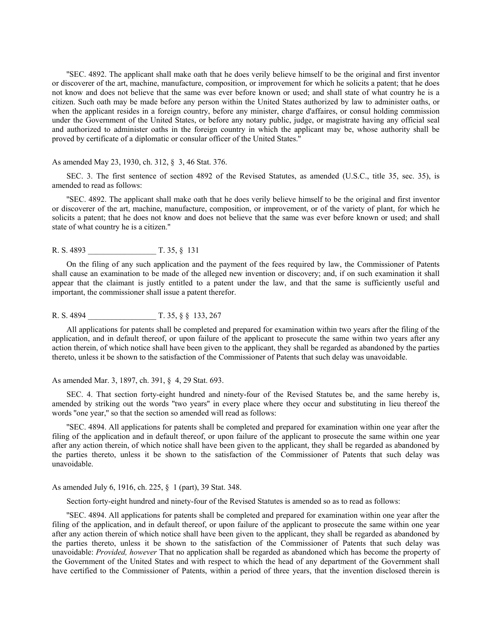''SEC. 4892. The applicant shall make oath that he does verily believe himself to be the original and first inventor or discoverer of the art, machine, manufacture, composition, or improvement for which he solicits a patent; that he does not know and does not believe that the same was ever before known or used; and shall state of what country he is a citizen. Such oath may be made before any person within the United States authorized by law to administer oaths, or when the applicant resides in a foreign country, before any minister, charge d'affaires, or consul holding commission under the Government of the United States, or before any notary public, judge, or magistrate having any official seal and authorized to administer oaths in the foreign country in which the applicant may be, whose authority shall be proved by certificate of a diplomatic or consular officer of the United States.''

As amended May 23, 1930, ch. 312, § 3, 46 Stat. 376.

SEC. 3. The first sentence of section 4892 of the Revised Statutes, as amended (U.S.C., title 35, sec. 35), is amended to read as follows:

''SEC. 4892. The applicant shall make oath that he does verily believe himself to be the original and first inventor or discoverer of the art, machine, manufacture, composition, or improvement, or of the variety of plant, for which he solicits a patent; that he does not know and does not believe that the same was ever before known or used; and shall state of what country he is a citizen.''

R. S. 4893 **T. 35, § 131** 

On the filing of any such application and the payment of the fees required by law, the Commissioner of Patents shall cause an examination to be made of the alleged new invention or discovery; and, if on such examination it shall appear that the claimant is justly entitled to a patent under the law, and that the same is sufficiently useful and important, the commissioner shall issue a patent therefor.

R. S. 4894 **T.** 35, § § 133, 267

All applications for patents shall be completed and prepared for examination within two years after the filing of the application, and in default thereof, or upon failure of the applicant to prosecute the same within two years after any action therein, of which notice shall have been given to the applicant, they shall be regarded as abandoned by the parties thereto, unless it be shown to the satisfaction of the Commissioner of Patents that such delay was unavoidable.

## As amended Mar. 3, 1897, ch. 391, § 4, 29 Stat. 693.

SEC. 4. That section forty-eight hundred and ninety-four of the Revised Statutes be, and the same hereby is, amended by striking out the words ''two years'' in every place where they occur and substituting in lieu thereof the words ''one year,'' so that the section so amended will read as follows:

''SEC. 4894. All applications for patents shall be completed and prepared for examination within one year after the filing of the application and in default thereof, or upon failure of the applicant to prosecute the same within one year after any action therein, of which notice shall have been given to the applicant, they shall be regarded as abandoned by the parties thereto, unless it be shown to the satisfaction of the Commissioner of Patents that such delay was unavoidable.

As amended July 6, 1916, ch. 225, § 1 (part), 39 Stat. 348.

Section forty-eight hundred and ninety-four of the Revised Statutes is amended so as to read as follows:

''SEC. 4894. All applications for patents shall be completed and prepared for examination within one year after the filing of the application, and in default thereof, or upon failure of the applicant to prosecute the same within one year after any action therein of which notice shall have been given to the applicant, they shall be regarded as abandoned by the parties thereto, unless it be shown to the satisfaction of the Commissioner of Patents that such delay was unavoidable: *Provided, however* That no application shall be regarded as abandoned which has become the property of the Government of the United States and with respect to which the head of any department of the Government shall have certified to the Commissioner of Patents, within a period of three years, that the invention disclosed therein is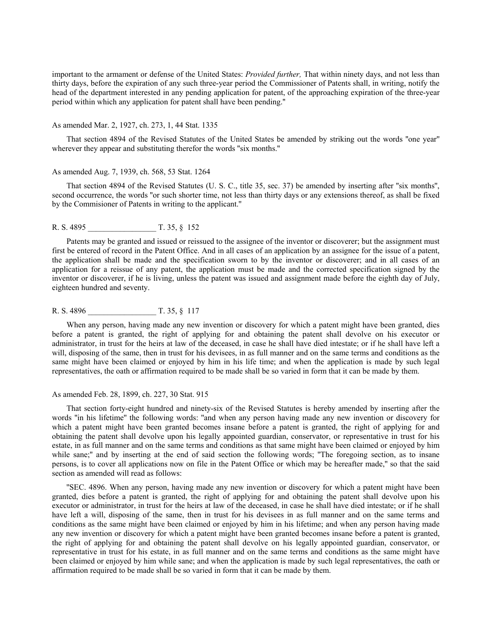important to the armament or defense of the United States: *Provided further,* That within ninety days, and not less than thirty days, before the expiration of any such three-year period the Commissioner of Patents shall, in writing, notify the head of the department interested in any pending application for patent, of the approaching expiration of the three-year period within which any application for patent shall have been pending.''

### As amended Mar. 2, 1927, ch. 273, 1, 44 Stat. 1335

That section 4894 of the Revised Statutes of the United States be amended by striking out the words ''one year'' wherever they appear and substituting therefor the words "six months."

## As amended Aug. 7, 1939, ch. 568, 53 Stat. 1264

That section 4894 of the Revised Statutes (U. S. C., title 35, sec. 37) be amended by inserting after ''six months'', second occurrence, the words ''or such shorter time, not less than thirty days or any extensions thereof, as shall be fixed by the Commisioner of Patents in writing to the applicant.''

# R. S. 4895 **T. 35, § 152**

Patents may be granted and issued or reissued to the assignee of the inventor or discoverer; but the assignment must first be entered of record in the Patent Office. And in all cases of an application by an assignee for the issue of a patent, the application shall be made and the specification sworn to by the inventor or discoverer; and in all cases of an application for a reissue of any patent, the application must be made and the corrected specification signed by the inventor or discoverer, if he is living, unless the patent was issued and assignment made before the eighth day of July, eighteen hundred and seventy.

# R. S. 4896 **T. 35, § 117**

When any person, having made any new invention or discovery for which a patent might have been granted, dies before a patent is granted, the right of applying for and obtaining the patent shall devolve on his executor or administrator, in trust for the heirs at law of the deceased, in case he shall have died intestate; or if he shall have left a will, disposing of the same, then in trust for his devisees, in as full manner and on the same terms and conditions as the same might have been claimed or enjoyed by him in his life time; and when the application is made by such legal representatives, the oath or affirmation required to be made shall be so varied in form that it can be made by them.

#### As amended Feb. 28, 1899, ch. 227, 30 Stat. 915

That section forty-eight hundred and ninety-six of the Revised Statutes is hereby amended by inserting after the words ''in his lifetime'' the following words: ''and when any person having made any new invention or discovery for which a patent might have been granted becomes insane before a patent is granted, the right of applying for and obtaining the patent shall devolve upon his legally appointed guardian, conservator, or representative in trust for his estate, in as full manner and on the same terms and conditions as that same might have been claimed or enjoyed by him while sane;" and by inserting at the end of said section the following words; "The foregoing section, as to insane persons, is to cover all applications now on file in the Patent Office or which may be hereafter made,'' so that the said section as amended will read as follows:

''SEC. 4896. When any person, having made any new invention or discovery for which a patent might have been granted, dies before a patent is granted, the right of applying for and obtaining the patent shall devolve upon his executor or administrator, in trust for the heirs at law of the deceased, in case he shall have died intestate; or if he shall have left a will, disposing of the same, then in trust for his devisees in as full manner and on the same terms and conditions as the same might have been claimed or enjoyed by him in his lifetime; and when any person having made any new invention or discovery for which a patent might have been granted becomes insane before a patent is granted, the right of applying for and obtaining the patent shall devolve on his legally appointed guardian, conservator, or representative in trust for his estate, in as full manner and on the same terms and conditions as the same might have been claimed or enjoyed by him while sane; and when the application is made by such legal representatives, the oath or affirmation required to be made shall be so varied in form that it can be made by them.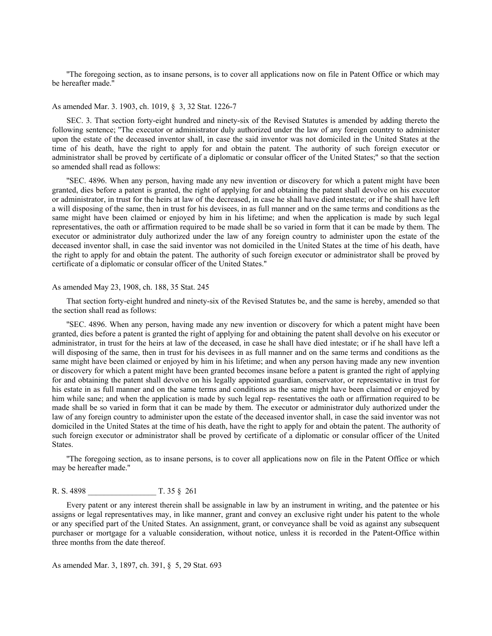''The foregoing section, as to insane persons, is to cover all applications now on file in Patent Office or which may be hereafter made.''

### As amended Mar. 3. 1903, ch. 1019, § 3, 32 Stat. 1226-7

SEC. 3. That section forty-eight hundred and ninety-six of the Revised Statutes is amended by adding thereto the following sentence; ''The executor or administrator duly authorized under the law of any foreign country to administer upon the estate of the deceased inventor shall, in case the said inventor was not domiciled in the United States at the time of his death, have the right to apply for and obtain the patent. The authority of such foreign executor or administrator shall be proved by certificate of a diplomatic or consular officer of the United States;'' so that the section so amended shall read as follows:

''SEC. 4896. When any person, having made any new invention or discovery for which a patent might have been granted, dies before a patent is granted, the right of applying for and obtaining the patent shall devolve on his executor or administrator, in trust for the heirs at law of the decreased, in case he shall have died intestate; or if he shall have left a will disposing of the same, then in trust for his devisees, in as full manner and on the same terms and conditions as the same might have been claimed or enjoyed by him in his lifetime; and when the application is made by such legal representatives, the oath or affirmation required to be made shall be so varied in form that it can be made by them. The executor or administrator duly authorized under the law of any foreign country to administer upon the estate of the deceased inventor shall, in case the said inventor was not domiciled in the United States at the time of his death, have the right to apply for and obtain the patent. The authority of such foreign executor or administrator shall be proved by certificate of a diplomatic or consular officer of the United States.''

### As amended May 23, 1908, ch. 188, 35 Stat. 245

That section forty-eight hundred and ninety-six of the Revised Statutes be, and the same is hereby, amended so that the section shall read as follows:

''SEC. 4896. When any person, having made any new invention or discovery for which a patent might have been granted, dies before a patent is granted the right of applying for and obtaining the patent shall devolve on his executor or administrator, in trust for the heirs at law of the deceased, in case he shall have died intestate; or if he shall have left a will disposing of the same, then in trust for his devisees in as full manner and on the same terms and conditions as the same might have been claimed or enjoyed by him in his lifetime; and when any person having made any new invention or discovery for which a patent might have been granted becomes insane before a patent is granted the right of applying for and obtaining the patent shall devolve on his legally appointed guardian, conservator, or representative in trust for his estate in as full manner and on the same terms and conditions as the same might have been claimed or enjoyed by him while sane; and when the application is made by such legal rep- resentatives the oath or affirmation required to be made shall be so varied in form that it can be made by them. The executor or administrator duly authorized under the law of any foreign country to administer upon the estate of the deceased inventor shall, in case the said inventor was not domiciled in the United States at the time of his death, have the right to apply for and obtain the patent. The authority of such foreign executor or administrator shall be proved by certificate of a diplomatic or consular officer of the United States.

''The foregoing section, as to insane persons, is to cover all applications now on file in the Patent Office or which may be hereafter made.''

## R. S. 4898 T. 35 § 261

Every patent or any interest therein shall be assignable in law by an instrument in writing, and the patentee or his assigns or legal representatives may, in like manner, grant and convey an exclusive right under his patent to the whole or any specified part of the United States. An assignment, grant, or conveyance shall be void as against any subsequent purchaser or mortgage for a valuable consideration, without notice, unless it is recorded in the Patent-Office within three months from the date thereof.

As amended Mar. 3, 1897, ch. 391, § 5, 29 Stat. 693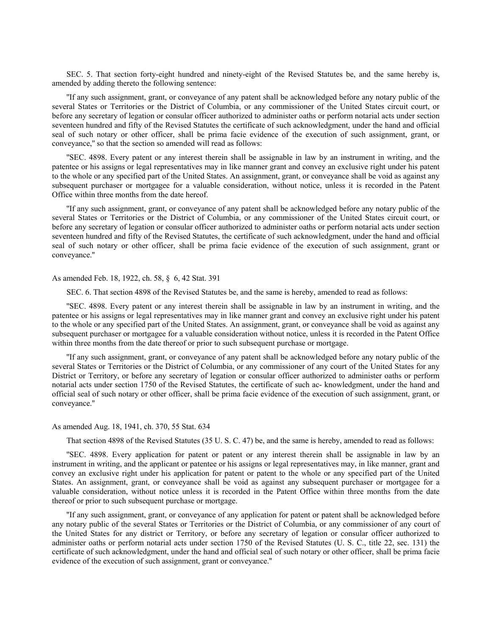SEC. 5. That section forty-eight hundred and ninety-eight of the Revised Statutes be, and the same hereby is, amended by adding thereto the following sentence:

''If any such assignment, grant, or conveyance of any patent shall be acknowledged before any notary public of the several States or Territories or the District of Columbia, or any commissioner of the United States circuit court, or before any secretary of legation or consular officer authorized to administer oaths or perform notarial acts under section seventeen hundred and fifty of the Revised Statutes the certificate of such acknowledgment, under the hand and official seal of such notary or other officer, shall be prima facie evidence of the execution of such assignment, grant, or conveyance,'' so that the section so amended will read as follows:

''SEC. 4898. Every patent or any interest therein shall be assignable in law by an instrument in writing, and the patentee or his assigns or legal representatives may in like manner grant and convey an exclusive right under his patent to the whole or any specified part of the United States. An assignment, grant, or conveyance shall be void as against any subsequent purchaser or mortgagee for a valuable consideration, without notice, unless it is recorded in the Patent Office within three months from the date hereof.

''If any such assignment, grant, or conveyance of any patent shall be acknowledged before any notary public of the several States or Territories or the District of Columbia, or any commissioner of the United States circuit court, or before any secretary of legation or consular officer authorized to administer oaths or perform notarial acts under section seventeen hundred and fifty of the Revised Statutes, the certificate of such acknowledgment, under the hand and official seal of such notary or other officer, shall be prima facie evidence of the execution of such assignment, grant or conveyance.''

## As amended Feb. 18, 1922, ch. 58, § 6, 42 Stat. 391

SEC. 6. That section 4898 of the Revised Statutes be, and the same is hereby, amended to read as follows:

''SEC. 4898. Every patent or any interest therein shall be assignable in law by an instrument in writing, and the patentee or his assigns or legal representatives may in like manner grant and convey an exclusive right under his patent to the whole or any specified part of the United States. An assignment, grant, or conveyance shall be void as against any subsequent purchaser or mortgagee for a valuable consideration without notice, unless it is recorded in the Patent Office within three months from the date thereof or prior to such subsequent purchase or mortgage.

''If any such assignment, grant, or conveyance of any patent shall be acknowledged before any notary public of the several States or Territories or the District of Columbia, or any commissioner of any court of the United States for any District or Territory, or before any secretary of legation or consular officer authorized to administer oaths or perform notarial acts under section 1750 of the Revised Statutes, the certificate of such ac- knowledgment, under the hand and official seal of such notary or other officer, shall be prima facie evidence of the execution of such assignment, grant, or conveyance.''

### As amended Aug. 18, 1941, ch. 370, 55 Stat. 634

That section 4898 of the Revised Statutes (35 U. S. C. 47) be, and the same is hereby, amended to read as follows:

''SEC. 4898. Every application for patent or patent or any interest therein shall be assignable in law by an instrument in writing, and the applicant or patentee or his assigns or legal representatives may, in like manner, grant and convey an exclusive right under his application for patent or patent to the whole or any specified part of the United States. An assignment, grant, or conveyance shall be void as against any subsequent purchaser or mortgagee for a valuable consideration, without notice unless it is recorded in the Patent Office within three months from the date thereof or prior to such subsequent purchase or mortgage.

''If any such assignment, grant, or conveyance of any application for patent or patent shall be acknowledged before any notary public of the several States or Territories or the District of Columbia, or any commissioner of any court of the United States for any district or Territory, or before any secretary of legation or consular officer authorized to administer oaths or perform notarial acts under section 1750 of the Revised Statutes (U. S. C., title 22, sec. 131) the certificate of such acknowledgment, under the hand and official seal of such notary or other officer, shall be prima facie evidence of the execution of such assignment, grant or conveyance.''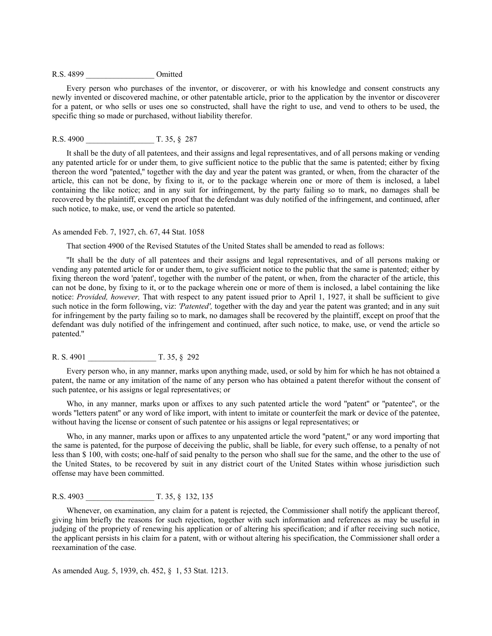### R.S. 4899 **Omitted**

Every person who purchases of the inventor, or discoverer, or with his knowledge and consent constructs any newly invented or discovered machine, or other patentable article, prior to the application by the inventor or discoverer for a patent, or who sells or uses one so constructed, shall have the right to use, and vend to others to be used, the specific thing so made or purchased, without liability therefor.

## R.S. 4900 T. 35, § 287

It shall be the duty of all patentees, and their assigns and legal representatives, and of all persons making or vending any patented article for or under them, to give sufficient notice to the public that the same is patented; either by fixing thereon the word ''patented,'' together with the day and year the patent was granted, or when, from the character of the article, this can not be done, by fixing to it, or to the package wherein one or more of them is inclosed, a label containing the like notice; and in any suit for infringement, by the party failing so to mark, no damages shall be recovered by the plaintiff, except on proof that the defendant was duly notified of the infringement, and continued, after such notice, to make, use, or vend the article so patented.

### As amended Feb. 7, 1927, ch. 67, 44 Stat. 1058

That section 4900 of the Revised Statutes of the United States shall be amended to read as follows:

''It shall be the duty of all patentees and their assigns and legal representatives, and of all persons making or vending any patented article for or under them, to give sufficient notice to the public that the same is patented; either by fixing thereon the word 'patent', together with the number of the patent, or when, from the character of the article, this can not be done, by fixing to it, or to the package wherein one or more of them is inclosed, a label containing the like notice: *Provided, however,* That with respect to any patent issued prior to April 1, 1927, it shall be sufficient to give such notice in the form following, viz: *'Patented',* together with the day and year the patent was granted; and in any suit for infringement by the party failing so to mark, no damages shall be recovered by the plaintiff, except on proof that the defendant was duly notified of the infringement and continued, after such notice, to make, use, or vend the article so patented.''

## R. S. 4901 **T. 35, 8 292**

Every person who, in any manner, marks upon anything made, used, or sold by him for which he has not obtained a patent, the name or any imitation of the name of any person who has obtained a patent therefor without the consent of such patentee, or his assigns or legal representatives; or

Who, in any manner, marks upon or affixes to any such patented article the word "patent" or "patentee", or the words ''letters patent'' or any word of like import, with intent to imitate or counterfeit the mark or device of the patentee, without having the license or consent of such patentee or his assigns or legal representatives; or

Who, in any manner, marks upon or affixes to any unpatented article the word ''patent,'' or any word importing that the same is patented, for the purpose of deceiving the public, shall be liable, for every such offense, to a penalty of not less than \$ 100, with costs; one-half of said penalty to the person who shall sue for the same, and the other to the use of the United States, to be recovered by suit in any district court of the United States within whose jurisdiction such offense may have been committed.

# R.S. 4903 **T. 35, § 132, 135**

Whenever, on examination, any claim for a patent is rejected, the Commissioner shall notify the applicant thereof, giving him briefly the reasons for such rejection, together with such information and references as may be useful in judging of the propriety of renewing his application or of altering his specification; and if after receiving such notice, the applicant persists in his claim for a patent, with or without altering his specification, the Commissioner shall order a reexamination of the case.

As amended Aug. 5, 1939, ch. 452, § 1, 53 Stat. 1213.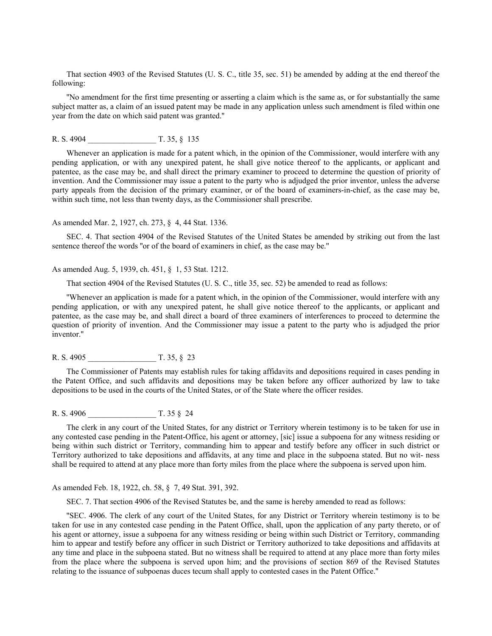That section 4903 of the Revised Statutes (U. S. C., title 35, sec. 51) be amended by adding at the end thereof the following:

''No amendment for the first time presenting or asserting a claim which is the same as, or for substantially the same subject matter as, a claim of an issued patent may be made in any application unless such amendment is filed within one year from the date on which said patent was granted.''

### R. S. 4904 T. 35, § 135

Whenever an application is made for a patent which, in the opinion of the Commissioner, would interfere with any pending application, or with any unexpired patent, he shall give notice thereof to the applicants, or applicant and patentee, as the case may be, and shall direct the primary examiner to proceed to determine the question of priority of invention. And the Commissioner may issue a patent to the party who is adjudged the prior inventor, unless the adverse party appeals from the decision of the primary examiner, or of the board of examiners-in-chief, as the case may be, within such time, not less than twenty days, as the Commissioner shall prescribe.

### As amended Mar. 2, 1927, ch. 273, § 4, 44 Stat. 1336.

SEC. 4. That section 4904 of the Revised Statutes of the United States be amended by striking out from the last sentence thereof the words ''or of the board of examiners in chief, as the case may be.''

### As amended Aug. 5, 1939, ch. 451, § 1, 53 Stat. 1212.

That section 4904 of the Revised Statutes (U. S. C., title 35, sec. 52) be amended to read as follows:

''Whenever an application is made for a patent which, in the opinion of the Commissioner, would interfere with any pending application, or with any unexpired patent, he shall give notice thereof to the applicants, or applicant and patentee, as the case may be, and shall direct a board of three examiners of interferences to proceed to determine the question of priority of invention. And the Commissioner may issue a patent to the party who is adjudged the prior inventor.''

# R. S. 4905 **T. 35, § 23**

The Commissioner of Patents may establish rules for taking affidavits and depositions required in cases pending in the Patent Office, and such affidavits and depositions may be taken before any officer authorized by law to take depositions to be used in the courts of the United States, or of the State where the officer resides.

# R. S. 4906 **T. 35 § 24**

The clerk in any court of the United States, for any district or Territory wherein testimony is to be taken for use in any contested case pending in the Patent-Office, his agent or attorney, [sic] issue a subpoena for any witness residing or being within such district or Territory, commanding him to appear and testify before any officer in such district or Territory authorized to take depositions and affidavits, at any time and place in the subpoena stated. But no wit- ness shall be required to attend at any place more than forty miles from the place where the subpoena is served upon him.

#### As amended Feb. 18, 1922, ch. 58, § 7, 49 Stat. 391, 392.

SEC. 7. That section 4906 of the Revised Statutes be, and the same is hereby amended to read as follows:

''SEC. 4906. The clerk of any court of the United States, for any District or Territory wherein testimony is to be taken for use in any contested case pending in the Patent Office, shall, upon the application of any party thereto, or of his agent or attorney, issue a subpoena for any witness residing or being within such District or Territory, commanding him to appear and testify before any officer in such District or Territory authorized to take depositions and affidavits at any time and place in the subpoena stated. But no witness shall be required to attend at any place more than forty miles from the place where the subpoena is served upon him; and the provisions of section 869 of the Revised Statutes relating to the issuance of subpoenas duces tecum shall apply to contested cases in the Patent Office.''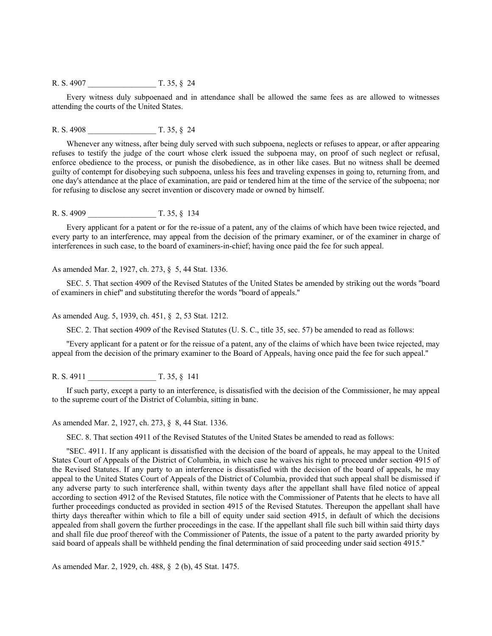R. S. 4907 **T. 35, § 24** 

Every witness duly subpoenaed and in attendance shall be allowed the same fees as are allowed to witnesses attending the courts of the United States.

R. S. 4908 T. 35, § 24

Whenever any witness, after being duly served with such subpoena, neglects or refuses to appear, or after appearing refuses to testify the judge of the court whose clerk issued the subpoena may, on proof of such neglect or refusal, enforce obedience to the process, or punish the disobedience, as in other like cases. But no witness shall be deemed guilty of contempt for disobeying such subpoena, unless his fees and traveling expenses in going to, returning from, and one day's attendance at the place of examination, are paid or tendered him at the time of the service of the subpoena; nor for refusing to disclose any secret invention or discovery made or owned by himself.

R. S. 4909 \_\_\_\_\_\_\_\_\_\_\_\_\_\_\_\_\_ T. 35, § 134

Every applicant for a patent or for the re-issue of a patent, any of the claims of which have been twice rejected, and every party to an interference, may appeal from the decision of the primary examiner, or of the examiner in charge of interferences in such case, to the board of examiners-in-chief; having once paid the fee for such appeal.

As amended Mar. 2, 1927, ch. 273, § 5, 44 Stat. 1336.

SEC. 5. That section 4909 of the Revised Statutes of the United States be amended by striking out the words ''board of examiners in chief'' and substituting therefor the words ''board of appeals.''

As amended Aug. 5, 1939, ch. 451, § 2, 53 Stat. 1212.

SEC. 2. That section 4909 of the Revised Statutes (U. S. C., title 35, sec. 57) be amended to read as follows:

''Every applicant for a patent or for the reissue of a patent, any of the claims of which have been twice rejected, may appeal from the decision of the primary examiner to the Board of Appeals, having once paid the fee for such appeal.''

R. S. 4911 **T. 35, 8** 141

If such party, except a party to an interference, is dissatisfied with the decision of the Commissioner, he may appeal to the supreme court of the District of Columbia, sitting in banc.

As amended Mar. 2, 1927, ch. 273, § 8, 44 Stat. 1336.

SEC. 8. That section 4911 of the Revised Statutes of the United States be amended to read as follows:

''SEC. 4911. If any applicant is dissatisfied with the decision of the board of appeals, he may appeal to the United States Court of Appeals of the District of Columbia, in which case he waives his right to proceed under section 4915 of the Revised Statutes. If any party to an interference is dissatisfied with the decision of the board of appeals, he may appeal to the United States Court of Appeals of the District of Columbia, provided that such appeal shall be dismissed if any adverse party to such interference shall, within twenty days after the appellant shall have filed notice of appeal according to section 4912 of the Revised Statutes, file notice with the Commissioner of Patents that he elects to have all further proceedings conducted as provided in section 4915 of the Revised Statutes. Thereupon the appellant shall have thirty days thereafter within which to file a bill of equity under said section 4915, in default of which the decisions appealed from shall govern the further proceedings in the case. If the appellant shall file such bill within said thirty days and shall file due proof thereof with the Commissioner of Patents, the issue of a patent to the party awarded priority by said board of appeals shall be withheld pending the final determination of said proceeding under said section 4915.''

As amended Mar. 2, 1929, ch. 488, § 2 (b), 45 Stat. 1475.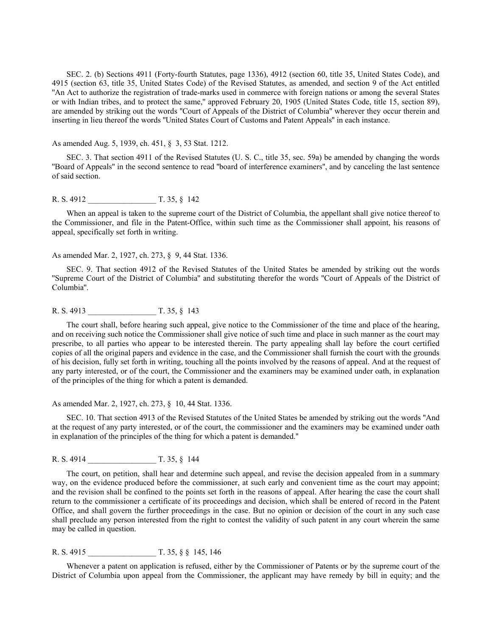SEC. 2. (b) Sections 4911 (Forty-fourth Statutes, page 1336), 4912 (section 60, title 35, United States Code), and 4915 (section 63, title 35, United States Code) of the Revised Statutes, as amended, and section 9 of the Act entitled ''An Act to authorize the registration of trade-marks used in commerce with foreign nations or among the several States or with Indian tribes, and to protect the same,'' approved February 20, 1905 (United States Code, title 15, section 89), are amended by striking out the words ''Court of Appeals of the District of Columbia'' wherever they occur therein and inserting in lieu thereof the words ''United States Court of Customs and Patent Appeals'' in each instance.

As amended Aug. 5, 1939, ch. 451, § 3, 53 Stat. 1212.

SEC. 3. That section 4911 of the Revised Statutes (U. S. C., title 35, sec. 59a) be amended by changing the words ''Board of Appeals'' in the second sentence to read ''board of interference examiners'', and by canceling the last sentence of said section.

R. S. 4912 **T. 35, 8 142** 

When an appeal is taken to the supreme court of the District of Columbia, the appellant shall give notice thereof to the Commissioner, and file in the Patent-Office, within such time as the Commissioner shall appoint, his reasons of appeal, specifically set forth in writing.

As amended Mar. 2, 1927, ch. 273, § 9, 44 Stat. 1336.

SEC. 9. That section 4912 of the Revised Statutes of the United States be amended by striking out the words ''Supreme Court of the District of Columbia'' and substituting therefor the words ''Court of Appeals of the District of Columbia''.

R. S. 4913 **T. 35, § 143** 

The court shall, before hearing such appeal, give notice to the Commissioner of the time and place of the hearing, and on receiving such notice the Commissioner shall give notice of such time and place in such manner as the court may prescribe, to all parties who appear to be interested therein. The party appealing shall lay before the court certified copies of all the original papers and evidence in the case, and the Commissioner shall furnish the court with the grounds of his decision, fully set forth in writing, touching all the points involved by the reasons of appeal. And at the request of any party interested, or of the court, the Commissioner and the examiners may be examined under oath, in explanation of the principles of the thing for which a patent is demanded.

As amended Mar. 2, 1927, ch. 273, § 10, 44 Stat. 1336.

SEC. 10. That section 4913 of the Revised Statutes of the United States be amended by striking out the words ''And at the request of any party interested, or of the court, the commissioner and the examiners may be examined under oath in explanation of the principles of the thing for which a patent is demanded.''

R. S. 4914 **T. 35, § 144** 

The court, on petition, shall hear and determine such appeal, and revise the decision appealed from in a summary way, on the evidence produced before the commissioner, at such early and convenient time as the court may appoint; and the revision shall be confined to the points set forth in the reasons of appeal. After hearing the case the court shall return to the commissioner a certificate of its proceedings and decision, which shall be entered of record in the Patent Office, and shall govern the further proceedings in the case. But no opinion or decision of the court in any such case shall preclude any person interested from the right to contest the validity of such patent in any court wherein the same may be called in question.

R. S. 4915 **T. 35, § § 145, 146** 

Whenever a patent on application is refused, either by the Commissioner of Patents or by the supreme court of the District of Columbia upon appeal from the Commissioner, the applicant may have remedy by bill in equity; and the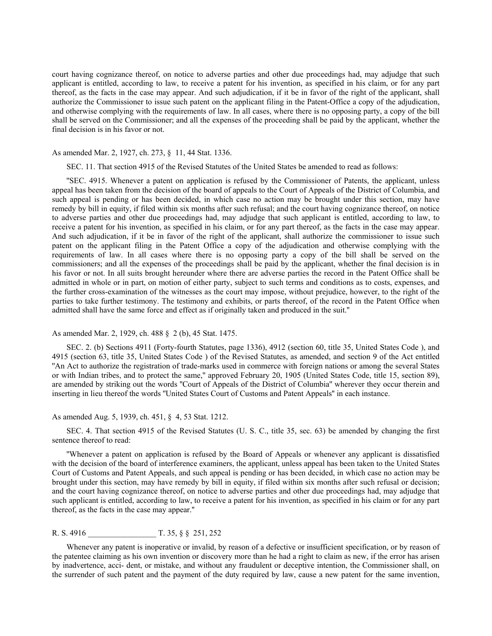court having cognizance thereof, on notice to adverse parties and other due proceedings had, may adjudge that such applicant is entitled, according to law, to receive a patent for his invention, as specified in his claim, or for any part thereof, as the facts in the case may appear. And such adjudication, if it be in favor of the right of the applicant, shall authorize the Commissioner to issue such patent on the applicant filing in the Patent-Office a copy of the adjudication, and otherwise complying with the requirements of law. In all cases, where there is no opposing party, a copy of the bill shall be served on the Commissioner; and all the expenses of the proceeding shall be paid by the applicant, whether the final decision is in his favor or not.

### As amended Mar. 2, 1927, ch. 273, § 11, 44 Stat. 1336.

SEC. 11. That section 4915 of the Revised Statutes of the United States be amended to read as follows:

''SEC. 4915. Whenever a patent on application is refused by the Commissioner of Patents, the applicant, unless appeal has been taken from the decision of the board of appeals to the Court of Appeals of the District of Columbia, and such appeal is pending or has been decided, in which case no action may be brought under this section, may have remedy by bill in equity, if filed within six months after such refusal; and the court having cognizance thereof, on notice to adverse parties and other due proceedings had, may adjudge that such applicant is entitled, according to law, to receive a patent for his invention, as specified in his claim, or for any part thereof, as the facts in the case may appear. And such adjudication, if it be in favor of the right of the applicant, shall authorize the commissioner to issue such patent on the applicant filing in the Patent Office a copy of the adjudication and otherwise complying with the requirements of law. In all cases where there is no opposing party a copy of the bill shall be served on the commissioners; and all the expenses of the proceedings shall be paid by the applicant, whether the final decision is in his favor or not. In all suits brought hereunder where there are adverse parties the record in the Patent Office shall be admitted in whole or in part, on motion of either party, subject to such terms and conditions as to costs, expenses, and the further cross-examination of the witnesses as the court may impose, without prejudice, however, to the right of the parties to take further testimony. The testimony and exhibits, or parts thereof, of the record in the Patent Office when admitted shall have the same force and effect as if originally taken and produced in the suit.''

## As amended Mar. 2, 1929, ch. 488 § 2 (b), 45 Stat. 1475.

SEC. 2. (b) Sections 4911 (Forty-fourth Statutes, page 1336), 4912 (section 60, title 35, United States Code ), and 4915 (section 63, title 35, United States Code ) of the Revised Statutes, as amended, and section 9 of the Act entitled ''An Act to authorize the registration of trade-marks used in commerce with foreign nations or among the several States or with Indian tribes, and to protect the same,'' approved February 20, 1905 (United States Code, title 15, section 89), are amended by striking out the words ''Court of Appeals of the District of Columbia'' wherever they occur therein and inserting in lieu thereof the words ''United States Court of Customs and Patent Appeals'' in each instance.

### As amended Aug. 5, 1939, ch. 451, § 4, 53 Stat. 1212.

SEC. 4. That section 4915 of the Revised Statutes (U. S. C., title 35, sec. 63) be amended by changing the first sentence thereof to read:

''Whenever a patent on application is refused by the Board of Appeals or whenever any applicant is dissatisfied with the decision of the board of interference examiners, the applicant, unless appeal has been taken to the United States Court of Customs and Patent Appeals, and such appeal is pending or has been decided, in which case no action may be brought under this section, may have remedy by bill in equity, if filed within six months after such refusal or decision; and the court having cognizance thereof, on notice to adverse parties and other due proceedings had, may adjudge that such applicant is entitled, according to law, to receive a patent for his invention, as specified in his claim or for any part thereof, as the facts in the case may appear.''

# R. S. 4916 **T. 35, § § 251, 252**

Whenever any patent is inoperative or invalid, by reason of a defective or insufficient specification, or by reason of the patentee claiming as his own invention or discovery more than he had a right to claim as new, if the error has arisen by inadvertence, acci- dent, or mistake, and without any fraudulent or deceptive intention, the Commissioner shall, on the surrender of such patent and the payment of the duty required by law, cause a new patent for the same invention,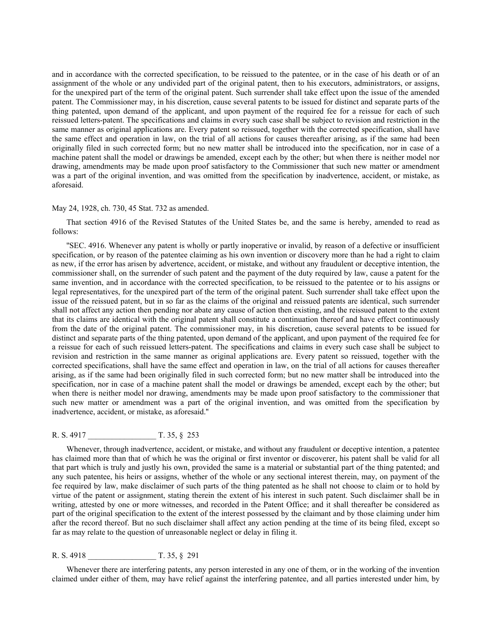and in accordance with the corrected specification, to be reissued to the patentee, or in the case of his death or of an assignment of the whole or any undivided part of the original patent, then to his executors, administrators, or assigns, for the unexpired part of the term of the original patent. Such surrender shall take effect upon the issue of the amended patent. The Commissioner may, in his discretion, cause several patents to be issued for distinct and separate parts of the thing patented, upon demand of the applicant, and upon payment of the required fee for a reissue for each of such reissued letters-patent. The specifications and claims in every such case shall be subject to revision and restriction in the same manner as original applications are. Every patent so reissued, together with the corrected specification, shall have the same effect and operation in law, on the trial of all actions for causes thereafter arising, as if the same had been originally filed in such corrected form; but no new matter shall be introduced into the specification, nor in case of a machine patent shall the model or drawings be amended, except each by the other; but when there is neither model nor drawing, amendments may be made upon proof satisfactory to the Commissioner that such new matter or amendment was a part of the original invention, and was omitted from the specification by inadvertence, accident, or mistake, as aforesaid.

## May 24, 1928, ch. 730, 45 Stat. 732 as amended.

That section 4916 of the Revised Statutes of the United States be, and the same is hereby, amended to read as follows:

''SEC. 4916. Whenever any patent is wholly or partly inoperative or invalid, by reason of a defective or insufficient specification, or by reason of the patentee claiming as his own invention or discovery more than he had a right to claim as new, if the error has arisen by advertence, accident, or mistake, and without any fraudulent or deceptive intention, the commissioner shall, on the surrender of such patent and the payment of the duty required by law, cause a patent for the same invention, and in accordance with the corrected specification, to be reissued to the patentee or to his assigns or legal representatives, for the unexpired part of the term of the original patent. Such surrender shall take effect upon the issue of the reissued patent, but in so far as the claims of the original and reissued patents are identical, such surrender shall not affect any action then pending nor abate any cause of action then existing, and the reissued patent to the extent that its claims are identical with the original patent shall constitute a continuation thereof and have effect continuously from the date of the original patent. The commissioner may, in his discretion, cause several patents to be issued for distinct and separate parts of the thing patented, upon demand of the applicant, and upon payment of the required fee for a reissue for each of such reissued letters-patent. The specifications and claims in every such case shall be subject to revision and restriction in the same manner as original applications are. Every patent so reissued, together with the corrected specifications, shall have the same effect and operation in law, on the trial of all actions for causes thereafter arising, as if the same had been originally filed in such corrected form; but no new matter shall be introduced into the specification, nor in case of a machine patent shall the model or drawings be amended, except each by the other; but when there is neither model nor drawing, amendments may be made upon proof satisfactory to the commissioner that such new matter or amendment was a part of the original invention, and was omitted from the specification by inadvertence, accident, or mistake, as aforesaid.''

# R. S. 4917 \_\_\_\_\_\_\_\_\_\_\_\_\_\_\_\_\_ T. 35, § 253

Whenever, through inadvertence, accident, or mistake, and without any fraudulent or deceptive intention, a patentee has claimed more than that of which he was the original or first inventor or discoverer, his patent shall be valid for all that part which is truly and justly his own, provided the same is a material or substantial part of the thing patented; and any such patentee, his heirs or assigns, whether of the whole or any sectional interest therein, may, on payment of the fee required by law, make disclaimer of such parts of the thing patented as he shall not choose to claim or to hold by virtue of the patent or assignment, stating therein the extent of his interest in such patent. Such disclaimer shall be in writing, attested by one or more witnesses, and recorded in the Patent Office; and it shall thereafter be considered as part of the original specification to the extent of the interest possessed by the claimant and by those claiming under him after the record thereof. But no such disclaimer shall affect any action pending at the time of its being filed, except so far as may relate to the question of unreasonable neglect or delay in filing it.

# R. S. 4918 \_\_\_\_\_\_\_\_\_\_\_\_\_\_\_\_\_ T. 35, § 291

Whenever there are interfering patents, any person interested in any one of them, or in the working of the invention claimed under either of them, may have relief against the interfering patentee, and all parties interested under him, by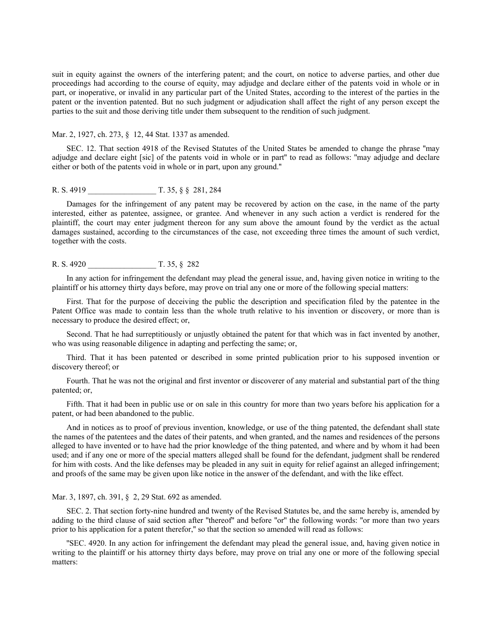suit in equity against the owners of the interfering patent; and the court, on notice to adverse parties, and other due proceedings had according to the course of equity, may adjudge and declare either of the patents void in whole or in part, or inoperative, or invalid in any particular part of the United States, according to the interest of the parties in the patent or the invention patented. But no such judgment or adjudication shall affect the right of any person except the parties to the suit and those deriving title under them subsequent to the rendition of such judgment.

Mar. 2, 1927, ch. 273, § 12, 44 Stat. 1337 as amended.

SEC. 12. That section 4918 of the Revised Statutes of the United States be amended to change the phrase ''may adjudge and declare eight [sic] of the patents void in whole or in part'' to read as follows: ''may adjudge and declare either or both of the patents void in whole or in part, upon any ground.''

# R. S. 4919 **T. 35, § § 281, 284**

Damages for the infringement of any patent may be recovered by action on the case, in the name of the party interested, either as patentee, assignee, or grantee. And whenever in any such action a verdict is rendered for the plaintiff, the court may enter judgment thereon for any sum above the amount found by the verdict as the actual damages sustained, according to the circumstances of the case, not exceeding three times the amount of such verdict, together with the costs.

# R. S. 4920 T. 35, § 282

In any action for infringement the defendant may plead the general issue, and, having given notice in writing to the plaintiff or his attorney thirty days before, may prove on trial any one or more of the following special matters:

First. That for the purpose of deceiving the public the description and specification filed by the patentee in the Patent Office was made to contain less than the whole truth relative to his invention or discovery, or more than is necessary to produce the desired effect; or,

Second. That he had surreptitiously or unjustly obtained the patent for that which was in fact invented by another, who was using reasonable diligence in adapting and perfecting the same; or,

Third. That it has been patented or described in some printed publication prior to his supposed invention or discovery thereof; or

Fourth. That he was not the original and first inventor or discoverer of any material and substantial part of the thing patented; or,

Fifth. That it had been in public use or on sale in this country for more than two years before his application for a patent, or had been abandoned to the public.

And in notices as to proof of previous invention, knowledge, or use of the thing patented, the defendant shall state the names of the patentees and the dates of their patents, and when granted, and the names and residences of the persons alleged to have invented or to have had the prior knowledge of the thing patented, and where and by whom it had been used; and if any one or more of the special matters alleged shall be found for the defendant, judgment shall be rendered for him with costs. And the like defenses may be pleaded in any suit in equity for relief against an alleged infringement; and proofs of the same may be given upon like notice in the answer of the defendant, and with the like effect.

### Mar. 3, 1897, ch. 391, § 2, 29 Stat. 692 as amended.

SEC. 2. That section forty-nine hundred and twenty of the Revised Statutes be, and the same hereby is, amended by adding to the third clause of said section after ''thereof'' and before ''or'' the following words: ''or more than two years prior to his application for a patent therefor,'' so that the section so amended will read as follows:

''SEC. 4920. In any action for infringement the defendant may plead the general issue, and, having given notice in writing to the plaintiff or his attorney thirty days before, may prove on trial any one or more of the following special matters: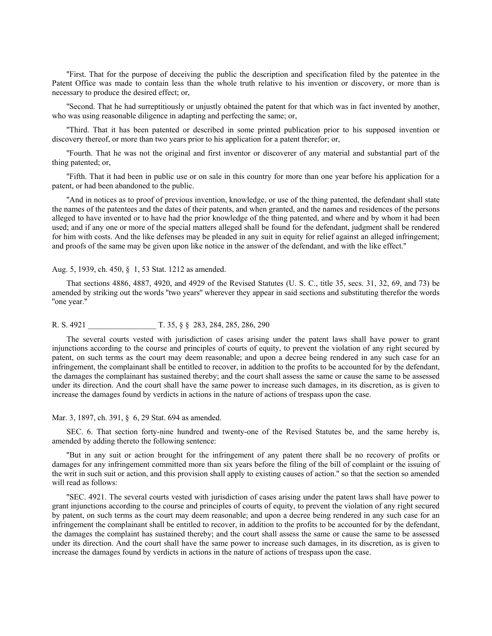''First. That for the purpose of deceiving the public the description and specification filed by the patentee in the Patent Office was made to contain less than the whole truth relative to his invention or discovery, or more than is necessary to produce the desired effect; or,

''Second. That he had surreptitiously or unjustly obtained the patent for that which was in fact invented by another, who was using reasonable diligence in adapting and perfecting the same; or,

''Third. That it has been patented or described in some printed publication prior to his supposed invention or discovery thereof, or more than two years prior to his application for a patent therefor; or,

''Fourth. That he was not the original and first inventor or discoverer of any material and substantial part of the thing patented; or,

''Fifth. That it had been in public use or on sale in this country for more than one year before his application for a patent, or had been abandoned to the public.

''And in notices as to proof of previous invention, knowledge, or use of the thing patented, the defendant shall state the names of the patentees and the dates of their patents, and when granted, and the names and residences of the persons alleged to have invented or to have had the prior knowledge of the thing patented, and where and by whom it had been used; and if any one or more of the special matters alleged shall be found for the defendant, judgment shall be rendered for him with costs. And the like defenses may be pleaded in any suit in equity for relief against an alleged infringement; and proofs of the same may be given upon like notice in the answer of the defendant, and with the like effect.''

## Aug. 5, 1939, ch. 450, § 1, 53 Stat. 1212 as amended.

That sections 4886, 4887, 4920, and 4929 of the Revised Statutes (U. S. C., title 35, secs. 31, 32, 69, and 73) be amended by striking out the words ''two years'' wherever they appear in said sections and substituting therefor the words "one year."

R. S. 4921 **T. 35, § § 283, 284, 285, 286, 290** 

The several courts vested with jurisdiction of cases arising under the patent laws shall have power to grant injunctions according to the course and principles of courts of equity, to prevent the violation of any right secured by patent, on such terms as the court may deem reasonable; and upon a decree being rendered in any such case for an infringement, the complainant shall be entitled to recover, in addition to the profits to be accounted for by the defendant, the damages the complainant has sustained thereby; and the court shall assess the same or cause the same to be assessed under its direction. And the court shall have the same power to increase such damages, in its discretion, as is given to increase the damages found by verdicts in actions in the nature of actions of trespass upon the case.

### Mar. 3, 1897, ch. 391, § 6, 29 Stat. 694 as amended.

SEC. 6. That section forty-nine hundred and twenty-one of the Revised Statutes be, and the same hereby is, amended by adding thereto the following sentence:

''But in any suit or action brought for the infringement of any patent there shall be no recovery of profits or damages for any infringement committed more than six years before the filing of the bill of complaint or the issuing of the writ in such suit or action, and this provision shall apply to existing causes of action.'' so that the section so amended will read as follows:

''SEC. 4921. The several courts vested with jurisdiction of cases arising under the patent laws shall have power to grant injunctions according to the course and principles of courts of equity, to prevent the violation of any right secured by patent, on such terms as the court may deem reasonable; and upon a decree being rendered in any such case for an infringement the complainant shall be entitled to recover, in addition to the profits to be accounted for by the defendant, the damages the complaint has sustained thereby; and the court shall assess the same or cause the same to be assessed under its direction. And the court shall have the same power to increase such damages, in its discretion, as is given to increase the damages found by verdicts in actions in the nature of actions of trespass upon the case.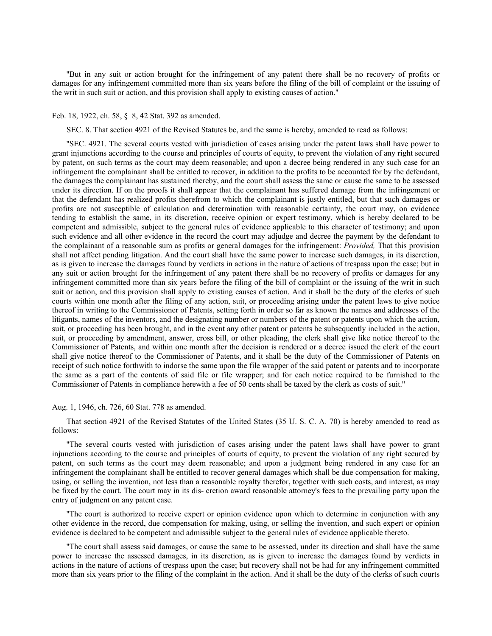''But in any suit or action brought for the infringement of any patent there shall be no recovery of profits or damages for any infringement committed more than six years before the filing of the bill of complaint or the issuing of the writ in such suit or action, and this provision shall apply to existing causes of action.''

#### Feb. 18, 1922, ch. 58, § 8, 42 Stat. 392 as amended.

SEC. 8. That section 4921 of the Revised Statutes be, and the same is hereby, amended to read as follows:

''SEC. 4921. The several courts vested with jurisdiction of cases arising under the patent laws shall have power to grant injunctions according to the course and principles of courts of equity, to prevent the violation of any right secured by patent, on such terms as the court may deem reasonable; and upon a decree being rendered in any such case for an infringement the complainant shall be entitled to recover, in addition to the profits to be accounted for by the defendant, the damages the complainant has sustained thereby, and the court shall assess the same or cause the same to be assessed under its direction. If on the proofs it shall appear that the complainant has suffered damage from the infringement or that the defendant has realized profits therefrom to which the complainant is justly entitled, but that such damages or profits are not susceptible of calculation and determination with reasonable certainty, the court may, on evidence tending to establish the same, in its discretion, receive opinion or expert testimony, which is hereby declared to be competent and admissible, subject to the general rules of evidence applicable to this character of testimony; and upon such evidence and all other evidence in the record the court may adjudge and decree the payment by the defendant to the complainant of a reasonable sum as profits or general damages for the infringement: *Provided,* That this provision shall not affect pending litigation. And the court shall have the same power to increase such damages, in its discretion, as is given to increase the damages found by verdicts in actions in the nature of actions of trespass upon the case; but in any suit or action brought for the infringement of any patent there shall be no recovery of profits or damages for any infringement committed more than six years before the filing of the bill of complaint or the issuing of the writ in such suit or action, and this provision shall apply to existing causes of action. And it shall be the duty of the clerks of such courts within one month after the filing of any action, suit, or proceeding arising under the patent laws to give notice thereof in writing to the Commissioner of Patents, setting forth in order so far as known the names and addresses of the litigants, names of the inventors, and the designating number or numbers of the patent or patents upon which the action, suit, or proceeding has been brought, and in the event any other patent or patents be subsequently included in the action, suit, or proceeding by amendment, answer, cross bill, or other pleading, the clerk shall give like notice thereof to the Commissioner of Patents, and within one month after the decision is rendered or a decree issued the clerk of the court shall give notice thereof to the Commissioner of Patents, and it shall be the duty of the Commissioner of Patents on receipt of such notice forthwith to indorse the same upon the file wrapper of the said patent or patents and to incorporate the same as a part of the contents of said file or file wrapper; and for each notice required to be furnished to the Commissioner of Patents in compliance herewith a fee of 50 cents shall be taxed by the clerk as costs of suit.''

## Aug. 1, 1946, ch. 726, 60 Stat. 778 as amended.

That section 4921 of the Revised Statutes of the United States (35 U. S. C. A. 70) is hereby amended to read as follows:

''The several courts vested with jurisdiction of cases arising under the patent laws shall have power to grant injunctions according to the course and principles of courts of equity, to prevent the violation of any right secured by patent, on such terms as the court may deem reasonable; and upon a judgment being rendered in any case for an infringement the complainant shall be entitled to recover general damages which shall be due compensation for making, using, or selling the invention, not less than a reasonable royalty therefor, together with such costs, and interest, as may be fixed by the court. The court may in its dis- cretion award reasonable attorney's fees to the prevailing party upon the entry of judgment on any patent case.

''The court is authorized to receive expert or opinion evidence upon which to determine in conjunction with any other evidence in the record, due compensation for making, using, or selling the invention, and such expert or opinion evidence is declared to be competent and admissible subject to the general rules of evidence applicable thereto.

''The court shall assess said damages, or cause the same to be assessed, under its direction and shall have the same power to increase the assessed damages, in its discretion, as is given to increase the damages found by verdicts in actions in the nature of actions of trespass upon the case; but recovery shall not be had for any infringement committed more than six years prior to the filing of the complaint in the action. And it shall be the duty of the clerks of such courts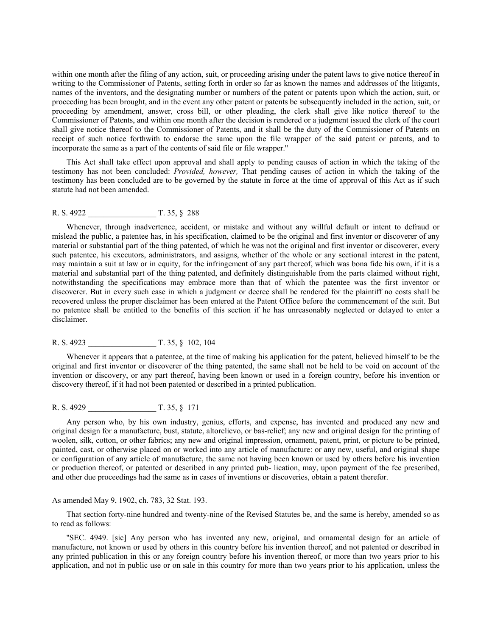within one month after the filing of any action, suit, or proceeding arising under the patent laws to give notice thereof in writing to the Commissioner of Patents, setting forth in order so far as known the names and addresses of the litigants, names of the inventors, and the designating number or numbers of the patent or patents upon which the action, suit, or proceeding has been brought, and in the event any other patent or patents be subsequently included in the action, suit, or proceeding by amendment, answer, cross bill, or other pleading, the clerk shall give like notice thereof to the Commissioner of Patents, and within one month after the decision is rendered or a judgment issued the clerk of the court shall give notice thereof to the Commissioner of Patents, and it shall be the duty of the Commissioner of Patents on receipt of such notice forthwith to endorse the same upon the file wrapper of the said patent or patents, and to incorporate the same as a part of the contents of said file or file wrapper.''

This Act shall take effect upon approval and shall apply to pending causes of action in which the taking of the testimony has not been concluded: *Provided, however,* That pending causes of action in which the taking of the testimony has been concluded are to be governed by the statute in force at the time of approval of this Act as if such statute had not been amended.

# R. S. 4922 T. 35, § 288

Whenever, through inadvertence, accident, or mistake and without any willful default or intent to defraud or mislead the public, a patentee has, in his specification, claimed to be the original and first inventor or discoverer of any material or substantial part of the thing patented, of which he was not the original and first inventor or discoverer, every such patentee, his executors, administrators, and assigns, whether of the whole or any sectional interest in the patent, may maintain a suit at law or in equity, for the infringement of any part thereof, which was bona fide his own, if it is a material and substantial part of the thing patented, and definitely distinguishable from the parts claimed without right, notwithstanding the specifications may embrace more than that of which the patentee was the first inventor or discoverer. But in every such case in which a judgment or decree shall be rendered for the plaintiff no costs shall be recovered unless the proper disclaimer has been entered at the Patent Office before the commencement of the suit. But no patentee shall be entitled to the benefits of this section if he has unreasonably neglected or delayed to enter a disclaimer.

# R. S. 4923 T. 35, § 102, 104

Whenever it appears that a patentee, at the time of making his application for the patent, believed himself to be the original and first inventor or discoverer of the thing patented, the same shall not be held to be void on account of the invention or discovery, or any part thereof, having been known or used in a foreign country, before his invention or discovery thereof, if it had not been patented or described in a printed publication.

# R. S. 4929 **T. 35, § 171**

Any person who, by his own industry, genius, efforts, and expense, has invented and produced any new and original design for a manufacture, bust, statute, altorelievo, or bas-relief; any new and original design for the printing of woolen, silk, cotton, or other fabrics; any new and original impression, ornament, patent, print, or picture to be printed, painted, cast, or otherwise placed on or worked into any article of manufacture: or any new, useful, and original shape or configuration of any article of manufacture, the same not having been known or used by others before his invention or production thereof, or patented or described in any printed pub- lication, may, upon payment of the fee prescribed, and other due proceedings had the same as in cases of inventions or discoveries, obtain a patent therefor.

### As amended May 9, 1902, ch. 783, 32 Stat. 193.

That section forty-nine hundred and twenty-nine of the Revised Statutes be, and the same is hereby, amended so as to read as follows:

''SEC. 4949. [sic] Any person who has invented any new, original, and ornamental design for an article of manufacture, not known or used by others in this country before his invention thereof, and not patented or described in any printed publication in this or any foreign country before his invention thereof, or more than two years prior to his application, and not in public use or on sale in this country for more than two years prior to his application, unless the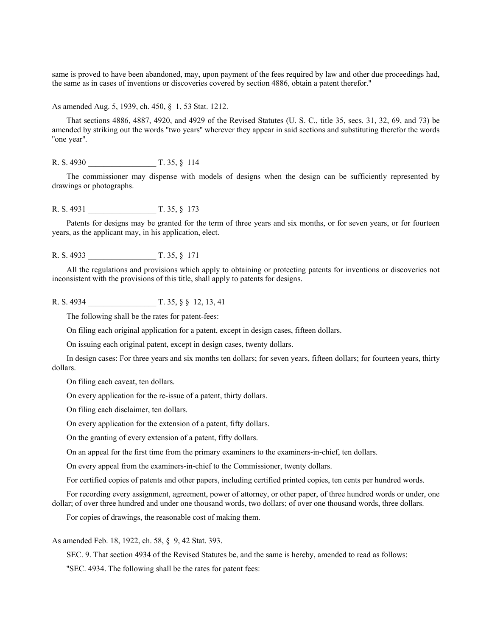same is proved to have been abandoned, may, upon payment of the fees required by law and other due proceedings had, the same as in cases of inventions or discoveries covered by section 4886, obtain a patent therefor.''

As amended Aug. 5, 1939, ch. 450, § 1, 53 Stat. 1212.

That sections 4886, 4887, 4920, and 4929 of the Revised Statutes (U. S. C., title 35, secs. 31, 32, 69, and 73) be amended by striking out the words ''two years'' wherever they appear in said sections and substituting therefor the words "one year".

R. S. 4930 **T. 35, § 114** 

The commissioner may dispense with models of designs when the design can be sufficiently represented by drawings or photographs.

R. S. 4931 **T. 35, § 173** 

Patents for designs may be granted for the term of three years and six months, or for seven years, or for fourteen years, as the applicant may, in his application, elect.

R. S. 4933 \_\_\_\_\_\_\_\_\_\_\_\_\_\_\_\_\_ T. 35, § 171

All the regulations and provisions which apply to obtaining or protecting patents for inventions or discoveries not inconsistent with the provisions of this title, shall apply to patents for designs.

R. S. 4934 **T.** 35, § § 12, 13, 41

The following shall be the rates for patent-fees:

On filing each original application for a patent, except in design cases, fifteen dollars.

On issuing each original patent, except in design cases, twenty dollars.

In design cases: For three years and six months ten dollars; for seven years, fifteen dollars; for fourteen years, thirty dollars.

On filing each caveat, ten dollars.

On every application for the re-issue of a patent, thirty dollars.

On filing each disclaimer, ten dollars.

On every application for the extension of a patent, fifty dollars.

On the granting of every extension of a patent, fifty dollars.

On an appeal for the first time from the primary examiners to the examiners-in-chief, ten dollars.

On every appeal from the examiners-in-chief to the Commissioner, twenty dollars.

For certified copies of patents and other papers, including certified printed copies, ten cents per hundred words.

For recording every assignment, agreement, power of attorney, or other paper, of three hundred words or under, one dollar; of over three hundred and under one thousand words, two dollars; of over one thousand words, three dollars.

For copies of drawings, the reasonable cost of making them.

As amended Feb. 18, 1922, ch. 58, § 9, 42 Stat. 393.

SEC. 9. That section 4934 of the Revised Statutes be, and the same is hereby, amended to read as follows:

''SEC. 4934. The following shall be the rates for patent fees: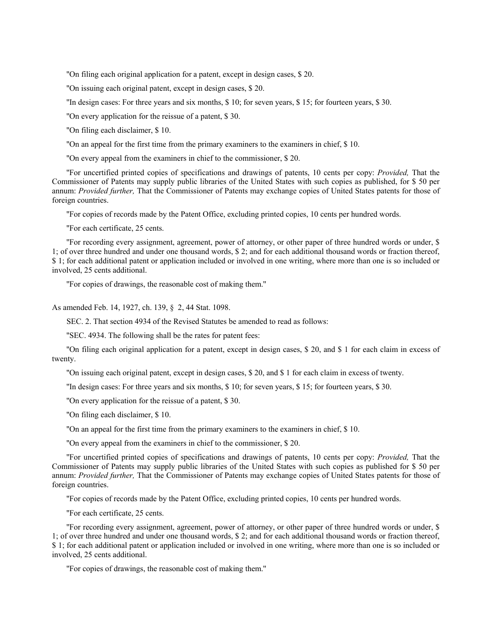''On filing each original application for a patent, except in design cases, \$ 20.

''On issuing each original patent, except in design cases, \$ 20.

''In design cases: For three years and six months, \$ 10; for seven years, \$ 15; for fourteen years, \$ 30.

''On every application for the reissue of a patent, \$ 30.

''On filing each disclaimer, \$ 10.

''On an appeal for the first time from the primary examiners to the examiners in chief, \$ 10.

''On every appeal from the examiners in chief to the commissioner, \$ 20.

''For uncertified printed copies of specifications and drawings of patents, 10 cents per copy: *Provided,* That the Commissioner of Patents may supply public libraries of the United States with such copies as published, for \$ 50 per annum: *Provided further,* That the Commissioner of Patents may exchange copies of United States patents for those of foreign countries.

''For copies of records made by the Patent Office, excluding printed copies, 10 cents per hundred words.

''For each certificate, 25 cents.

''For recording every assignment, agreement, power of attorney, or other paper of three hundred words or under, \$ 1; of over three hundred and under one thousand words, \$ 2; and for each additional thousand words or fraction thereof, \$ 1; for each additional patent or application included or involved in one writing, where more than one is so included or involved, 25 cents additional.

''For copies of drawings, the reasonable cost of making them.''

As amended Feb. 14, 1927, ch. 139, § 2, 44 Stat. 1098.

SEC. 2. That section 4934 of the Revised Statutes be amended to read as follows:

''SEC. 4934. The following shall be the rates for patent fees:

''On filing each original application for a patent, except in design cases, \$ 20, and \$ 1 for each claim in excess of twenty.

''On issuing each original patent, except in design cases, \$ 20, and \$ 1 for each claim in excess of twenty.

''In design cases: For three years and six months, \$ 10; for seven years, \$ 15; for fourteen years, \$ 30.

''On every application for the reissue of a patent, \$ 30.

''On filing each disclaimer, \$ 10.

''On an appeal for the first time from the primary examiners to the examiners in chief, \$ 10.

''On every appeal from the examiners in chief to the commissioner, \$ 20.

''For uncertified printed copies of specifications and drawings of patents, 10 cents per copy: *Provided,* That the Commissioner of Patents may supply public libraries of the United States with such copies as published for \$ 50 per annum: *Provided further,* That the Commissioner of Patents may exchange copies of United States patents for those of foreign countries.

''For copies of records made by the Patent Office, excluding printed copies, 10 cents per hundred words.

''For each certificate, 25 cents.

''For recording every assignment, agreement, power of attorney, or other paper of three hundred words or under, \$ 1; of over three hundred and under one thousand words, \$ 2; and for each additional thousand words or fraction thereof, \$ 1; for each additional patent or application included or involved in one writing, where more than one is so included or involved, 25 cents additional.

''For copies of drawings, the reasonable cost of making them.''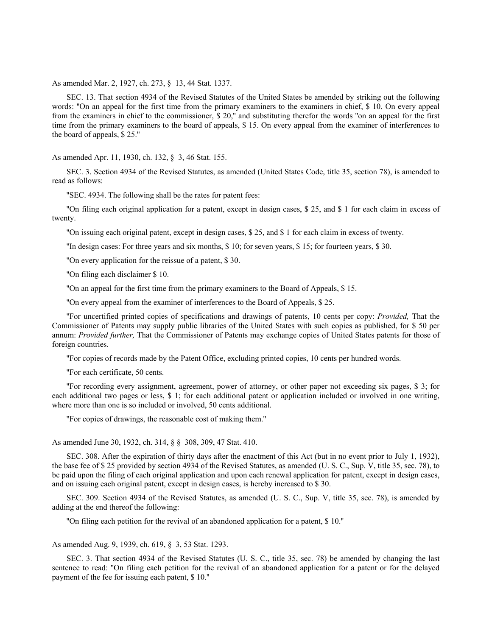As amended Mar. 2, 1927, ch. 273, § 13, 44 Stat. 1337.

SEC. 13. That section 4934 of the Revised Statutes of the United States be amended by striking out the following words: "On an appeal for the first time from the primary examiners to the examiners in chief, \$ 10. On every appeal from the examiners in chief to the commissioner, \$ 20,'' and substituting therefor the words ''on an appeal for the first time from the primary examiners to the board of appeals, \$ 15. On every appeal from the examiner of interferences to the board of appeals, \$ 25.''

As amended Apr. 11, 1930, ch. 132, § 3, 46 Stat. 155.

SEC. 3. Section 4934 of the Revised Statutes, as amended (United States Code, title 35, section 78), is amended to read as follows:

''SEC. 4934. The following shall be the rates for patent fees:

''On filing each original application for a patent, except in design cases, \$ 25, and \$ 1 for each claim in excess of twenty.

''On issuing each original patent, except in design cases, \$ 25, and \$ 1 for each claim in excess of twenty.

''In design cases: For three years and six months, \$ 10; for seven years, \$ 15; for fourteen years, \$ 30.

''On every application for the reissue of a patent, \$ 30.

''On filing each disclaimer \$ 10.

''On an appeal for the first time from the primary examiners to the Board of Appeals, \$ 15.

''On every appeal from the examiner of interferences to the Board of Appeals, \$ 25.

''For uncertified printed copies of specifications and drawings of patents, 10 cents per copy: *Provided,* That the Commissioner of Patents may supply public libraries of the United States with such copies as published, for \$ 50 per annum: *Provided further,* That the Commissioner of Patents may exchange copies of United States patents for those of foreign countries.

''For copies of records made by the Patent Office, excluding printed copies, 10 cents per hundred words.

''For each certificate, 50 cents.

''For recording every assignment, agreement, power of attorney, or other paper not exceeding six pages, \$ 3; for each additional two pages or less, \$ 1; for each additional patent or application included or involved in one writing, where more than one is so included or involved, 50 cents additional.

''For copies of drawings, the reasonable cost of making them.''

As amended June 30, 1932, ch. 314, § § 308, 309, 47 Stat. 410.

SEC. 308. After the expiration of thirty days after the enactment of this Act (but in no event prior to July 1, 1932), the base fee of \$ 25 provided by section 4934 of the Revised Statutes, as amended (U. S. C., Sup. V, title 35, sec. 78), to be paid upon the filing of each original application and upon each renewal application for patent, except in design cases, and on issuing each original patent, except in design cases, is hereby increased to \$ 30.

SEC. 309. Section 4934 of the Revised Statutes, as amended (U. S. C., Sup. V, title 35, sec. 78), is amended by adding at the end thereof the following:

''On filing each petition for the revival of an abandoned application for a patent, \$ 10.''

As amended Aug. 9, 1939, ch. 619, § 3, 53 Stat. 1293.

SEC. 3. That section 4934 of the Revised Statutes (U. S. C., title 35, sec. 78) be amended by changing the last sentence to read: ''On filing each petition for the revival of an abandoned application for a patent or for the delayed payment of the fee for issuing each patent, \$ 10.''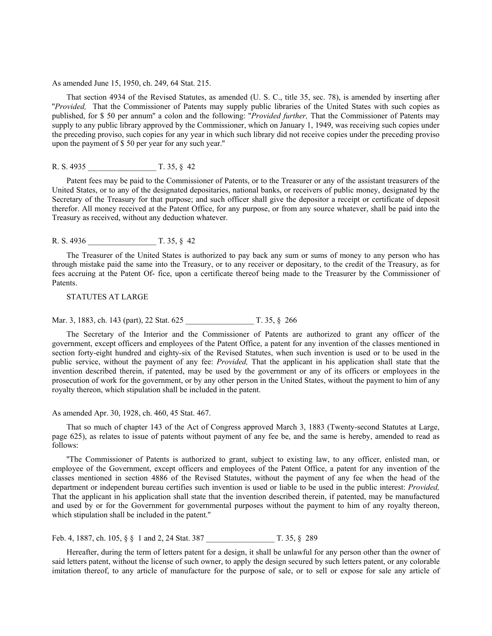### As amended June 15, 1950, ch. 249, 64 Stat. 215.

That section 4934 of the Revised Statutes, as amended (U. S. C., title 35, sec. 78), is amended by inserting after ''*Provided,* That the Commissioner of Patents may supply public libraries of the United States with such copies as published, for \$ 50 per annum'' a colon and the following: ''*Provided further,* That the Commissioner of Patents may supply to any public library approved by the Commissioner, which on January 1, 1949, was receiving such copies under the preceding proviso, such copies for any year in which such library did not receive copies under the preceding proviso upon the payment of \$ 50 per year for any such year.''

## R. S. 4935 T. 35, § 42

Patent fees may be paid to the Commissioner of Patents, or to the Treasurer or any of the assistant treasurers of the United States, or to any of the designated depositaries, national banks, or receivers of public money, designated by the Secretary of the Treasury for that purpose; and such officer shall give the depositor a receipt or certificate of deposit therefor. All money received at the Patent Office, for any purpose, or from any source whatever, shall be paid into the Treasury as received, without any deduction whatever.

R. S. 4936 **T. 35, § 42** 

The Treasurer of the United States is authorized to pay back any sum or sums of money to any person who has through mistake paid the same into the Treasury, or to any receiver or depositary, to the credit of the Treasury, as for fees accruing at the Patent Of- fice, upon a certificate thereof being made to the Treasurer by the Commissioner of Patents.

STATUTES AT LARGE

Mar. 3, 1883, ch. 143 (part), 22 Stat. 625 T. 35, § 266

The Secretary of the Interior and the Commissioner of Patents are authorized to grant any officer of the government, except officers and employees of the Patent Office, a patent for any invention of the classes mentioned in section forty-eight hundred and eighty-six of the Revised Statutes, when such invention is used or to be used in the public service, without the payment of any fee: *Provided,* That the applicant in his application shall state that the invention described therein, if patented, may be used by the government or any of its officers or employees in the prosecution of work for the government, or by any other person in the United States, without the payment to him of any royalty thereon, which stipulation shall be included in the patent.

As amended Apr. 30, 1928, ch. 460, 45 Stat. 467.

That so much of chapter 143 of the Act of Congress approved March 3, 1883 (Twenty-second Statutes at Large, page 625), as relates to issue of patents without payment of any fee be, and the same is hereby, amended to read as follows:

''The Commissioner of Patents is authorized to grant, subject to existing law, to any officer, enlisted man, or employee of the Government, except officers and employees of the Patent Office, a patent for any invention of the classes mentioned in section 4886 of the Revised Statutes, without the payment of any fee when the head of the department or independent bureau certifies such invention is used or liable to be used in the public interest: *Provided,* That the applicant in his application shall state that the invention described therein, if patented, may be manufactured and used by or for the Government for governmental purposes without the payment to him of any royalty thereon, which stipulation shall be included in the patent.''

Feb. 4, 1887, ch. 105, § § 1 and 2, 24 Stat. 387 T. 35, § 289

Hereafter, during the term of letters patent for a design, it shall be unlawful for any person other than the owner of said letters patent, without the license of such owner, to apply the design secured by such letters patent, or any colorable imitation thereof, to any article of manufacture for the purpose of sale, or to sell or expose for sale any article of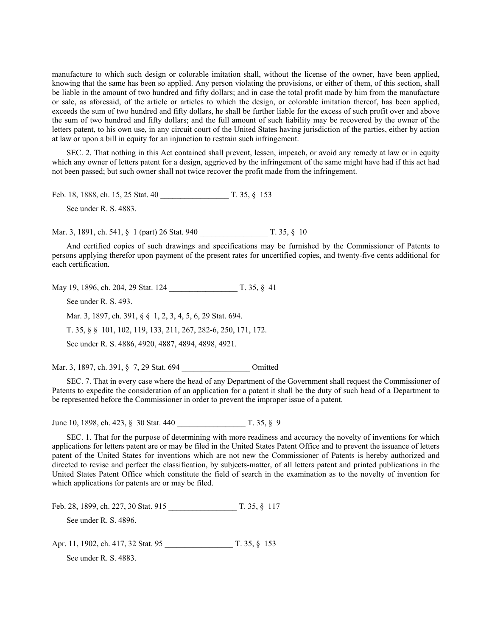manufacture to which such design or colorable imitation shall, without the license of the owner, have been applied, knowing that the same has been so applied. Any person violating the provisions, or either of them, of this section, shall be liable in the amount of two hundred and fifty dollars; and in case the total profit made by him from the manufacture or sale, as aforesaid, of the article or articles to which the design, or colorable imitation thereof, has been applied, exceeds the sum of two hundred and fifty dollars, he shall be further liable for the excess of such profit over and above the sum of two hundred and fifty dollars; and the full amount of such liability may be recovered by the owner of the letters patent, to his own use, in any circuit court of the United States having jurisdiction of the parties, either by action at law or upon a bill in equity for an injunction to restrain such infringement.

SEC. 2. That nothing in this Act contained shall prevent, lessen, impeach, or avoid any remedy at law or in equity which any owner of letters patent for a design, aggrieved by the infringement of the same might have had if this act had not been passed; but such owner shall not twice recover the profit made from the infringement.

Feb. 18, 1888, ch. 15, 25 Stat. 40 T. 35, § 153 See under R. S. 4883.

Mar. 3, 1891, ch. 541, § 1 (part) 26 Stat. 940 T. 35, § 10

And certified copies of such drawings and specifications may be furnished by the Commissioner of Patents to persons applying therefor upon payment of the present rates for uncertified copies, and twenty-five cents additional for each certification.

May 19, 1896, ch. 204, 29 Stat. 124 T. 35, § 41 See under R. S. 493.

Mar. 3, 1897, ch. 391, § § 1, 2, 3, 4, 5, 6, 29 Stat. 694. T. 35, § § 101, 102, 119, 133, 211, 267, 282-6, 250, 171, 172.

See under R. S. 4886, 4920, 4887, 4894, 4898, 4921.

Mar. 3, 1897, ch. 391, § 7, 29 Stat. 694 **Omitted** 

SEC. 7. That in every case where the head of any Department of the Government shall request the Commissioner of Patents to expedite the consideration of an application for a patent it shall be the duty of such head of a Department to be represented before the Commissioner in order to prevent the improper issue of a patent.

June 10, 1898, ch. 423, § 30 Stat. 440 \_\_\_\_\_\_\_\_\_\_\_\_\_\_\_\_\_ T. 35, § 9

SEC. 1. That for the purpose of determining with more readiness and accuracy the novelty of inventions for which applications for letters patent are or may be filed in the United States Patent Office and to prevent the issuance of letters patent of the United States for inventions which are not new the Commissioner of Patents is hereby authorized and directed to revise and perfect the classification, by subjects-matter, of all letters patent and printed publications in the United States Patent Office which constitute the field of search in the examination as to the novelty of invention for which applications for patents are or may be filed.

Feb. 28, 1899, ch. 227, 30 Stat. 915 \_\_\_\_\_\_\_\_\_\_\_\_\_\_\_\_\_ T. 35, § 117

See under R. S. 4896.

Apr. 11, 1902, ch. 417, 32 Stat. 95 T. 35, § 153

See under R. S. 4883.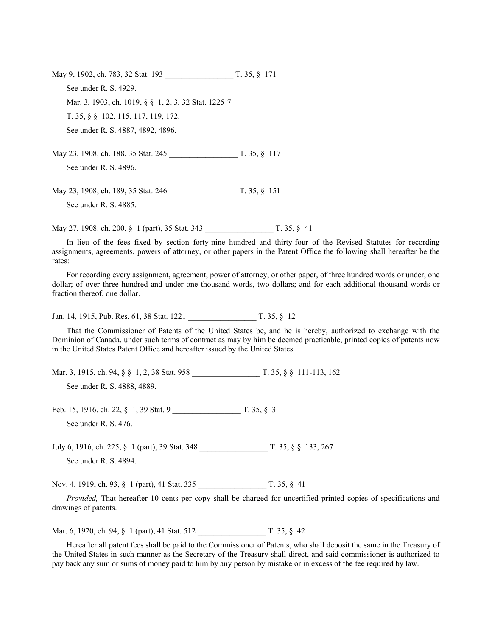May 9, 1902, ch. 783, 32 Stat. 193 T. 35, § 171 See under R. S. 4929. Mar. 3, 1903, ch. 1019, § § 1, 2, 3, 32 Stat. 1225-7 T. 35, § § 102, 115, 117, 119, 172. See under R. S. 4887, 4892, 4896. May 23, 1908, ch. 188, 35 Stat. 245 T. 35, § 117 See under R. S. 4896. May 23, 1908, ch. 189, 35 Stat. 246 T. 35, § 151

See under R. S. 4885.

May 27, 1908. ch. 200, § 1 (part), 35 Stat. 343 T. 35, § 41

In lieu of the fees fixed by section forty-nine hundred and thirty-four of the Revised Statutes for recording assignments, agreements, powers of attorney, or other papers in the Patent Office the following shall hereafter be the rates:

For recording every assignment, agreement, power of attorney, or other paper, of three hundred words or under, one dollar; of over three hundred and under one thousand words, two dollars; and for each additional thousand words or fraction thereof, one dollar.

Jan. 14, 1915, Pub. Res. 61, 38 Stat. 1221 \_\_\_\_\_\_\_\_\_\_\_\_\_\_\_\_\_ T. 35, § 12

That the Commissioner of Patents of the United States be, and he is hereby, authorized to exchange with the Dominion of Canada, under such terms of contract as may by him be deemed practicable, printed copies of patents now in the United States Patent Office and hereafter issued by the United States.

Mar. 3, 1915, ch. 94, § § 1, 2, 38 Stat. 958 \_\_\_\_\_\_\_\_\_\_\_\_\_\_\_\_\_ T. 35, § § 111-113, 162 See under R. S. 4888, 4889.

Feb. 15, 1916, ch. 22, § 1, 39 Stat. 9 \_\_\_\_\_\_\_\_\_\_\_\_\_\_\_\_\_ T. 35, § 3

See under R. S. 476.

July 6, 1916, ch. 225, § 1 (part), 39 Stat. 348 \_\_\_\_\_\_\_\_\_\_\_\_\_\_\_\_\_ T. 35, § § 133, 267 See under R. S. 4894.

Nov. 4, 1919, ch. 93, § 1 (part), 41 Stat. 335 \_\_\_\_\_\_\_\_\_\_\_\_\_\_\_\_\_ T. 35, § 41

*Provided,* That hereafter 10 cents per copy shall be charged for uncertified printed copies of specifications and drawings of patents.

Mar. 6, 1920, ch. 94, § 1 (part), 41 Stat. 512 T. 35, § 42

Hereafter all patent fees shall be paid to the Commissioner of Patents, who shall deposit the same in the Treasury of the United States in such manner as the Secretary of the Treasury shall direct, and said commissioner is authorized to pay back any sum or sums of money paid to him by any person by mistake or in excess of the fee required by law.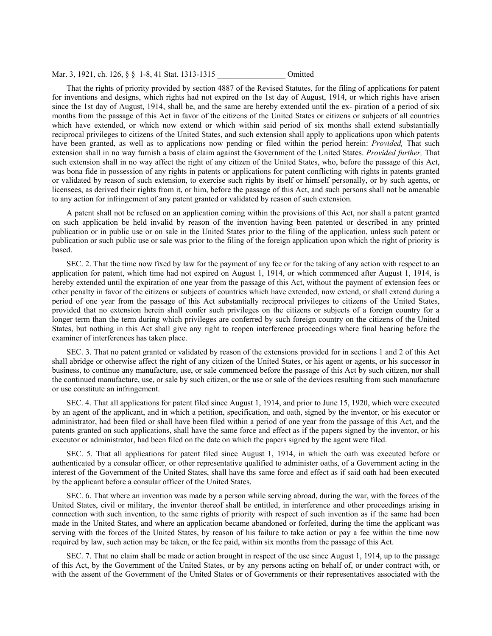Mar. 3, 1921, ch. 126, § § 1-8, 41 Stat. 1313-1315 Omitted

That the rights of priority provided by section 4887 of the Revised Statutes, for the filing of applications for patent for inventions and designs, which rights had not expired on the 1st day of August, 1914, or which rights have arisen since the 1st day of August, 1914, shall be, and the same are hereby extended until the ex- piration of a period of six months from the passage of this Act in favor of the citizens of the United States or citizens or subjects of all countries which have extended, or which now extend or which within said period of six months shall extend substantially reciprocal privileges to citizens of the United States, and such extension shall apply to applications upon which patents have been granted, as well as to applications now pending or filed within the period herein: *Provided,* That such extension shall in no way furnish a basis of claim against the Government of the United States. *Provided further,* That such extension shall in no way affect the right of any citizen of the United States, who, before the passage of this Act, was bona fide in possession of any rights in patents or applications for patent conflicting with rights in patents granted or validated by reason of such extension, to exercise such rights by itself or himself personally, or by such agents, or licensees, as derived their rights from it, or him, before the passage of this Act, and such persons shall not be amenable to any action for infringement of any patent granted or validated by reason of such extension.

A patent shall not be refused on an application coming within the provisions of this Act, nor shall a patent granted on such application be held invalid by reason of the invention having been patented or described in any printed publication or in public use or on sale in the United States prior to the filing of the application, unless such patent or publication or such public use or sale was prior to the filing of the foreign application upon which the right of priority is based.

SEC. 2. That the time now fixed by law for the payment of any fee or for the taking of any action with respect to an application for patent, which time had not expired on August 1, 1914, or which commenced after August 1, 1914, is hereby extended until the expiration of one year from the passage of this Act, without the payment of extension fees or other penalty in favor of the citizens or subjects of countries which have extended, now extend, or shall extend during a period of one year from the passage of this Act substantially reciprocal privileges to citizens of the United States, provided that no extension herein shall confer such privileges on the citizens or subjects of a foreign country for a longer term than the term during which privileges are conferred by such foreign country on the citizens of the United States, but nothing in this Act shall give any right to reopen interference proceedings where final hearing before the examiner of interferences has taken place.

SEC. 3. That no patent granted or validated by reason of the extensions provided for in sections 1 and 2 of this Act shall abridge or otherwise affect the right of any citizen of the United States, or his agent or agents, or his successor in business, to continue any manufacture, use, or sale commenced before the passage of this Act by such citizen, nor shall the continued manufacture, use, or sale by such citizen, or the use or sale of the devices resulting from such manufacture or use constitute an infringement.

SEC. 4. That all applications for patent filed since August 1, 1914, and prior to June 15, 1920, which were executed by an agent of the applicant, and in which a petition, specification, and oath, signed by the inventor, or his executor or administrator, had been filed or shall have been filed within a period of one year from the passage of this Act, and the patents granted on such applications, shall have the same force and effect as if the papers signed by the inventor, or his executor or administrator, had been filed on the date on which the papers signed by the agent were filed.

SEC. 5. That all applications for patent filed since August 1, 1914, in which the oath was executed before or authenticated by a consular officer, or other representative qualified to administer oaths, of a Government acting in the interest of the Government of the United States, shall have ths same force and effect as if said oath had been executed by the applicant before a consular officer of the United States.

SEC. 6. That where an invention was made by a person while serving abroad, during the war, with the forces of the United States, civil or military, the inventor thereof shall be entitled, in interference and other proceedings arising in connection with such invention, to the same rights of priority with respect of such invention as if the same had been made in the United States, and where an application became abandoned or forfeited, during the time the applicant was serving with the forces of the United States, by reason of his failure to take action or pay a fee within the time now required by law, such action may be taken, or the fee paid, within six months from the passage of this Act.

SEC. 7. That no claim shall be made or action brought in respect of the use since August 1, 1914, up to the passage of this Act, by the Government of the United States, or by any persons acting on behalf of, or under contract with, or with the assent of the Government of the United States or of Governments or their representatives associated with the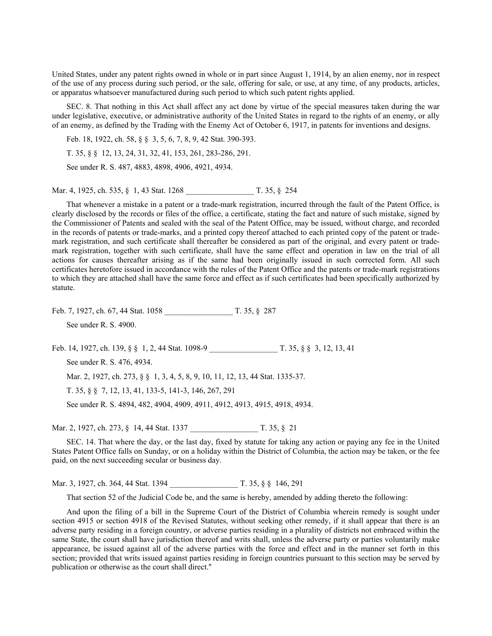United States, under any patent rights owned in whole or in part since August 1, 1914, by an alien enemy, nor in respect of the use of any process during such period, or the sale, offering for sale, or use, at any time, of any products, articles, or apparatus whatsoever manufactured during such period to which such patent rights applied.

SEC. 8. That nothing in this Act shall affect any act done by virtue of the special measures taken during the war under legislative, executive, or administrative authority of the United States in regard to the rights of an enemy, or ally of an enemy, as defined by the Trading with the Enemy Act of October 6, 1917, in patents for inventions and designs.

Feb. 18, 1922, ch. 58, § § 3, 5, 6, 7, 8, 9, 42 Stat. 390-393.

T. 35, § § 12, 13, 24, 31, 32, 41, 153, 261, 283-286, 291.

See under R. S. 487, 4883, 4898, 4906, 4921, 4934.

Mar. 4, 1925, ch. 535, § 1, 43 Stat. 1268 T. 35, § 254

That whenever a mistake in a patent or a trade-mark registration, incurred through the fault of the Patent Office, is clearly disclosed by the records or files of the office, a certificate, stating the fact and nature of such mistake, signed by the Commissioner of Patents and sealed with the seal of the Patent Office, may be issued, without charge, and recorded in the records of patents or trade-marks, and a printed copy thereof attached to each printed copy of the patent or trademark registration, and such certificate shall thereafter be considered as part of the original, and every patent or trademark registration, together with such certificate, shall have the same effect and operation in law on the trial of all actions for causes thereafter arising as if the same had been originally issued in such corrected form. All such certificates heretofore issued in accordance with the rules of the Patent Office and the patents or trade-mark registrations to which they are attached shall have the same force and effect as if such certificates had been specifically authorized by statute.

Feb. 7, 1927, ch. 67, 44 Stat. 1058 \_\_\_\_\_\_\_\_\_\_\_\_\_\_\_\_\_ T. 35, § 287

See under R. S. 4900.

Feb. 14, 1927, ch. 139, § § 1, 2, 44 Stat. 1098-9 \_\_\_\_\_\_\_\_\_\_\_\_\_\_\_\_\_ T. 35, § § 3, 12, 13, 41

See under R. S. 476, 4934.

Mar. 2, 1927, ch. 273, § § 1, 3, 4, 5, 8, 9, 10, 11, 12, 13, 44 Stat. 1335-37.

T. 35, § § 7, 12, 13, 41, 133-5, 141-3, 146, 267, 291

See under R. S. 4894, 482, 4904, 4909, 4911, 4912, 4913, 4915, 4918, 4934.

Mar. 2, 1927, ch. 273, § 14, 44 Stat. 1337 \_\_\_\_\_\_\_\_\_\_\_\_\_\_\_\_\_ T. 35, § 21

SEC. 14. That where the day, or the last day, fixed by statute for taking any action or paying any fee in the United States Patent Office falls on Sunday, or on a holiday within the District of Columbia, the action may be taken, or the fee paid, on the next succeeding secular or business day.

Mar. 3, 1927, ch. 364, 44 Stat. 1394 T. 35, § § 146, 291

That section 52 of the Judicial Code be, and the same is hereby, amended by adding thereto the following:

And upon the filing of a bill in the Supreme Court of the District of Columbia wherein remedy is sought under section 4915 or section 4918 of the Revised Statutes, without seeking other remedy, if it shall appear that there is an adverse party residing in a foreign country, or adverse parties residing in a plurality of districts not embraced within the same State, the court shall have jurisdiction thereof and writs shall, unless the adverse party or parties voluntarily make appearance, be issued against all of the adverse parties with the force and effect and in the manner set forth in this section; provided that writs issued against parties residing in foreign countries pursuant to this section may be served by publication or otherwise as the court shall direct.''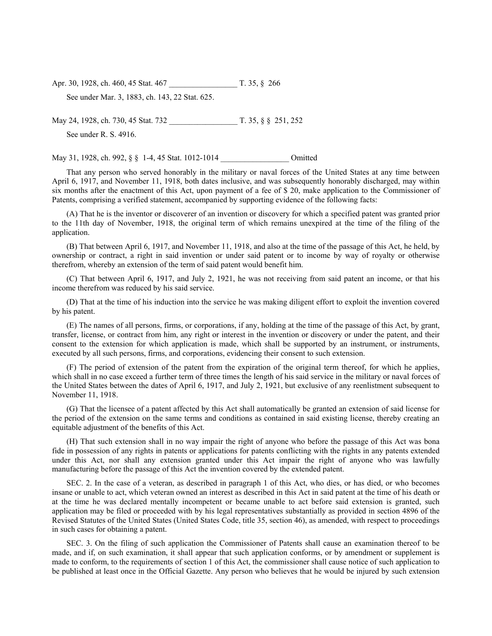Apr. 30, 1928, ch. 460, 45 Stat. 467 T. 35, § 266

See under Mar. 3, 1883, ch. 143, 22 Stat. 625.

May 24, 1928, ch. 730, 45 Stat. 732 \_\_\_\_\_\_\_\_\_\_\_\_\_\_\_\_\_ T. 35, § § 251, 252

See under R. S. 4916.

May 31, 1928, ch. 992, § § 1-4, 45 Stat. 1012-1014 Quartitive Omitted

That any person who served honorably in the military or naval forces of the United States at any time between April 6, 1917, and November 11, 1918, both dates inclusive, and was subsequently honorably discharged, may within six months after the enactment of this Act, upon payment of a fee of \$ 20, make application to the Commissioner of Patents, comprising a verified statement, accompanied by supporting evidence of the following facts:

(A) That he is the inventor or discoverer of an invention or discovery for which a specified patent was granted prior to the 11th day of November, 1918, the original term of which remains unexpired at the time of the filing of the application.

(B) That between April 6, 1917, and November 11, 1918, and also at the time of the passage of this Act, he held, by ownership or contract, a right in said invention or under said patent or to income by way of royalty or otherwise therefrom, whereby an extension of the term of said patent would benefit him.

(C) That between April 6, 1917, and July 2, 1921, he was not receiving from said patent an income, or that his income therefrom was reduced by his said service.

(D) That at the time of his induction into the service he was making diligent effort to exploit the invention covered by his patent.

(E) The names of all persons, firms, or corporations, if any, holding at the time of the passage of this Act, by grant, transfer, license, or contract from him, any right or interest in the invention or discovery or under the patent, and their consent to the extension for which application is made, which shall be supported by an instrument, or instruments, executed by all such persons, firms, and corporations, evidencing their consent to such extension.

(F) The period of extension of the patent from the expiration of the original term thereof, for which he applies, which shall in no case exceed a further term of three times the length of his said service in the military or naval forces of the United States between the dates of April 6, 1917, and July 2, 1921, but exclusive of any reenlistment subsequent to November 11, 1918.

(G) That the licensee of a patent affected by this Act shall automatically be granted an extension of said license for the period of the extension on the same terms and conditions as contained in said existing license, thereby creating an equitable adjustment of the benefits of this Act.

(H) That such extension shall in no way impair the right of anyone who before the passage of this Act was bona fide in possession of any rights in patents or applications for patents conflicting with the rights in any patents extended under this Act, nor shall any extension granted under this Act impair the right of anyone who was lawfully manufacturing before the passage of this Act the invention covered by the extended patent.

SEC. 2. In the case of a veteran, as described in paragraph 1 of this Act, who dies, or has died, or who becomes insane or unable to act, which veteran owned an interest as described in this Act in said patent at the time of his death or at the time he was declared mentally incompetent or became unable to act before said extension is granted, such application may be filed or proceeded with by his legal representatives substantially as provided in section 4896 of the Revised Statutes of the United States (United States Code, title 35, section 46), as amended, with respect to proceedings in such cases for obtaining a patent.

SEC. 3. On the filing of such application the Commissioner of Patents shall cause an examination thereof to be made, and if, on such examination, it shall appear that such application conforms, or by amendment or supplement is made to conform, to the requirements of section 1 of this Act, the commissioner shall cause notice of such application to be published at least once in the Official Gazette. Any person who believes that he would be injured by such extension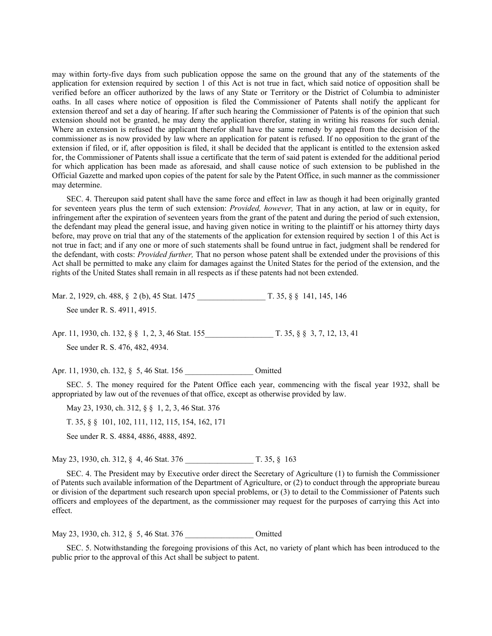may within forty-five days from such publication oppose the same on the ground that any of the statements of the application for extension required by section 1 of this Act is not true in fact, which said notice of opposition shall be verified before an officer authorized by the laws of any State or Territory or the District of Columbia to administer oaths. In all cases where notice of opposition is filed the Commissioner of Patents shall notify the applicant for extension thereof and set a day of hearing. If after such hearing the Commissioner of Patents is of the opinion that such extension should not be granted, he may deny the application therefor, stating in writing his reasons for such denial. Where an extension is refused the applicant therefor shall have the same remedy by appeal from the decision of the commissioner as is now provided by law where an application for patent is refused. If no opposition to the grant of the extension if filed, or if, after opposition is filed, it shall be decided that the applicant is entitled to the extension asked for, the Commissioner of Patents shall issue a certificate that the term of said patent is extended for the additional period for which application has been made as aforesaid, and shall cause notice of such extension to be published in the Official Gazette and marked upon copies of the patent for sale by the Patent Office, in such manner as the commissioner may determine.

SEC. 4. Thereupon said patent shall have the same force and effect in law as though it had been originally granted for seventeen years plus the term of such extension: *Provided, however,* That in any action, at law or in equity, for infringement after the expiration of seventeen years from the grant of the patent and during the period of such extension, the defendant may plead the general issue, and having given notice in writing to the plaintiff or his attorney thirty days before, may prove on trial that any of the statements of the application for extension required by section 1 of this Act is not true in fact; and if any one or more of such statements shall be found untrue in fact, judgment shall be rendered for the defendant, with costs: *Provided further,* That no person whose patent shall be extended under the provisions of this Act shall be permitted to make any claim for damages against the United States for the period of the extension, and the rights of the United States shall remain in all respects as if these patents had not been extended.

Mar. 2, 1929, ch. 488, § 2 (b), 45 Stat. 1475 T. 35, § § 141, 145, 146 See under R. S. 4911, 4915.

Apr. 11, 1930, ch. 132, § § 1, 2, 3, 46 Stat. 155\_\_\_\_\_\_\_\_\_\_\_\_\_\_\_\_\_ T. 35, § § 3, 7, 12, 13, 41

See under R. S. 476, 482, 4934.

Apr. 11, 1930, ch. 132, § 5, 46 Stat. 156 **Omitted** 

SEC. 5. The money required for the Patent Office each year, commencing with the fiscal year 1932, shall be appropriated by law out of the revenues of that office, except as otherwise provided by law.

May 23, 1930, ch. 312, § § 1, 2, 3, 46 Stat. 376

T. 35, § § 101, 102, 111, 112, 115, 154, 162, 171

See under R. S. 4884, 4886, 4888, 4892.

May 23, 1930, ch. 312, § 4, 46 Stat. 376 T. 35, § 163

SEC. 4. The President may by Executive order direct the Secretary of Agriculture (1) to furnish the Commissioner of Patents such available information of the Department of Agriculture, or (2) to conduct through the appropriate bureau or division of the department such research upon special problems, or (3) to detail to the Commissioner of Patents such officers and employees of the department, as the commissioner may request for the purposes of carrying this Act into effect.

May 23, 1930, ch. 312, § 5, 46 Stat. 376 \_\_\_\_\_\_\_\_\_\_\_\_\_\_\_\_\_ Omitted

SEC. 5. Notwithstanding the foregoing provisions of this Act, no variety of plant which has been introduced to the public prior to the approval of this Act shall be subject to patent.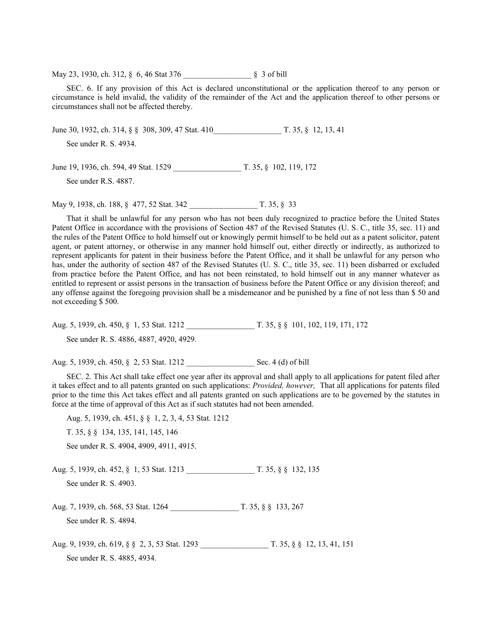May 23, 1930, ch. 312, § 6, 46 Stat 376 \_\_\_\_\_\_\_\_\_\_\_\_\_\_\_\_\_ § 3 of bill

SEC. 6. If any provision of this Act is declared unconstitutional or the application thereof to any person or circumstance is held invalid, the validity of the remainder of the Act and the application thereof to other persons or circumstances shall not be affected thereby.

June 30, 1932, ch. 314, § § 308, 309, 47 Stat. 410 T. 35, § 12, 13, 41 See under R. S. 4934.

June 19, 1936, ch. 594, 49 Stat. 1529 \_\_\_\_\_\_\_\_\_\_\_\_\_\_\_\_\_ T. 35, § 102, 119, 172

See under R.S. 4887.

May 9, 1938, ch. 188, § 477, 52 Stat. 342 T. 35, § 33

That it shall be unlawful for any person who has not been duly recognized to practice before the United States Patent Office in accordance with the provisions of Section 487 of the Revised Statutes (U. S. C., title 35, sec. 11) and the rules of the Patent Office to hold himself out or knowingly permit himself to be held out as a patent solicitor, patent agent, or patent attorney, or otherwise in any manner hold himself out, either directly or indirectly, as authorized to represent applicants for patent in their business before the Patent Office, and it shall be unlawful for any person who has, under the authority of section 487 of the Revised Statutes (U. S. C., title 35, sec. 11) been disbarred or excluded from practice before the Patent Office, and has not been reinstated, to hold himself out in any manner whatever as entitled to represent or assist persons in the transaction of business before the Patent Office or any division thereof; and any offense against the foregoing provision shall be a misdemeanor and be punished by a fine of not less than \$ 50 and not exceeding \$ 500.

Aug. 5, 1939, ch. 450, § 1, 53 Stat. 1212 \_\_\_\_\_\_\_\_\_\_\_\_\_\_\_\_\_ T. 35, § § 101, 102, 119, 171, 172

See under R. S. 4886, 4887, 4920, 4929.

Aug. 5, 1939, ch. 450, § 2, 53 Stat. 1212 Sec. 4 (d) of bill

SEC. 2. This Act shall take effect one year after its approval and shall apply to all applications for patent filed after it takes effect and to all patents granted on such applications: *Provided, however,* That all applications for patents filed prior to the time this Act takes effect and all patents granted on such applications are to be governed by the statutes in force at the time of approval of this Act as if such statutes had not been amended.

Aug. 5, 1939, ch. 451, § § 1, 2, 3, 4, 53 Stat. 1212 T. 35, § § 134, 135, 141, 145, 146 See under R. S. 4904, 4909, 4911, 4915.

Aug. 5, 1939, ch. 452, § 1, 53 Stat. 1213 T. 35, § § 132, 135 See under R. S. 4903.

Aug. 7, 1939, ch. 568, 53 Stat. 1264 \_\_\_\_\_\_\_\_\_\_\_\_\_\_\_\_\_ T. 35, § § 133, 267 See under R. S. 4894.

Aug. 9, 1939, ch. 619, § § 2, 3, 53 Stat. 1293 \_\_\_\_\_\_\_\_\_\_\_\_\_\_\_\_\_ T. 35, § § 12, 13, 41, 151 See under R. S. 4885, 4934.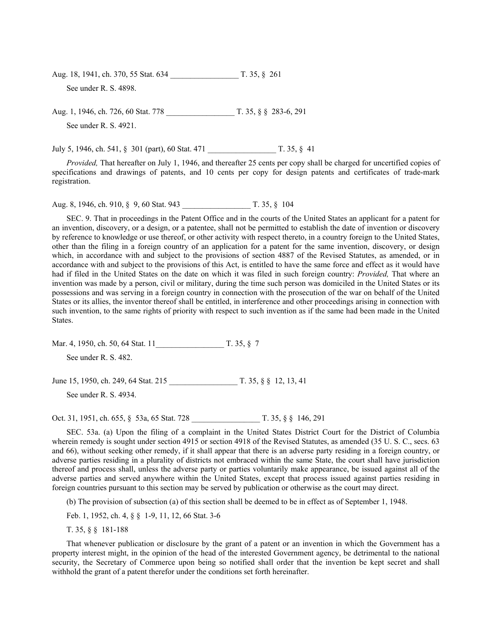Aug. 18, 1941, ch. 370, 55 Stat. 634 T. 35, § 261

See under R. S. 4898.

Aug. 1, 1946, ch. 726, 60 Stat. 778  $\qquad \qquad$  T. 35, § § 283-6, 291

See under R. S. 4921.

July 5, 1946, ch. 541, § 301 (part), 60 Stat. 471 \_\_\_\_\_\_\_\_\_\_\_\_\_\_\_\_\_ T. 35, § 41

*Provided,* That hereafter on July 1, 1946, and thereafter 25 cents per copy shall be charged for uncertified copies of specifications and drawings of patents, and 10 cents per copy for design patents and certificates of trade-mark registration.

Aug. 8, 1946, ch. 910, § 9, 60 Stat. 943 T. 35, § 104

SEC. 9. That in proceedings in the Patent Office and in the courts of the United States an applicant for a patent for an invention, discovery, or a design, or a patentee, shall not be permitted to establish the date of invention or discovery by reference to knowledge or use thereof, or other activity with respect thereto, in a country foreign to the United States, other than the filing in a foreign country of an application for a patent for the same invention, discovery, or design which, in accordance with and subject to the provisions of section 4887 of the Revised Statutes, as amended, or in accordance with and subject to the provisions of this Act, is entitled to have the same force and effect as it would have had if filed in the United States on the date on which it was filed in such foreign country: *Provided,* That where an invention was made by a person, civil or military, during the time such person was domiciled in the United States or its possessions and was serving in a foreign country in connection with the prosecution of the war on behalf of the United States or its allies, the inventor thereof shall be entitled, in interference and other proceedings arising in connection with such invention, to the same rights of priority with respect to such invention as if the same had been made in the United States.

Mar. 4, 1950, ch. 50, 64 Stat. 11\_\_\_\_\_\_\_\_\_\_\_\_\_\_\_\_\_ T. 35, § 7 See under R. S. 482. June 15, 1950, ch. 249, 64 Stat. 215 \_\_\_\_\_\_\_\_\_\_\_\_\_\_\_\_\_ T. 35, § § 12, 13, 41

See under R. S. 4934.

Oct. 31, 1951, ch. 655, § 53a, 65 Stat. 728 \_\_\_\_\_\_\_\_\_\_\_\_\_\_\_\_\_ T. 35, § § 146, 291

SEC. 53a. (a) Upon the filing of a complaint in the United States District Court for the District of Columbia wherein remedy is sought under section 4915 or section 4918 of the Revised Statutes, as amended (35 U. S. C., secs. 63 and 66), without seeking other remedy, if it shall appear that there is an adverse party residing in a foreign country, or adverse parties residing in a plurality of districts not embraced within the same State, the court shall have jurisdiction thereof and process shall, unless the adverse party or parties voluntarily make appearance, be issued against all of the adverse parties and served anywhere within the United States, except that process issued against parties residing in foreign countries pursuant to this section may be served by publication or otherwise as the court may direct.

(b) The provision of subsection (a) of this section shall be deemed to be in effect as of September 1, 1948.

Feb. 1, 1952, ch. 4, § § 1-9, 11, 12, 66 Stat. 3-6

T. 35, § § 181-188

That whenever publication or disclosure by the grant of a patent or an invention in which the Government has a property interest might, in the opinion of the head of the interested Government agency, be detrimental to the national security, the Secretary of Commerce upon being so notified shall order that the invention be kept secret and shall withhold the grant of a patent therefor under the conditions set forth hereinafter.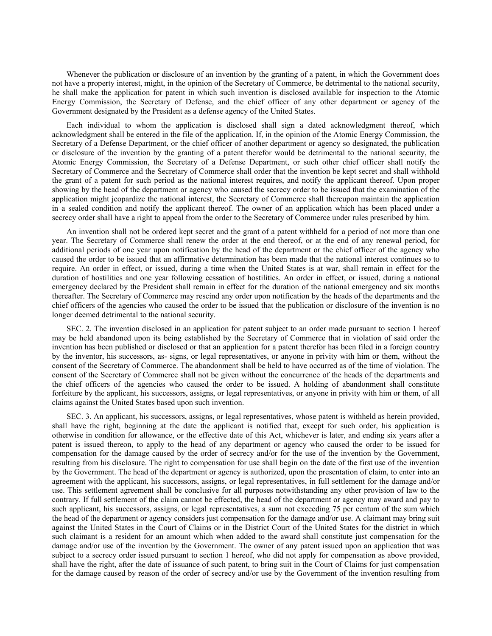Whenever the publication or disclosure of an invention by the granting of a patent, in which the Government does not have a property interest, might, in the opinion of the Secretary of Commerce, be detrimental to the national security, he shall make the application for patent in which such invention is disclosed available for inspection to the Atomic Energy Commission, the Secretary of Defense, and the chief officer of any other department or agency of the Government designated by the President as a defense agency of the United States.

Each individual to whom the application is disclosed shall sign a dated acknowledgment thereof, which acknowledgment shall be entered in the file of the application. If, in the opinion of the Atomic Energy Commission, the Secretary of a Defense Department, or the chief officer of another department or agency so designated, the publication or disclosure of the invention by the granting of a patent therefor would be detrimental to the national security, the Atomic Energy Commission, the Secretary of a Defense Department, or such other chief officer shall notify the Secretary of Commerce and the Secretary of Commerce shall order that the invention be kept secret and shall withhold the grant of a patent for such period as the national interest requires, and notify the applicant thereof. Upon proper showing by the head of the department or agency who caused the secrecy order to be issued that the examination of the application might jeopardize the national interest, the Secretary of Commerce shall thereupon maintain the application in a sealed condition and notify the applicant thereof. The owner of an application which has been placed under a secrecy order shall have a right to appeal from the order to the Secretary of Commerce under rules prescribed by him.

An invention shall not be ordered kept secret and the grant of a patent withheld for a period of not more than one year. The Secretary of Commerce shall renew the order at the end thereof, or at the end of any renewal period, for additional periods of one year upon notification by the head of the department or the chief officer of the agency who caused the order to be issued that an affirmative determination has been made that the national interest continues so to require. An order in effect, or issued, during a time when the United States is at war, shall remain in effect for the duration of hostilities and one year following cessation of hostilities. An order in effect, or issued, during a national emergency declared by the President shall remain in effect for the duration of the national emergency and six months thereafter. The Secretary of Commerce may rescind any order upon notification by the heads of the departments and the chief officers of the agencies who caused the order to be issued that the publication or disclosure of the invention is no longer deemed detrimental to the national security.

SEC. 2. The invention disclosed in an application for patent subject to an order made pursuant to section 1 hereof may be held abandoned upon its being established by the Secretary of Commerce that in violation of said order the invention has been published or disclosed or that an application for a patent therefor has been filed in a foreign country by the inventor, his successors, as- signs, or legal representatives, or anyone in privity with him or them, without the consent of the Secretary of Commerce. The abandonment shall be held to have occurred as of the time of violation. The consent of the Secretary of Commerce shall not be given without the concurrence of the heads of the departments and the chief officers of the agencies who caused the order to be issued. A holding of abandonment shall constitute forfeiture by the applicant, his successors, assigns, or legal representatives, or anyone in privity with him or them, of all claims against the United States based upon such invention.

SEC. 3. An applicant, his successors, assigns, or legal representatives, whose patent is withheld as herein provided, shall have the right, beginning at the date the applicant is notified that, except for such order, his application is otherwise in condition for allowance, or the effective date of this Act, whichever is later, and ending six years after a patent is issued thereon, to apply to the head of any department or agency who caused the order to be issued for compensation for the damage caused by the order of secrecy and/or for the use of the invention by the Government, resulting from his disclosure. The right to compensation for use shall begin on the date of the first use of the invention by the Government. The head of the department or agency is authorized, upon the presentation of claim, to enter into an agreement with the applicant, his successors, assigns, or legal representatives, in full settlement for the damage and/or use. This settlement agreement shall be conclusive for all purposes notwithstanding any other provision of law to the contrary. If full settlement of the claim cannot be effected, the head of the department or agency may award and pay to such applicant, his successors, assigns, or legal representatives, a sum not exceeding 75 per centum of the sum which the head of the department or agency considers just compensation for the damage and/or use. A claimant may bring suit against the United States in the Court of Claims or in the District Court of the United States for the district in which such claimant is a resident for an amount which when added to the award shall constitute just compensation for the damage and/or use of the invention by the Government. The owner of any patent issued upon an application that was subject to a secrecy order issued pursuant to section 1 hereof, who did not apply for compensation as above provided, shall have the right, after the date of issuance of such patent, to bring suit in the Court of Claims for just compensation for the damage caused by reason of the order of secrecy and/or use by the Government of the invention resulting from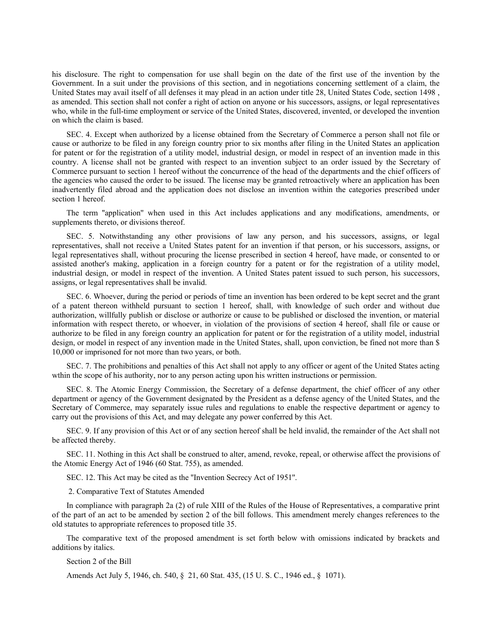his disclosure. The right to compensation for use shall begin on the date of the first use of the invention by the Government. In a suit under the provisions of this section, and in negotiations concerning settlement of a claim, the United States may avail itself of all defenses it may plead in an action under title 28, United States Code, section 1498 , as amended. This section shall not confer a right of action on anyone or his successors, assigns, or legal representatives who, while in the full-time employment or service of the United States, discovered, invented, or developed the invention on which the claim is based.

SEC. 4. Except when authorized by a license obtained from the Secretary of Commerce a person shall not file or cause or authorize to be filed in any foreign country prior to six months after filing in the United States an application for patent or for the registration of a utility model, industrial design, or model in respect of an invention made in this country. A license shall not be granted with respect to an invention subject to an order issued by the Secretary of Commerce pursuant to section 1 hereof without the concurrence of the head of the departments and the chief officers of the agencies who caused the order to be issued. The license may be granted retroactively where an application has been inadvertently filed abroad and the application does not disclose an invention within the categories prescribed under section 1 hereof.

The term ''application'' when used in this Act includes applications and any modifications, amendments, or supplements thereto, or divisions thereof.

SEC. 5. Notwithstanding any other provisions of law any person, and his successors, assigns, or legal representatives, shall not receive a United States patent for an invention if that person, or his successors, assigns, or legal representatives shall, without procuring the license prescribed in section 4 hereof, have made, or consented to or assisted another's making, application in a foreign country for a patent or for the registration of a utility model, industrial design, or model in respect of the invention. A United States patent issued to such person, his successors, assigns, or legal representatives shall be invalid.

SEC. 6. Whoever, during the period or periods of time an invention has been ordered to be kept secret and the grant of a patent thereon withheld pursuant to section 1 hereof, shall, with knowledge of such order and without due authorization, willfully publish or disclose or authorize or cause to be published or disclosed the invention, or material information with respect thereto, or whoever, in violation of the provisions of section 4 hereof, shall file or cause or authorize to be filed in any foreign country an application for patent or for the registration of a utility model, industrial design, or model in respect of any invention made in the United States, shall, upon conviction, be fined not more than \$ 10,000 or imprisoned for not more than two years, or both.

SEC. 7. The prohibitions and penalties of this Act shall not apply to any officer or agent of the United States acting wthin the scope of his authority, nor to any person acting upon his written instructions or permission.

SEC. 8. The Atomic Energy Commission, the Secretary of a defense department, the chief officer of any other department or agency of the Government designated by the President as a defense agency of the United States, and the Secretary of Commerce, may separately issue rules and regulations to enable the respective department or agency to carry out the provisions of this Act, and may delegate any power conferred by this Act.

SEC. 9. If any provision of this Act or of any section hereof shall be held invalid, the remainder of the Act shall not be affected thereby.

SEC. 11. Nothing in this Act shall be construed to alter, amend, revoke, repeal, or otherwise affect the provisions of the Atomic Energy Act of 1946 (60 Stat. 755), as amended.

SEC. 12. This Act may be cited as the ''Invention Secrecy Act of 1951''.

2. Comparative Text of Statutes Amended

In compliance with paragraph 2a (2) of rule XIII of the Rules of the House of Representatives, a comparative print of the part of an act to be amended by section 2 of the bill follows. This amendment merely changes references to the old statutes to appropriate references to proposed title 35.

The comparative text of the proposed amendment is set forth below with omissions indicated by brackets and additions by italics.

Section 2 of the Bill

Amends Act July 5, 1946, ch. 540, § 21, 60 Stat. 435, (15 U. S. C., 1946 ed., § 1071).